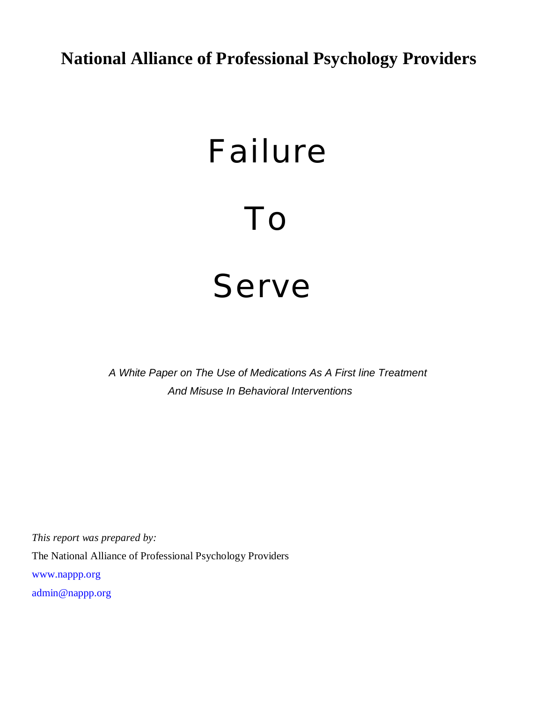# **National Alliance of Professional Psychology Providers**

# Failure To Serve

 *A White Paper on The Use of Medications As A First line Treatment And Misuse In Behavioral Interventions*

*This report was prepared by:* The National Alliance of Professional Psychology Providers [www.nappp.org](http://www.nappp.org) [admin@nappp.org](mailto:admin@nappp.org)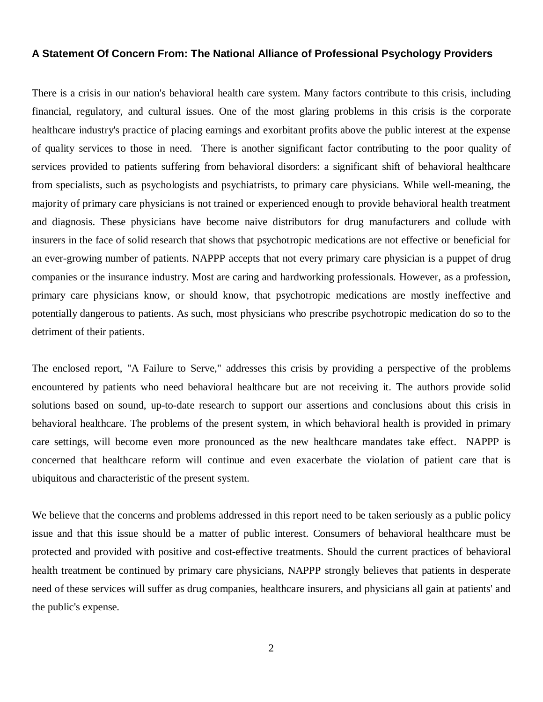#### **A Statement Of Concern From: The National Alliance of Professional Psychology Providers**

There is a crisis in our nation's behavioral health care system. Many factors contribute to this crisis, including financial, regulatory, and cultural issues. One of the most glaring problems in this crisis is the corporate healthcare industry's practice of placing earnings and exorbitant profits above the public interest at the expense of quality services to those in need. There is another significant factor contributing to the poor quality of services provided to patients suffering from behavioral disorders: a significant shift of behavioral healthcare from specialists, such as psychologists and psychiatrists, to primary care physicians. While well-meaning, the majority of primary care physicians is not trained or experienced enough to provide behavioral health treatment and diagnosis. These physicians have become naive distributors for drug manufacturers and collude with insurers in the face of solid research that shows that psychotropic medications are not effective or beneficial for an ever-growing number of patients. NAPPP accepts that not every primary care physician is a puppet of drug companies or the insurance industry. Most are caring and hardworking professionals. However, as a profession, primary care physicians know, or should know, that psychotropic medications are mostly ineffective and potentially dangerous to patients. As such, most physicians who prescribe psychotropic medication do so to the detriment of their patients.

The enclosed report, "A Failure to Serve," addresses this crisis by providing a perspective of the problems encountered by patients who need behavioral healthcare but are not receiving it. The authors provide solid solutions based on sound, up-to-date research to support our assertions and conclusions about this crisis in behavioral healthcare. The problems of the present system, in which behavioral health is provided in primary care settings, will become even more pronounced as the new healthcare mandates take effect. NAPPP is concerned that healthcare reform will continue and even exacerbate the violation of patient care that is ubiquitous and characteristic of the present system.

We believe that the concerns and problems addressed in this report need to be taken seriously as a public policy issue and that this issue should be a matter of public interest. Consumers of behavioral healthcare must be protected and provided with positive and cost-effective treatments. Should the current practices of behavioral health treatment be continued by primary care physicians, NAPPP strongly believes that patients in desperate need of these services will suffer as drug companies, healthcare insurers, and physicians all gain at patients' and the public's expense.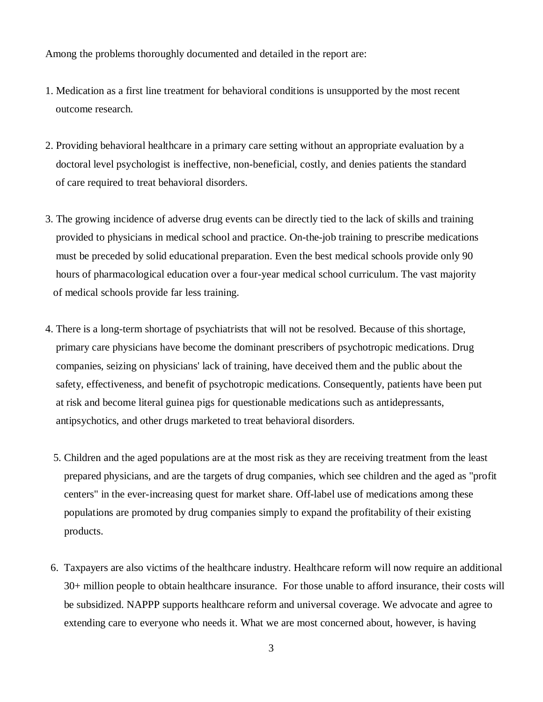Among the problems thoroughly documented and detailed in the report are:

- 1. Medication as a first line treatment for behavioral conditions is unsupported by the most recent outcome research.
- 2. Providing behavioral healthcare in a primary care setting without an appropriate evaluation by a doctoral level psychologist is ineffective, non-beneficial, costly, and denies patients the standard of care required to treat behavioral disorders.
- 3. The growing incidence of adverse drug events can be directly tied to the lack of skills and training provided to physicians in medical school and practice. On-the-job training to prescribe medications must be preceded by solid educational preparation. Even the best medical schools provide only 90 hours of pharmacological education over a four-year medical school curriculum. The vast majority of medical schools provide far less training.
- 4. There is a long-term shortage of psychiatrists that will not be resolved. Because of this shortage, primary care physicians have become the dominant prescribers of psychotropic medications. Drug companies, seizing on physicians' lack of training, have deceived them and the public about the safety, effectiveness, and benefit of psychotropic medications. Consequently, patients have been put at risk and become literal guinea pigs for questionable medications such as antidepressants, antipsychotics, and other drugs marketed to treat behavioral disorders.
	- 5. Children and the aged populations are at the most risk as they are receiving treatment from the least prepared physicians, and are the targets of drug companies, which see children and the aged as "profit centers" in the ever-increasing quest for market share. Off-label use of medications among these populations are promoted by drug companies simply to expand the profitability of their existing products.
- 6. Taxpayers are also victims of the healthcare industry. Healthcare reform will now require an additional 30+ million people to obtain healthcare insurance. For those unable to afford insurance, their costs will be subsidized. NAPPP supports healthcare reform and universal coverage. We advocate and agree to extending care to everyone who needs it. What we are most concerned about, however, is having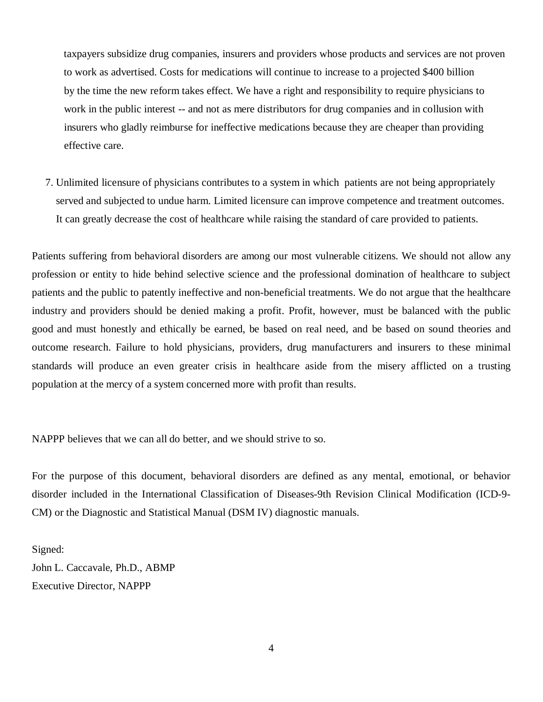taxpayers subsidize drug companies, insurers and providers whose products and services are not proven to work as advertised. Costs for medications will continue to increase to a projected \$400 billion by the time the new reform takes effect. We have a right and responsibility to require physicians to work in the public interest -- and not as mere distributors for drug companies and in collusion with insurers who gladly reimburse for ineffective medications because they are cheaper than providing effective care.

 7. Unlimited licensure of physicians contributes to a system in which patients are not being appropriately served and subjected to undue harm. Limited licensure can improve competence and treatment outcomes. It can greatly decrease the cost of healthcare while raising the standard of care provided to patients.

Patients suffering from behavioral disorders are among our most vulnerable citizens. We should not allow any profession or entity to hide behind selective science and the professional domination of healthcare to subject patients and the public to patently ineffective and non-beneficial treatments. We do not argue that the healthcare industry and providers should be denied making a profit. Profit, however, must be balanced with the public good and must honestly and ethically be earned, be based on real need, and be based on sound theories and outcome research. Failure to hold physicians, providers, drug manufacturers and insurers to these minimal standards will produce an even greater crisis in healthcare aside from the misery afflicted on a trusting population at the mercy of a system concerned more with profit than results.

NAPPP believes that we can all do better, and we should strive to so.

For the purpose of this document, behavioral disorders are defined as any mental, emotional, or behavior disorder included in the International Classification of Diseases-9th Revision Clinical Modification (ICD-9- CM) or the Diagnostic and Statistical Manual (DSM IV) diagnostic manuals.

Signed: John L. Caccavale, Ph.D., ABMP Executive Director, NAPPP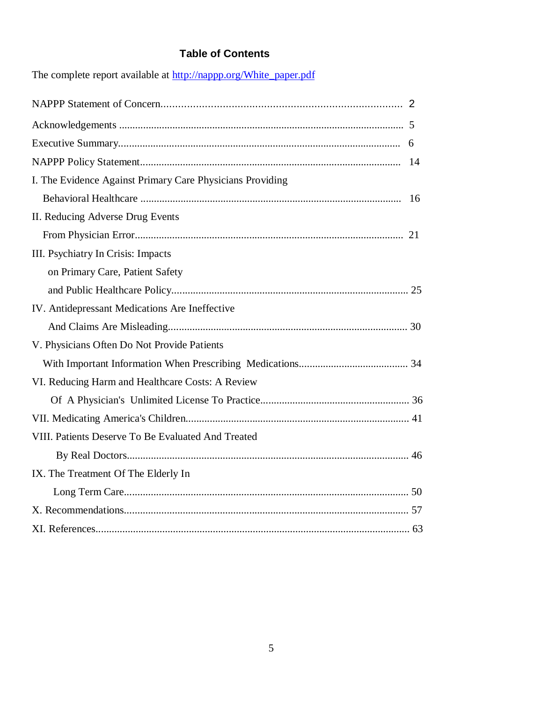### **Table of Contents**

| The complete report available at http://nappp.org/winte_paper.pdf |  |
|-------------------------------------------------------------------|--|
|                                                                   |  |
|                                                                   |  |
|                                                                   |  |
|                                                                   |  |
| I. The Evidence Against Primary Care Physicians Providing         |  |
|                                                                   |  |
| II. Reducing Adverse Drug Events                                  |  |
|                                                                   |  |
| III. Psychiatry In Crisis: Impacts                                |  |
| on Primary Care, Patient Safety                                   |  |
|                                                                   |  |
| IV. Antidepressant Medications Are Ineffective                    |  |
|                                                                   |  |
| V. Physicians Often Do Not Provide Patients                       |  |
|                                                                   |  |
| VI. Reducing Harm and Healthcare Costs: A Review                  |  |
|                                                                   |  |
|                                                                   |  |
| VIII. Patients Deserve To Be Evaluated And Treated                |  |
|                                                                   |  |
| IX. The Treatment Of The Elderly In                               |  |
|                                                                   |  |
|                                                                   |  |
|                                                                   |  |
|                                                                   |  |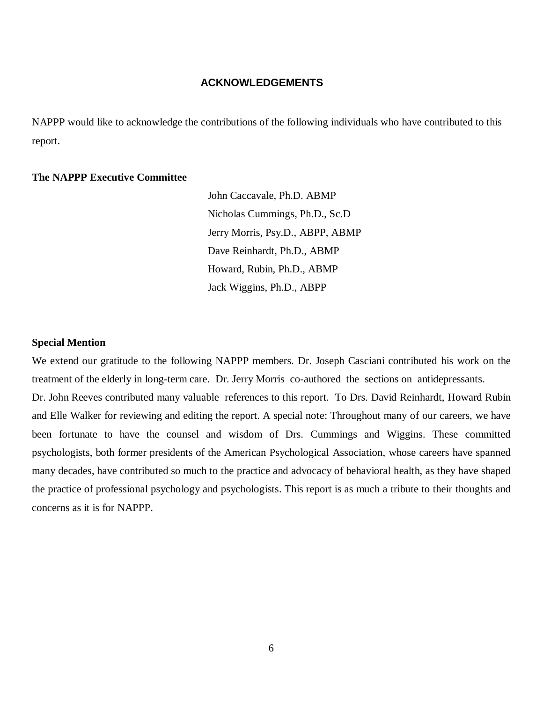#### **ACKNOWLEDGEMENTS**

NAPPP would like to acknowledge the contributions of the following individuals who have contributed to this report.

#### **The NAPPP Executive Committee**

 John Caccavale, Ph.D. ABMP Nicholas Cummings, Ph.D., Sc.D Jerry Morris, Psy.D., ABPP, ABMP Dave Reinhardt, Ph.D., ABMP Howard, Rubin, Ph.D., ABMP Jack Wiggins, Ph.D., ABPP

#### **Special Mention**

We extend our gratitude to the following NAPPP members. Dr. Joseph Casciani contributed his work on the treatment of the elderly in long-term care. Dr. Jerry Morris co-authored the sections on antidepressants. Dr. John Reeves contributed many valuable references to this report. To Drs. David Reinhardt, Howard Rubin and Elle Walker for reviewing and editing the report. A special note: Throughout many of our careers, we have been fortunate to have the counsel and wisdom of Drs. Cummings and Wiggins. These committed psychologists, both former presidents of the American Psychological Association, whose careers have spanned many decades, have contributed so much to the practice and advocacy of behavioral health, as they have shaped the practice of professional psychology and psychologists. This report is as much a tribute to their thoughts and concerns as it is for NAPPP.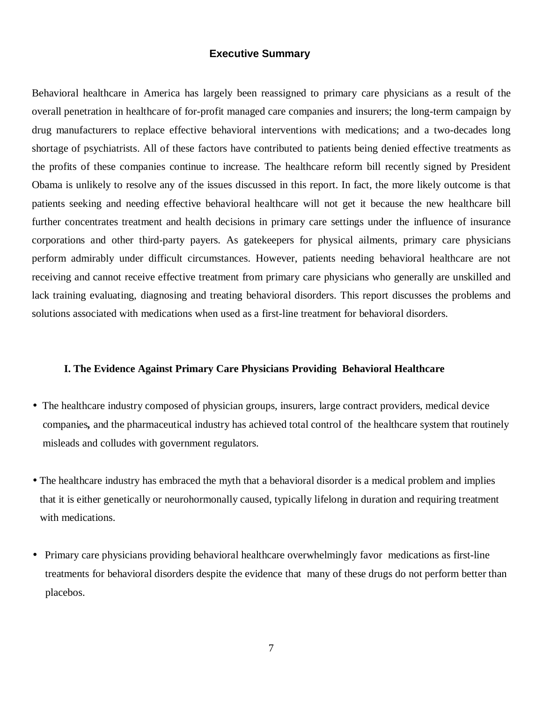#### **Executive Summary**

Behavioral healthcare in America has largely been reassigned to primary care physicians as a result of the overall penetration in healthcare of for-profit managed care companies and insurers; the long-term campaign by drug manufacturers to replace effective behavioral interventions with medications; and a two-decades long shortage of psychiatrists. All of these factors have contributed to patients being denied effective treatments as the profits of these companies continue to increase. The healthcare reform bill recently signed by President Obama is unlikely to resolve any of the issues discussed in this report. In fact, the more likely outcome is that patients seeking and needing effective behavioral healthcare will not get it because the new healthcare bill further concentrates treatment and health decisions in primary care settings under the influence of insurance corporations and other third-party payers. As gatekeepers for physical ailments, primary care physicians perform admirably under difficult circumstances. However, patients needing behavioral healthcare are not receiving and cannot receive effective treatment from primary care physicians who generally are unskilled and lack training evaluating, diagnosing and treating behavioral disorders. This report discusses the problems and solutions associated with medications when used as a first-line treatment for behavioral disorders.

#### **I. The Evidence Against Primary Care Physicians Providing Behavioral Healthcare**

- The healthcare industry composed of physician groups, insurers, large contract providers, medical device companies*,* and the pharmaceutical industry has achieved total control of the healthcare system that routinely misleads and colludes with government regulators.
- The healthcare industry has embraced the myth that a behavioral disorder is a medical problem and implies that it is either genetically or neurohormonally caused, typically lifelong in duration and requiring treatment with medications.
- Primary care physicians providing behavioral healthcare overwhelmingly favor medications as first-line treatments for behavioral disorders despite the evidence that many of these drugs do not perform better than placebos.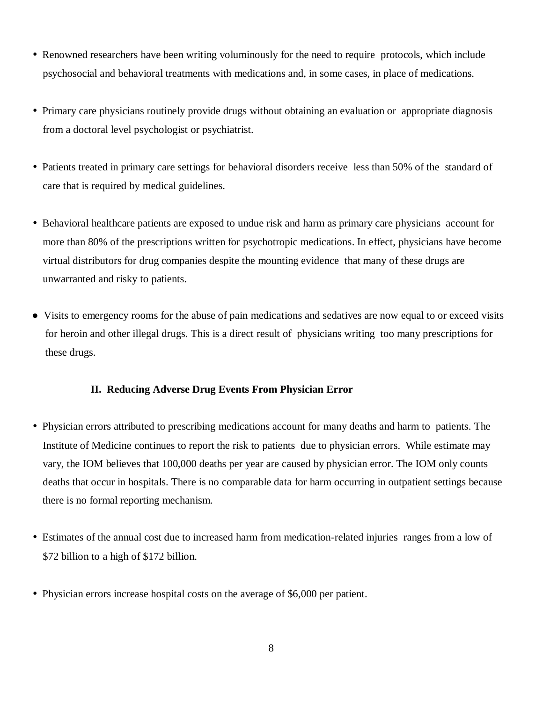- Renowned researchers have been writing voluminously for the need to require protocols, which include psychosocial and behavioral treatments with medications and, in some cases, in place of medications.
- Primary care physicians routinely provide drugs without obtaining an evaluation or appropriate diagnosis from a doctoral level psychologist or psychiatrist.
- Patients treated in primary care settings for behavioral disorders receive less than 50% of the standard of care that is required by medical guidelines.
- Behavioral healthcare patients are exposed to undue risk and harm as primary care physicians account for more than 80% of the prescriptions written for psychotropic medications. In effect, physicians have become virtual distributors for drug companies despite the mounting evidence that many of these drugs are unwarranted and risky to patients.
- Visits to emergency rooms for the abuse of pain medications and sedatives are now equal to or exceed visits for heroin and other illegal drugs. This is a direct result of physicians writing too many prescriptions for these drugs.

#### **II. Reducing Adverse Drug Events From Physician Error**

- Physician errors attributed to prescribing medications account for many deaths and harm to patients. The Institute of Medicine continues to report the risk to patients due to physician errors. While estimate may vary, the IOM believes that 100,000 deaths per year are caused by physician error. The IOM only counts deaths that occur in hospitals. There is no comparable data for harm occurring in outpatient settings because there is no formal reporting mechanism.
- Estimates of the annual cost due to increased harm from medication-related injuries ranges from a low of \$72 billion to a high of \$172 billion.
- Physician errors increase hospital costs on the average of \$6,000 per patient.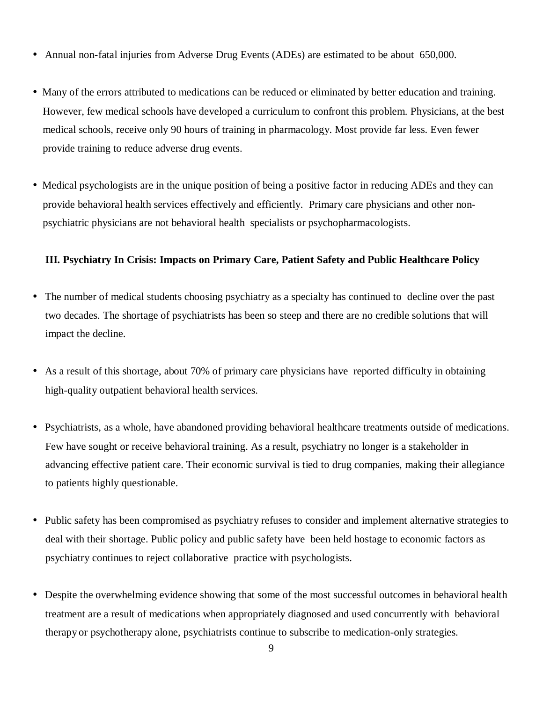- Annual non-fatal injuries from Adverse Drug Events (ADEs) are estimated to be about 650,000.
- Many of the errors attributed to medications can be reduced or eliminated by better education and training. However, few medical schools have developed a curriculum to confront this problem. Physicians, at the best medical schools, receive only 90 hours of training in pharmacology. Most provide far less. Even fewer provide training to reduce adverse drug events.
- Medical psychologists are in the unique position of being a positive factor in reducing ADEs and they can provide behavioral health services effectively and efficiently. Primary care physicians and other non psychiatric physicians are not behavioral health specialists or psychopharmacologists.

#### **III. Psychiatry In Crisis: Impacts on Primary Care, Patient Safety and Public Healthcare Policy**

- The number of medical students choosing psychiatry as a specialty has continued to decline over the past two decades. The shortage of psychiatrists has been so steep and there are no credible solutions that will impact the decline.
- As a result of this shortage, about 70% of primary care physicians have reported difficulty in obtaining high-quality outpatient behavioral health services.
- Psychiatrists, as a whole, have abandoned providing behavioral healthcare treatments outside of medications. Few have sought or receive behavioral training. As a result, psychiatry no longer is a stakeholder in advancing effective patient care. Their economic survival is tied to drug companies, making their allegiance to patients highly questionable.
- Public safety has been compromised as psychiatry refuses to consider and implement alternative strategies to deal with their shortage. Public policy and public safety have been held hostage to economic factors as psychiatry continues to reject collaborative practice with psychologists.
- Despite the overwhelming evidence showing that some of the most successful outcomes in behavioral health treatment are a result of medications when appropriately diagnosed and used concurrently with behavioral therapy or psychotherapy alone, psychiatrists continue to subscribe to medication-only strategies.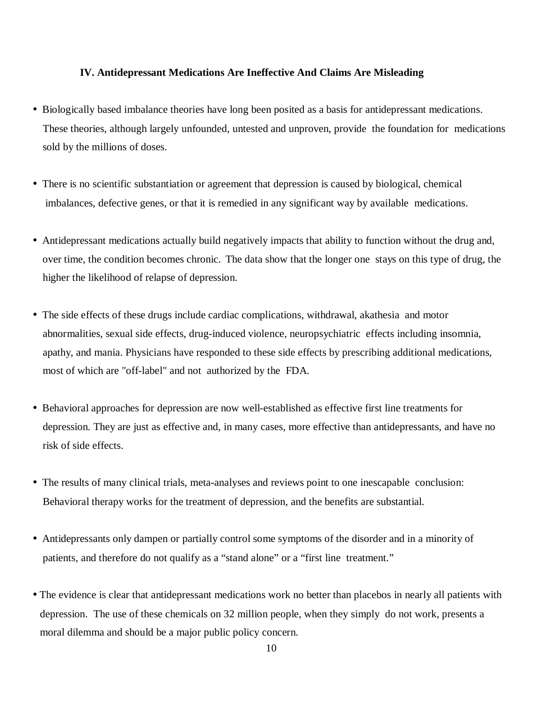#### **IV. Antidepressant Medications Are Ineffective And Claims Are Misleading**

- Biologically based imbalance theories have long been posited as a basis for antidepressant medications. These theories, although largely unfounded, untested and unproven, provide the foundation for medications sold by the millions of doses.
- There is no scientific substantiation or agreement that depression is caused by biological, chemical imbalances, defective genes, or that it is remedied in any significant way by available medications.
- Antidepressant medications actually build negatively impacts that ability to function without the drug and, over time, the condition becomes chronic. The data show that the longer one stays on this type of drug, the higher the likelihood of relapse of depression.
- The side effects of these drugs include cardiac complications, withdrawal, akathesia and motor abnormalities, sexual side effects, drug-induced violence, neuropsychiatric effects including insomnia, apathy, and mania. Physicians have responded to these side effects by prescribing additional medications, most of which are "off-label" and not authorized by the FDA.
- Behavioral approaches for depression are now well-established as effective first line treatments for depression. They are just as effective and, in many cases, more effective than antidepressants, and have no risk of side effects.
- The results of many clinical trials, meta-analyses and reviews point to one inescapable conclusion: Behavioral therapy works for the treatment of depression, and the benefits are substantial.
- Antidepressants only dampen or partially control some symptoms of the disorder and in a minority of patients, and therefore do not qualify as a "stand alone" or a "first line treatment."
- The evidence is clear that antidepressant medications work no better than placebos in nearly all patients with depression. The use of these chemicals on 32 million people, when they simply do not work, presents a moral dilemma and should be a major public policy concern.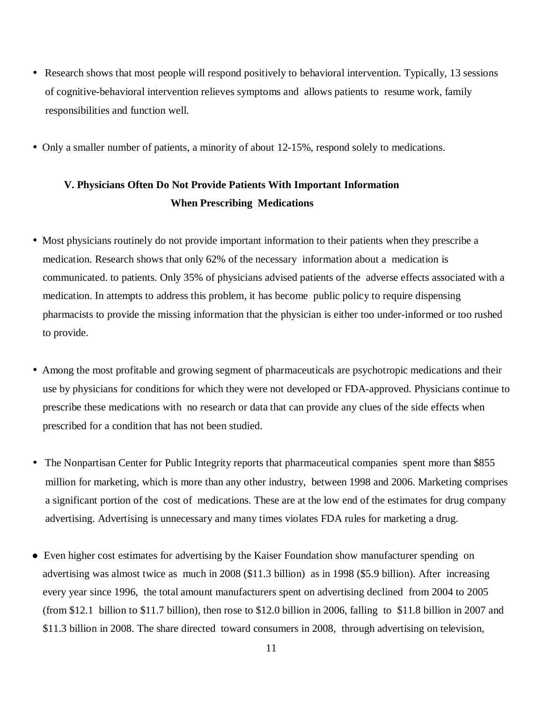- Research shows that most people will respond positively to behavioral intervention. Typically, 13 sessions of cognitive-behavioral intervention relieves symptoms and allows patients to resume work, family responsibilities and function well.
- Only a smaller number of patients, a minority of about 12-15%, respond solely to medications.

## **V. Physicians Often Do Not Provide Patients With Important Information When Prescribing Medications**

- Most physicians routinely do not provide important information to their patients when they prescribe a medication. Research shows that only 62% of the necessary information about a medication is communicated. to patients. Only 35% of physicians advised patients of the adverse effects associated with a medication. In attempts to address this problem, it has become public policy to require dispensing pharmacists to provide the missing information that the physician is either too under-informed or too rushed to provide.
- Among the most profitable and growing segment of pharmaceuticals are psychotropic medications and their use by physicians for conditions for which they were not developed or FDA-approved. Physicians continue to prescribe these medications with no research or data that can provide any clues of the side effects when prescribed for a condition that has not been studied.
- The Nonpartisan Center for Public Integrity reports that pharmaceutical companies spent more than \$855 million for marketing, which is more than any other industry, between 1998 and 2006. Marketing comprises a significant portion of the cost of medications. These are at the low end of the estimates for drug company advertising. Advertising is unnecessary and many times violates FDA rules for marketing a drug.
- Even higher cost estimates for advertising by the Kaiser Foundation show manufacturer spending on advertising was almost twice as much in 2008 (\$11.3 billion) as in 1998 (\$5.9 billion). After increasing every year since 1996, the total amount manufacturers spent on advertising declined from 2004 to 2005 (from \$12.1 billion to \$11.7 billion), then rose to \$12.0 billion in 2006, falling to \$11.8 billion in 2007 and \$11.3 billion in 2008. The share directed toward consumers in 2008, through advertising on television,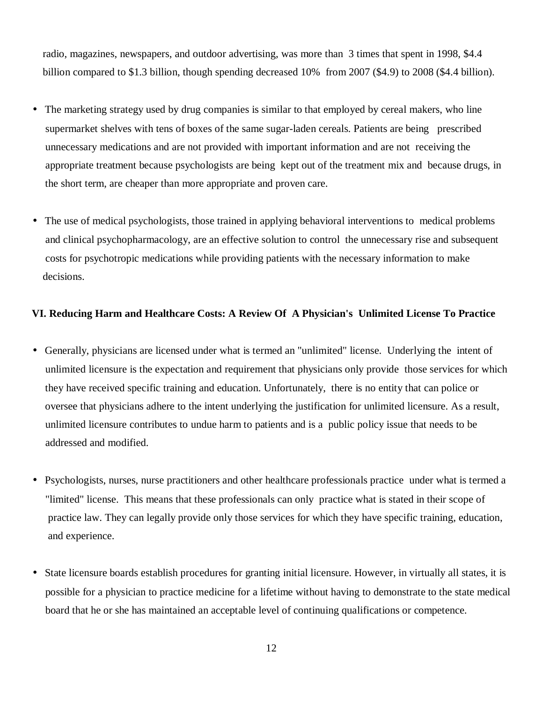radio, magazines, newspapers, and outdoor advertising, was more than 3 times that spent in 1998, \$4.4 billion compared to \$1.3 billion, though spending decreased 10% from 2007 (\$4.9) to 2008 (\$4.4 billion).

- The marketing strategy used by drug companies is similar to that employed by cereal makers, who line supermarket shelves with tens of boxes of the same sugar-laden cereals. Patients are being prescribed unnecessary medications and are not provided with important information and are not receiving the appropriate treatment because psychologists are being kept out of the treatment mix and because drugs, in the short term, are cheaper than more appropriate and proven care.
- The use of medical psychologists, those trained in applying behavioral interventions to medical problems and clinical psychopharmacology, are an effective solution to control the unnecessary rise and subsequent costs for psychotropic medications while providing patients with the necessary information to make decisions.

#### **VI. Reducing Harm and Healthcare Costs: A Review Of A Physician's Unlimited License To Practice**

- Generally, physicians are licensed under what is termed an "unlimited" license. Underlying the intent of unlimited licensure is the expectation and requirement that physicians only provide those services for which they have received specific training and education. Unfortunately, there is no entity that can police or oversee that physicians adhere to the intent underlying the justification for unlimited licensure. As a result, unlimited licensure contributes to undue harm to patients and is a public policy issue that needs to be addressed and modified.
- Psychologists, nurses, nurse practitioners and other healthcare professionals practice under what is termed a "limited" license. This means that these professionals can only practice what is stated in their scope of practice law. They can legally provide only those services for which they have specific training, education, and experience.
- State licensure boards establish procedures for granting initial licensure. However, in virtually all states, it is possible for a physician to practice medicine for a lifetime without having to demonstrate to the state medical board that he or she has maintained an acceptable level of continuing qualifications or competence.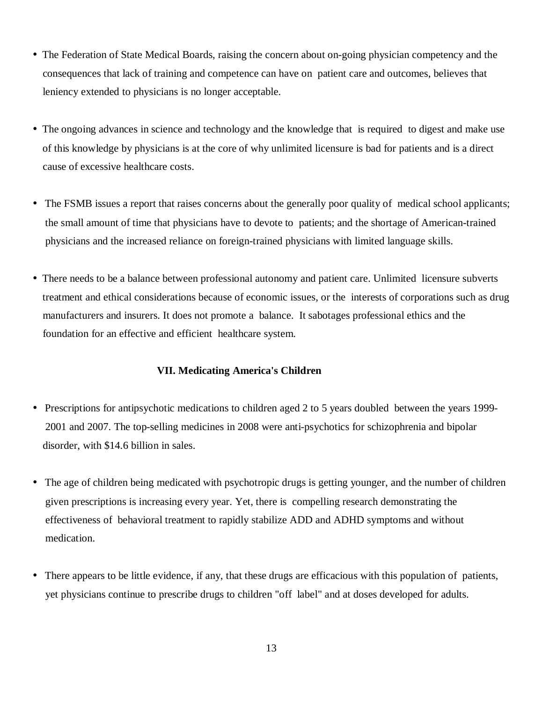- The Federation of State Medical Boards, raising the concern about on-going physician competency and the consequences that lack of training and competence can have on patient care and outcomes, believes that leniency extended to physicians is no longer acceptable.
- The ongoing advances in science and technology and the knowledge that is required to digest and make use of this knowledge by physicians is at the core of why unlimited licensure is bad for patients and is a direct cause of excessive healthcare costs.
- The FSMB issues a report that raises concerns about the generally poor quality of medical school applicants; the small amount of time that physicians have to devote to patients; and the shortage of American-trained physicians and the increased reliance on foreign-trained physicians with limited language skills.
- There needs to be a balance between professional autonomy and patient care. Unlimited licensure subverts treatment and ethical considerations because of economic issues, or the interests of corporations such as drug manufacturers and insurers. It does not promote a balance. It sabotages professional ethics and the foundation for an effective and efficient healthcare system.

#### **VII. Medicating America's Children**

- Prescriptions for antipsychotic medications to children aged 2 to 5 years doubled between the years 1999- 2001 and 2007. The top-selling medicines in 2008 were anti-psychotics for schizophrenia and bipolar disorder, with \$14.6 billion in sales.
- The age of children being medicated with psychotropic drugs is getting younger, and the number of children given prescriptions is increasing every year. Yet, there is compelling research demonstrating the effectiveness of behavioral treatment to rapidly stabilize ADD and ADHD symptoms and without medication.
- There appears to be little evidence, if any, that these drugs are efficacious with this population of patients, yet physicians continue to prescribe drugs to children "off label" and at doses developed for adults.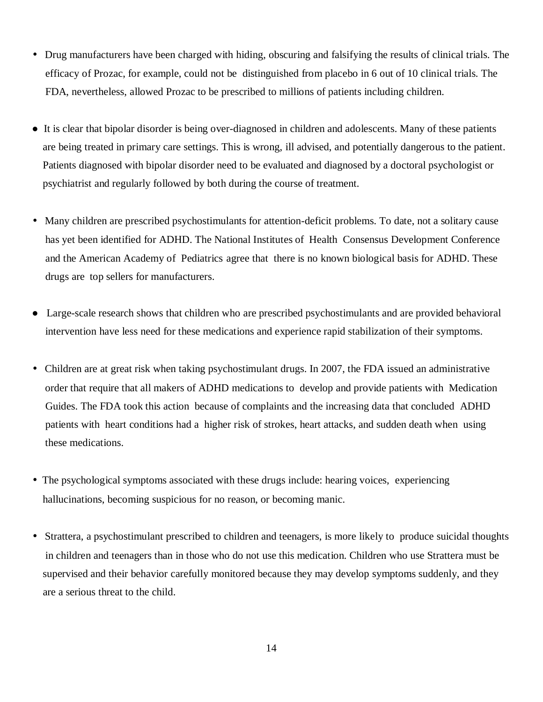- Drug manufacturers have been charged with hiding, obscuring and falsifying the results of clinical trials. The efficacy of Prozac, for example, could not be distinguished from placebo in 6 out of 10 clinical trials. The FDA, nevertheless, allowed Prozac to be prescribed to millions of patients including children.
- It is clear that bipolar disorder is being over-diagnosed in children and adolescents. Many of these patients are being treated in primary care settings. This is wrong, ill advised, and potentially dangerous to the patient. Patients diagnosed with bipolar disorder need to be evaluated and diagnosed by a doctoral psychologist or psychiatrist and regularly followed by both during the course of treatment.
- Many children are prescribed psychostimulants for attention-deficit problems. To date, not a solitary cause has yet been identified for ADHD. The National Institutes of Health Consensus Development Conference and the American Academy of Pediatrics agree that there is no known biological basis for ADHD. These drugs are top sellers for manufacturers.
- Large-scale research shows that children who are prescribed psychostimulants and are provided behavioral intervention have less need for these medications and experience rapid stabilization of their symptoms.
- Children are at great risk when taking psychostimulant drugs. In 2007, the FDA issued an administrative order that require that all makers of ADHD medications to develop and provide patients with Medication Guides. The FDA took this action because of complaints and the increasing data that concluded ADHD patients with heart conditions had a higher risk of strokes, heart attacks, and sudden death when using these medications.
- The psychological symptoms associated with these drugs include: hearing voices, experiencing hallucinations, becoming suspicious for no reason, or becoming manic.
- Strattera, a psychostimulant prescribed to children and teenagers, is more likely to produce suicidal thoughts in children and teenagers than in those who do not use this medication. Children who use Strattera must be supervised and their behavior carefully monitored because they may develop symptoms suddenly, and they are a serious threat to the child.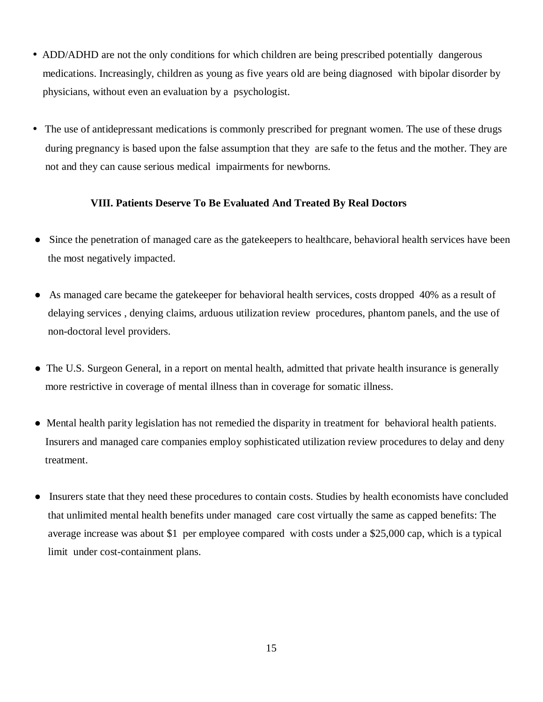- ADD/ADHD are not the only conditions for which children are being prescribed potentially dangerous medications. Increasingly, children as young as five years old are being diagnosed with bipolar disorder by physicians, without even an evaluation by a psychologist.
- The use of antidepressant medications is commonly prescribed for pregnant women. The use of these drugs during pregnancy is based upon the false assumption that they are safe to the fetus and the mother. They are not and they can cause serious medical impairments for newborns.

#### **VIII. Patients Deserve To Be Evaluated And Treated By Real Doctors**

- Since the penetration of managed care as the gatekeepers to healthcare, behavioral health services have been the most negatively impacted.
- As managed care became the gatekeeper for behavioral health services, costs dropped 40% as a result of delaying services , denying claims, arduous utilization review procedures, phantom panels, and the use of non-doctoral level providers.
- The U.S. Surgeon General, in a report on mental health, admitted that private health insurance is generally more restrictive in coverage of mental illness than in coverage for somatic illness.
- Mental health parity legislation has not remedied the disparity in treatment for behavioral health patients. Insurers and managed care companies employ sophisticated utilization review procedures to delay and deny treatment.
- Insurers state that they need these procedures to contain costs. Studies by health economists have concluded that unlimited mental health benefits under managed care cost virtually the same as capped benefits: The average increase was about \$1 per employee compared with costs under a \$25,000 cap, which is a typical limit under cost-containment plans.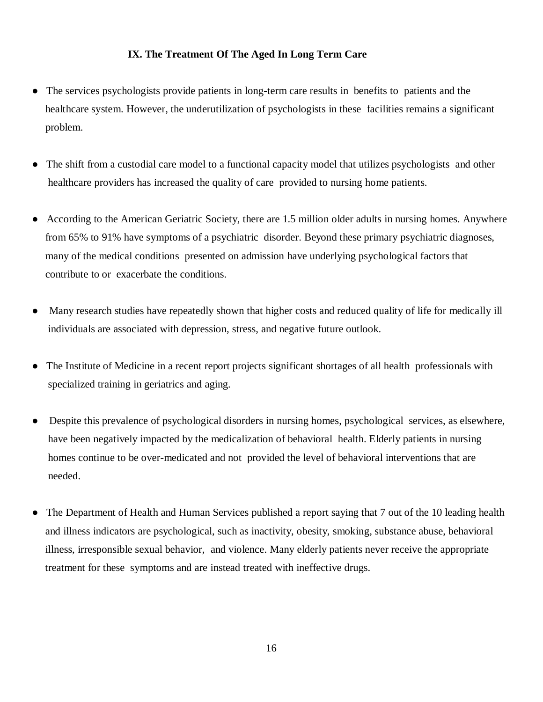#### **IX. The Treatment Of The Aged In Long Term Care**

- The services psychologists provide patients in long-term care results in benefits to patients and the healthcare system. However, the underutilization of psychologists in these facilities remains a significant problem.
- The shift from a custodial care model to a functional capacity model that utilizes psychologists and other healthcare providers has increased the quality of care provided to nursing home patients.
- According to the American Geriatric Society, there are 1.5 million older adults in nursing homes. Anywhere from 65% to 91% have symptoms of a psychiatric disorder. Beyond these primary psychiatric diagnoses, many of the medical conditions presented on admission have underlying psychological factors that contribute to or exacerbate the conditions.
- Many research studies have repeatedly shown that higher costs and reduced quality of life for medically ill individuals are associated with depression, stress, and negative future outlook.
- The Institute of Medicine in a recent report projects significant shortages of all health professionals with specialized training in geriatrics and aging.
- Despite this prevalence of psychological disorders in nursing homes, psychological services, as elsewhere, have been negatively impacted by the medicalization of behavioral health. Elderly patients in nursing homes continue to be over-medicated and not provided the level of behavioral interventions that are needed.
- The Department of Health and Human Services published a report saying that 7 out of the 10 leading health and illness indicators are psychological, such as inactivity, obesity, smoking, substance abuse, behavioral illness, irresponsible sexual behavior, and violence. Many elderly patients never receive the appropriate treatment for these symptoms and are instead treated with ineffective drugs.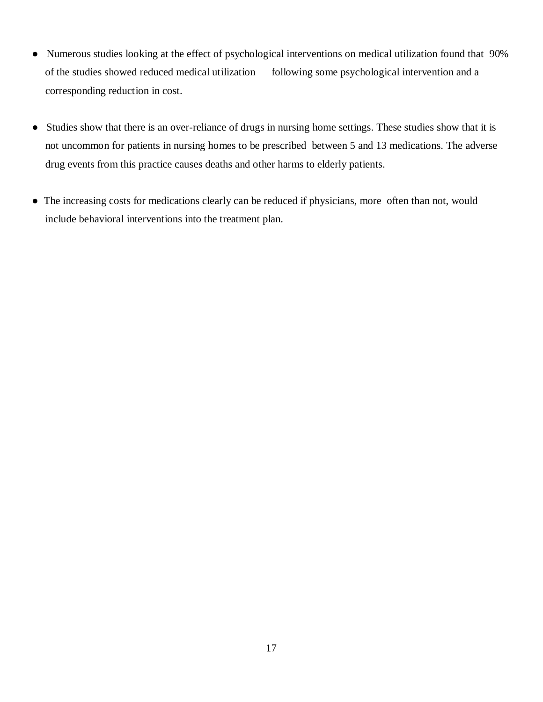- Numerous studies looking at the effect of psychological interventions on medical utilization found that 90% of the studies showed reduced medical utilization following some psychological intervention and a corresponding reduction in cost.
- Studies show that there is an over-reliance of drugs in nursing home settings. These studies show that it is not uncommon for patients in nursing homes to be prescribed between 5 and 13 medications. The adverse drug events from this practice causes deaths and other harms to elderly patients.
- Ɣ The increasing costs for medications clearly can be reduced if physicians, more often than not, would include behavioral interventions into the treatment plan.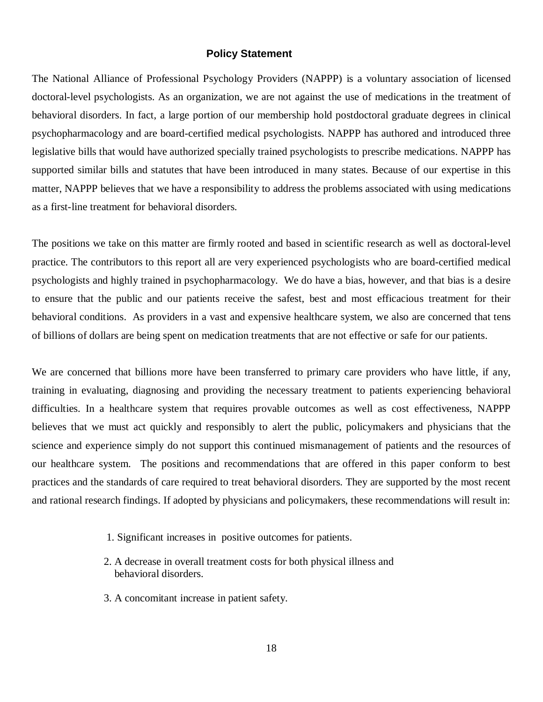#### **Policy Statement**

The National Alliance of Professional Psychology Providers (NAPPP) is a voluntary association of licensed doctoral-level psychologists. As an organization, we are not against the use of medications in the treatment of behavioral disorders. In fact, a large portion of our membership hold postdoctoral graduate degrees in clinical psychopharmacology and are board-certified medical psychologists. NAPPP has authored and introduced three legislative bills that would have authorized specially trained psychologists to prescribe medications. NAPPP has supported similar bills and statutes that have been introduced in many states. Because of our expertise in this matter, NAPPP believes that we have a responsibility to address the problems associated with using medications as a first-line treatment for behavioral disorders.

The positions we take on this matter are firmly rooted and based in scientific research as well as doctoral-level practice. The contributors to this report all are very experienced psychologists who are board-certified medical psychologists and highly trained in psychopharmacology. We do have a bias, however, and that bias is a desire to ensure that the public and our patients receive the safest, best and most efficacious treatment for their behavioral conditions. As providers in a vast and expensive healthcare system, we also are concerned that tens of billions of dollars are being spent on medication treatments that are not effective or safe for our patients.

We are concerned that billions more have been transferred to primary care providers who have little, if any, training in evaluating, diagnosing and providing the necessary treatment to patients experiencing behavioral difficulties. In a healthcare system that requires provable outcomes as well as cost effectiveness, NAPPP believes that we must act quickly and responsibly to alert the public, policymakers and physicians that the science and experience simply do not support this continued mismanagement of patients and the resources of our healthcare system. The positions and recommendations that are offered in this paper conform to best practices and the standards of care required to treat behavioral disorders. They are supported by the most recent and rational research findings. If adopted by physicians and policymakers, these recommendations will result in:

- 1. Significant increases in positive outcomes for patients.
- 2. A decrease in overall treatment costs for both physical illness and behavioral disorders.
- 3. A concomitant increase in patient safety.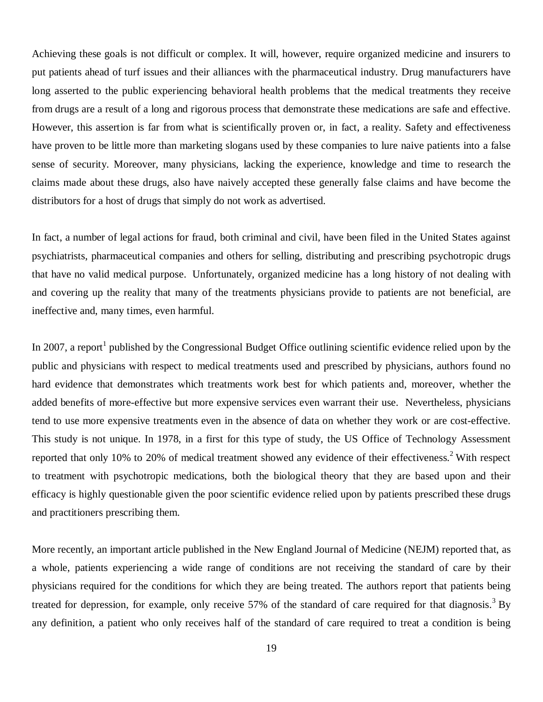Achieving these goals is not difficult or complex. It will, however, require organized medicine and insurers to put patients ahead of turf issues and their alliances with the pharmaceutical industry. Drug manufacturers have long asserted to the public experiencing behavioral health problems that the medical treatments they receive from drugs are a result of a long and rigorous process that demonstrate these medications are safe and effective. However, this assertion is far from what is scientifically proven or, in fact, a reality. Safety and effectiveness have proven to be little more than marketing slogans used by these companies to lure naive patients into a false sense of security. Moreover, many physicians, lacking the experience, knowledge and time to research the claims made about these drugs, also have naively accepted these generally false claims and have become the distributors for a host of drugs that simply do not work as advertised.

In fact, a number of legal actions for fraud, both criminal and civil, have been filed in the United States against psychiatrists, pharmaceutical companies and others for selling, distributing and prescribing psychotropic drugs that have no valid medical purpose. Unfortunately, organized medicine has a long history of not dealing with and covering up the reality that many of the treatments physicians provide to patients are not beneficial, are ineffective and, many times, even harmful.

In 2007, a report<sup>1</sup> published by the Congressional Budget Office outlining scientific evidence relied upon by the public and physicians with respect to medical treatments used and prescribed by physicians, authors found no hard evidence that demonstrates which treatments work best for which patients and, moreover, whether the added benefits of more-effective but more expensive services even warrant their use. Nevertheless, physicians tend to use more expensive treatments even in the absence of data on whether they work or are cost-effective. This study is not unique. In 1978, in a first for this type of study, the US Office of Technology Assessment reported that only 10% to 20% of medical treatment showed any evidence of their effectiveness.<sup>2</sup> With respect to treatment with psychotropic medications, both the biological theory that they are based upon and their efficacy is highly questionable given the poor scientific evidence relied upon by patients prescribed these drugs and practitioners prescribing them.

More recently, an important article published in the New England Journal of Medicine (NEJM) reported that, as a whole, patients experiencing a wide range of conditions are not receiving the standard of care by their physicians required for the conditions for which they are being treated. The authors report that patients being treated for depression, for example, only receive 57% of the standard of care required for that diagnosis.<sup>3</sup> By any definition, a patient who only receives half of the standard of care required to treat a condition is being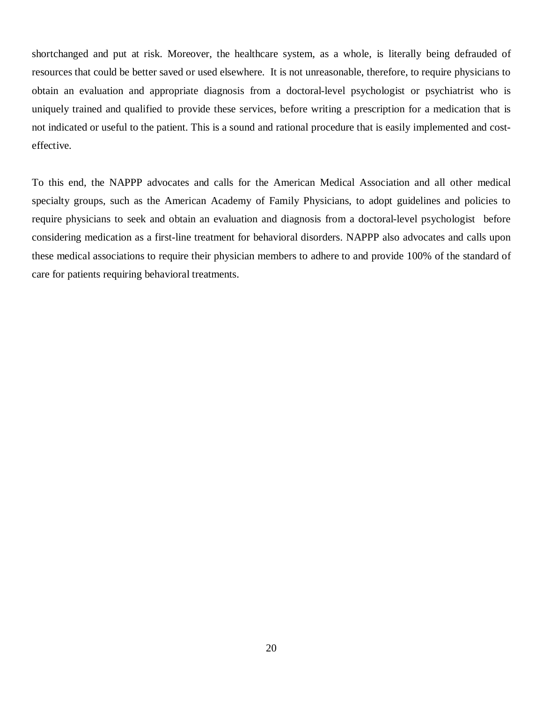shortchanged and put at risk. Moreover, the healthcare system, as a whole, is literally being defrauded of resources that could be better saved or used elsewhere. It is not unreasonable, therefore, to require physicians to obtain an evaluation and appropriate diagnosis from a doctoral-level psychologist or psychiatrist who is uniquely trained and qualified to provide these services, before writing a prescription for a medication that is not indicated or useful to the patient. This is a sound and rational procedure that is easily implemented and costeffective.

To this end, the NAPPP advocates and calls for the American Medical Association and all other medical specialty groups, such as the American Academy of Family Physicians, to adopt guidelines and policies to require physicians to seek and obtain an evaluation and diagnosis from a doctoral-level psychologist before considering medication as a first-line treatment for behavioral disorders. NAPPP also advocates and calls upon these medical associations to require their physician members to adhere to and provide 100% of the standard of care for patients requiring behavioral treatments.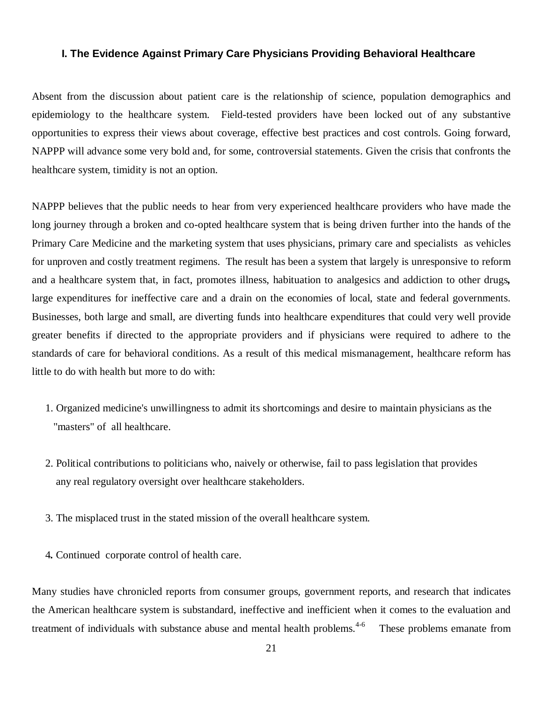#### **I. The Evidence Against Primary Care Physicians Providing Behavioral Healthcare**

Absent from the discussion about patient care is the relationship of science, population demographics and epidemiology to the healthcare system. Field-tested providers have been locked out of any substantive opportunities to express their views about coverage, effective best practices and cost controls. Going forward, NAPPP will advance some very bold and, for some, controversial statements. Given the crisis that confronts the healthcare system, timidity is not an option.

NAPPP believes that the public needs to hear from very experienced healthcare providers who have made the long journey through a broken and co-opted healthcare system that is being driven further into the hands of the Primary Care Medicine and the marketing system that uses physicians, primary care and specialists as vehicles for unproven and costly treatment regimens. The result has been a system that largely is unresponsive to reform and a healthcare system that, in fact, promotes illness, habituation to analgesics and addiction to other drugs*,* large expenditures for ineffective care and a drain on the economies of local, state and federal governments. Businesses, both large and small, are diverting funds into healthcare expenditures that could very well provide greater benefits if directed to the appropriate providers and if physicians were required to adhere to the standards of care for behavioral conditions. As a result of this medical mismanagement, healthcare reform has little to do with health but more to do with:

- 1. Organized medicine's unwillingness to admit its shortcomings and desire to maintain physicians as the "masters" of all healthcare.
- 2. Political contributions to politicians who, naively or otherwise, fail to pass legislation that provides any real regulatory oversight over healthcare stakeholders.
- 3. The misplaced trust in the stated mission of the overall healthcare system.
- 4*.* Continued corporate control of health care.

Many studies have chronicled reports from consumer groups, government reports, and research that indicates the American healthcare system is substandard, ineffective and inefficient when it comes to the evaluation and treatment of individuals with substance abuse and mental health problems.<sup>4-6</sup> These problems emanate from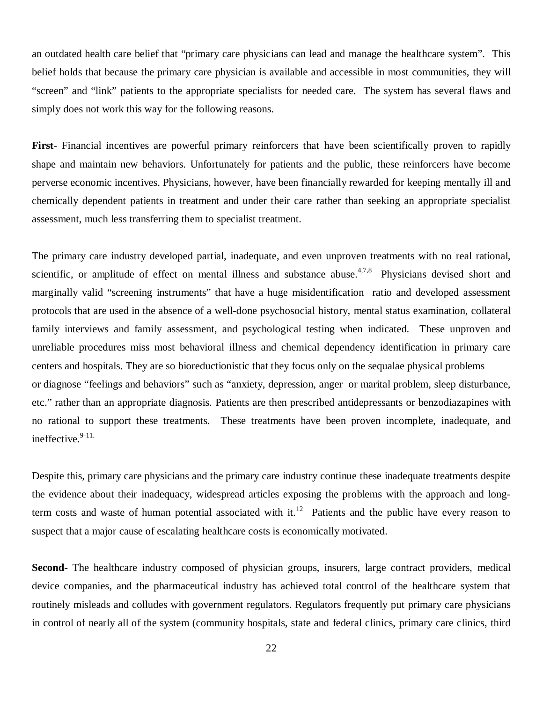an outdated health care belief that "primary care physicians can lead and manage the healthcare system". This belief holds that because the primary care physician is available and accessible in most communities, they will "screen" and "link" patients to the appropriate specialists for needed care. The system has several flaws and simply does not work this way for the following reasons.

**First**- Financial incentives are powerful primary reinforcers that have been scientifically proven to rapidly shape and maintain new behaviors. Unfortunately for patients and the public, these reinforcers have become perverse economic incentives. Physicians, however, have been financially rewarded for keeping mentally ill and chemically dependent patients in treatment and under their care rather than seeking an appropriate specialist assessment, much less transferring them to specialist treatment.

The primary care industry developed partial, inadequate, and even unproven treatments with no real rational, scientific, or amplitude of effect on mental illness and substance abuse.<sup>4,7,8</sup> Physicians devised short and marginally valid "screening instruments" that have a huge misidentification ratio and developed assessment protocols that are used in the absence of a well-done psychosocial history, mental status examination, collateral family interviews and family assessment, and psychological testing when indicated. These unproven and unreliable procedures miss most behavioral illness and chemical dependency identification in primary care centers and hospitals. They are so bioreductionistic that they focus only on the sequalae physical problems or diagnose "feelings and behaviors" such as "anxiety, depression, anger or marital problem, sleep disturbance, etc." rather than an appropriate diagnosis. Patients are then prescribed antidepressants or benzodiazapines with no rational to support these treatments. These treatments have been proven incomplete, inadequate, and ineffective. $9-11$ .

Despite this, primary care physicians and the primary care industry continue these inadequate treatments despite the evidence about their inadequacy, widespread articles exposing the problems with the approach and longterm costs and waste of human potential associated with it.<sup>12</sup> Patients and the public have every reason to suspect that a major cause of escalating healthcare costs is economically motivated.

Second- The healthcare industry composed of physician groups, insurers, large contract providers, medical device companies, and the pharmaceutical industry has achieved total control of the healthcare system that routinely misleads and colludes with government regulators. Regulators frequently put primary care physicians in control of nearly all of the system (community hospitals, state and federal clinics, primary care clinics, third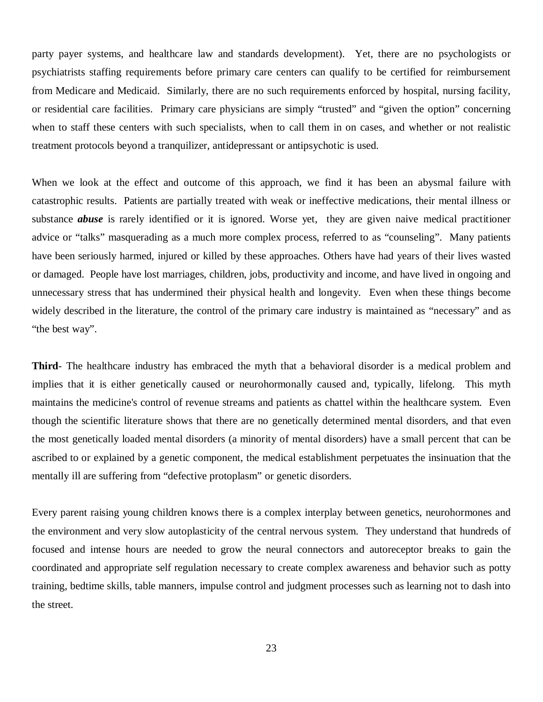party payer systems, and healthcare law and standards development). Yet, there are no psychologists or psychiatrists staffing requirements before primary care centers can qualify to be certified for reimbursement from Medicare and Medicaid. Similarly, there are no such requirements enforced by hospital, nursing facility, or residential care facilities. Primary care physicians are simply "trusted" and "given the option" concerning when to staff these centers with such specialists, when to call them in on cases, and whether or not realistic treatment protocols beyond a tranquilizer, antidepressant or antipsychotic is used.

When we look at the effect and outcome of this approach, we find it has been an abysmal failure with catastrophic results. Patients are partially treated with weak or ineffective medications, their mental illness or substance *abuse* is rarely identified or it is ignored. Worse yet, they are given naive medical practitioner advice or "talks" masquerading as a much more complex process, referred to as "counseling". Many patients have been seriously harmed, injured or killed by these approaches. Others have had years of their lives wasted or damaged. People have lost marriages, children, jobs, productivity and income, and have lived in ongoing and unnecessary stress that has undermined their physical health and longevity. Even when these things become widely described in the literature, the control of the primary care industry is maintained as "necessary" and as "the best way".

**Third**- The healthcare industry has embraced the myth that a behavioral disorder is a medical problem and implies that it is either genetically caused or neurohormonally caused and, typically, lifelong. This myth maintains the medicine's control of revenue streams and patients as chattel within the healthcare system. Even though the scientific literature shows that there are no genetically determined mental disorders, and that even the most genetically loaded mental disorders (a minority of mental disorders) have a small percent that can be ascribed to or explained by a genetic component, the medical establishment perpetuates the insinuation that the mentally ill are suffering from "defective protoplasm" or genetic disorders.

Every parent raising young children knows there is a complex interplay between genetics, neurohormones and the environment and very slow autoplasticity of the central nervous system. They understand that hundreds of focused and intense hours are needed to grow the neural connectors and autoreceptor breaks to gain the coordinated and appropriate self regulation necessary to create complex awareness and behavior such as potty training, bedtime skills, table manners, impulse control and judgment processes such as learning not to dash into the street.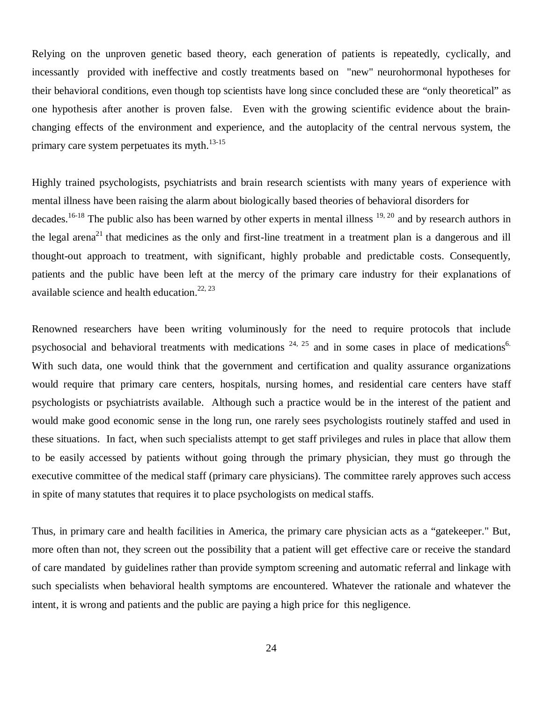Relying on the unproven genetic based theory, each generation of patients is repeatedly, cyclically, and incessantly provided with ineffective and costly treatments based on "new" neurohormonal hypotheses for their behavioral conditions, even though top scientists have long since concluded these are "only theoretical" as one hypothesis after another is proven false. Even with the growing scientific evidence about the brainchanging effects of the environment and experience, and the autoplacity of the central nervous system, the primary care system perpetuates its myth.<sup>13-15</sup>

Highly trained psychologists, psychiatrists and brain research scientists with many years of experience with mental illness have been raising the alarm about biologically based theories of behavioral disorders for decades.<sup>16-18</sup> The public also has been warned by other experts in mental illness  $19, 20$  and by research authors in the legal arena<sup>21</sup> that medicines as the only and first-line treatment in a treatment plan is a dangerous and ill thought-out approach to treatment, with significant, highly probable and predictable costs. Consequently, patients and the public have been left at the mercy of the primary care industry for their explanations of available science and health education.<sup>22, 23</sup>

Renowned researchers have been writing voluminously for the need to require protocols that include psychosocial and behavioral treatments with medications  $24$ ,  $25$  and in some cases in place of medications<sup>6.</sup> With such data, one would think that the government and certification and quality assurance organizations would require that primary care centers, hospitals, nursing homes, and residential care centers have staff psychologists or psychiatrists available. Although such a practice would be in the interest of the patient and would make good economic sense in the long run, one rarely sees psychologists routinely staffed and used in these situations. In fact, when such specialists attempt to get staff privileges and rules in place that allow them to be easily accessed by patients without going through the primary physician, they must go through the executive committee of the medical staff (primary care physicians). The committee rarely approves such access in spite of many statutes that requires it to place psychologists on medical staffs.

Thus, in primary care and health facilities in America, the primary care physician acts as a "gatekeeper." But, more often than not, they screen out the possibility that a patient will get effective care or receive the standard of care mandated by guidelines rather than provide symptom screening and automatic referral and linkage with such specialists when behavioral health symptoms are encountered. Whatever the rationale and whatever the intent, it is wrong and patients and the public are paying a high price for this negligence.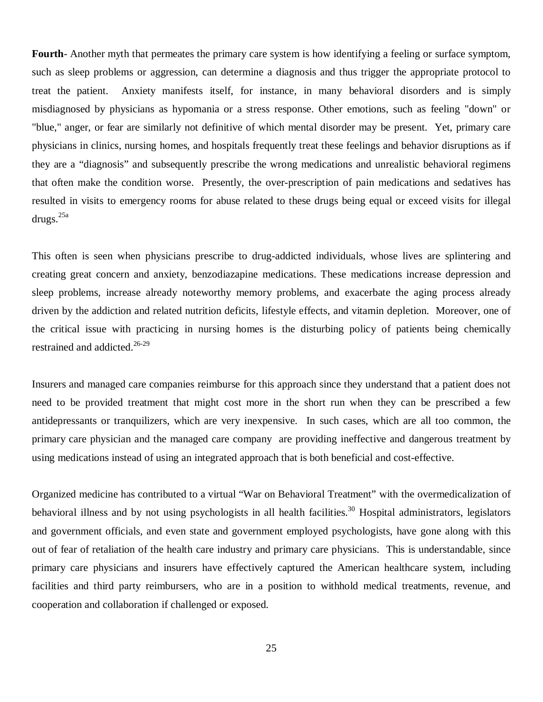**Fourth**- Another myth that permeates the primary care system is how identifying a feeling or surface symptom, such as sleep problems or aggression, can determine a diagnosis and thus trigger the appropriate protocol to treat the patient. Anxiety manifests itself, for instance, in many behavioral disorders and is simply misdiagnosed by physicians as hypomania or a stress response. Other emotions, such as feeling "down" or "blue," anger, or fear are similarly not definitive of which mental disorder may be present. Yet, primary care physicians in clinics, nursing homes, and hospitals frequently treat these feelings and behavior disruptions as if they are a "diagnosis" and subsequently prescribe the wrong medications and unrealistic behavioral regimens that often make the condition worse. Presently, the over-prescription of pain medications and sedatives has resulted in visits to emergency rooms for abuse related to these drugs being equal or exceed visits for illegal drugs.<sup>25a</sup>

This often is seen when physicians prescribe to drug-addicted individuals, whose lives are splintering and creating great concern and anxiety, benzodiazapine medications. These medications increase depression and sleep problems, increase already noteworthy memory problems, and exacerbate the aging process already driven by the addiction and related nutrition deficits, lifestyle effects, and vitamin depletion. Moreover, one of the critical issue with practicing in nursing homes is the disturbing policy of patients being chemically restrained and addicted.<sup>26-29</sup>

Insurers and managed care companies reimburse for this approach since they understand that a patient does not need to be provided treatment that might cost more in the short run when they can be prescribed a few antidepressants or tranquilizers, which are very inexpensive. In such cases, which are all too common, the primary care physician and the managed care company are providing ineffective and dangerous treatment by using medications instead of using an integrated approach that is both beneficial and cost-effective.

Organized medicine has contributed to a virtual "War on Behavioral Treatment" with the overmedicalization of behavioral illness and by not using psychologists in all health facilities.<sup>30</sup> Hospital administrators, legislators and government officials, and even state and government employed psychologists, have gone along with this out of fear of retaliation of the health care industry and primary care physicians. This is understandable, since primary care physicians and insurers have effectively captured the American healthcare system, including facilities and third party reimbursers, who are in a position to withhold medical treatments, revenue, and cooperation and collaboration if challenged or exposed.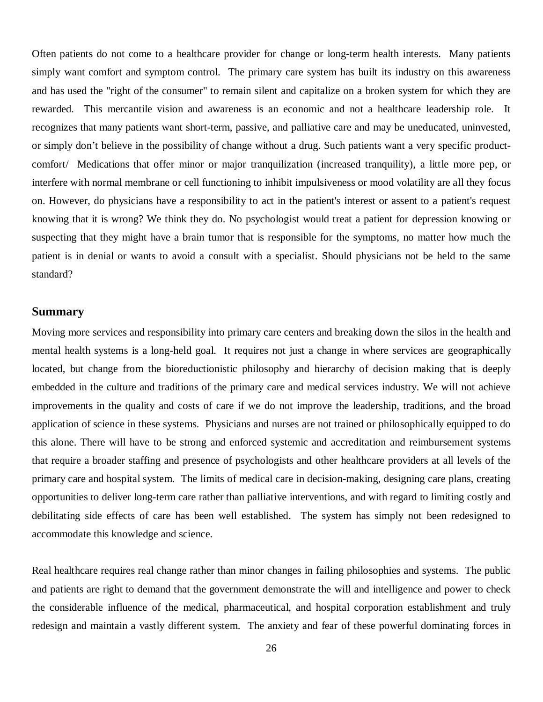Often patients do not come to a healthcare provider for change or long-term health interests. Many patients simply want comfort and symptom control. The primary care system has built its industry on this awareness and has used the "right of the consumer" to remain silent and capitalize on a broken system for which they are rewarded. This mercantile vision and awareness is an economic and not a healthcare leadership role. It recognizes that many patients want short-term, passive, and palliative care and may be uneducated, uninvested, or simply don't believe in the possibility of change without a drug. Such patients want a very specific productcomfort/ Medications that offer minor or major tranquilization (increased tranquility), a little more pep, or interfere with normal membrane or cell functioning to inhibit impulsiveness or mood volatility are all they focus on. However, do physicians have a responsibility to act in the patient's interest or assent to a patient's request knowing that it is wrong? We think they do. No psychologist would treat a patient for depression knowing or suspecting that they might have a brain tumor that is responsible for the symptoms, no matter how much the patient is in denial or wants to avoid a consult with a specialist. Should physicians not be held to the same standard?

#### **Summary**

Moving more services and responsibility into primary care centers and breaking down the silos in the health and mental health systems is a long-held goal. It requires not just a change in where services are geographically located, but change from the bioreductionistic philosophy and hierarchy of decision making that is deeply embedded in the culture and traditions of the primary care and medical services industry. We will not achieve improvements in the quality and costs of care if we do not improve the leadership, traditions, and the broad application of science in these systems. Physicians and nurses are not trained or philosophically equipped to do this alone. There will have to be strong and enforced systemic and accreditation and reimbursement systems that require a broader staffing and presence of psychologists and other healthcare providers at all levels of the primary care and hospital system. The limits of medical care in decision-making, designing care plans, creating opportunities to deliver long-term care rather than palliative interventions, and with regard to limiting costly and debilitating side effects of care has been well established. The system has simply not been redesigned to accommodate this knowledge and science.

Real healthcare requires real change rather than minor changes in failing philosophies and systems. The public and patients are right to demand that the government demonstrate the will and intelligence and power to check the considerable influence of the medical, pharmaceutical, and hospital corporation establishment and truly redesign and maintain a vastly different system. The anxiety and fear of these powerful dominating forces in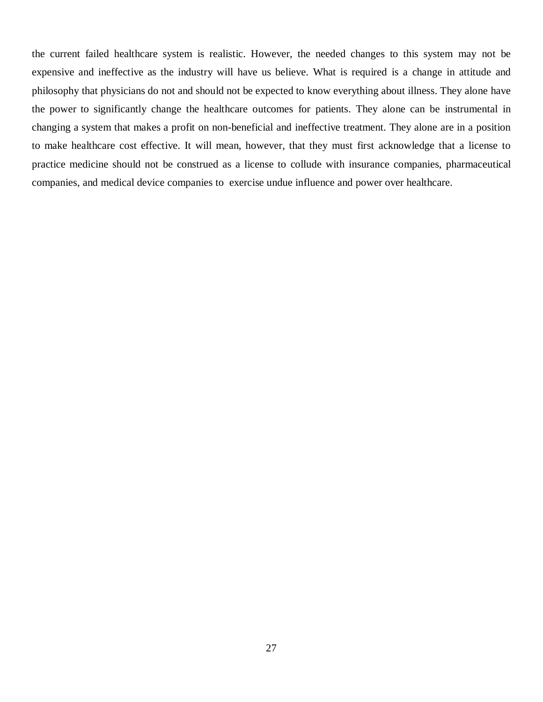the current failed healthcare system is realistic. However, the needed changes to this system may not be expensive and ineffective as the industry will have us believe. What is required is a change in attitude and philosophy that physicians do not and should not be expected to know everything about illness. They alone have the power to significantly change the healthcare outcomes for patients. They alone can be instrumental in changing a system that makes a profit on non-beneficial and ineffective treatment. They alone are in a position to make healthcare cost effective. It will mean, however, that they must first acknowledge that a license to practice medicine should not be construed as a license to collude with insurance companies, pharmaceutical companies, and medical device companies to exercise undue influence and power over healthcare.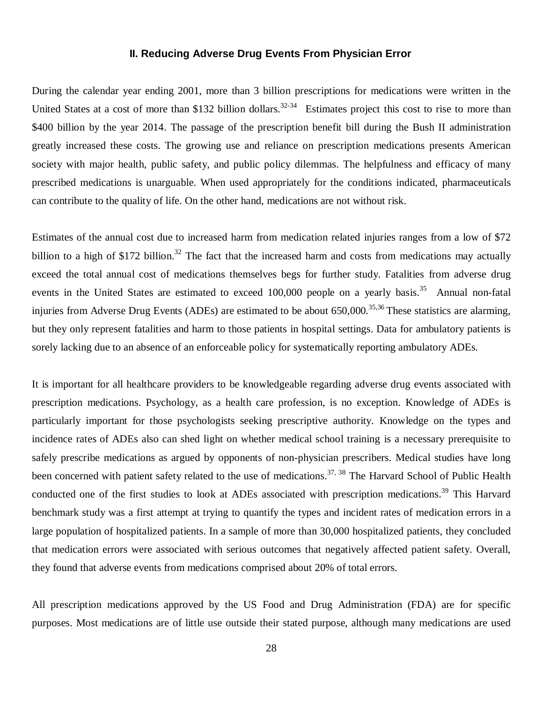#### **II. Reducing Adverse Drug Events From Physician Error**

During the calendar year ending 2001, more than 3 billion prescriptions for medications were written in the United States at a cost of more than \$132 billion dollars.<sup>32-34</sup> Estimates project this cost to rise to more than \$400 billion by the year 2014. The passage of the prescription benefit bill during the Bush II administration greatly increased these costs. The growing use and reliance on prescription medications presents American society with major health, public safety, and public policy dilemmas. The helpfulness and efficacy of many prescribed medications is unarguable. When used appropriately for the conditions indicated, pharmaceuticals can contribute to the quality of life. On the other hand, medications are not without risk.

Estimates of the annual cost due to increased harm from medication related injuries ranges from a low of \$72 billion to a high of \$172 billion.<sup>32</sup> The fact that the increased harm and costs from medications may actually exceed the total annual cost of medications themselves begs for further study. Fatalities from adverse drug events in the United States are estimated to exceed 100,000 people on a yearly basis.<sup>35</sup> Annual non-fatal injuries from Adverse Drug Events (ADEs) are estimated to be about  $650,000$ .<sup>35,36</sup> These statistics are alarming, but they only represent fatalities and harm to those patients in hospital settings. Data for ambulatory patients is sorely lacking due to an absence of an enforceable policy for systematically reporting ambulatory ADEs.

It is important for all healthcare providers to be knowledgeable regarding adverse drug events associated with prescription medications. Psychology, as a health care profession, is no exception. Knowledge of ADEs is particularly important for those psychologists seeking prescriptive authority. Knowledge on the types and incidence rates of ADEs also can shed light on whether medical school training is a necessary prerequisite to safely prescribe medications as argued by opponents of non-physician prescribers. Medical studies have long been concerned with patient safety related to the use of medications.<sup>37, 38</sup> The Harvard School of Public Health conducted one of the first studies to look at ADEs associated with prescription medications.<sup>39</sup> This Harvard benchmark study was a first attempt at trying to quantify the types and incident rates of medication errors in a large population of hospitalized patients. In a sample of more than 30,000 hospitalized patients, they concluded that medication errors were associated with serious outcomes that negatively affected patient safety. Overall, they found that adverse events from medications comprised about 20% of total errors.

All prescription medications approved by the US Food and Drug Administration (FDA) are for specific purposes. Most medications are of little use outside their stated purpose, although many medications are used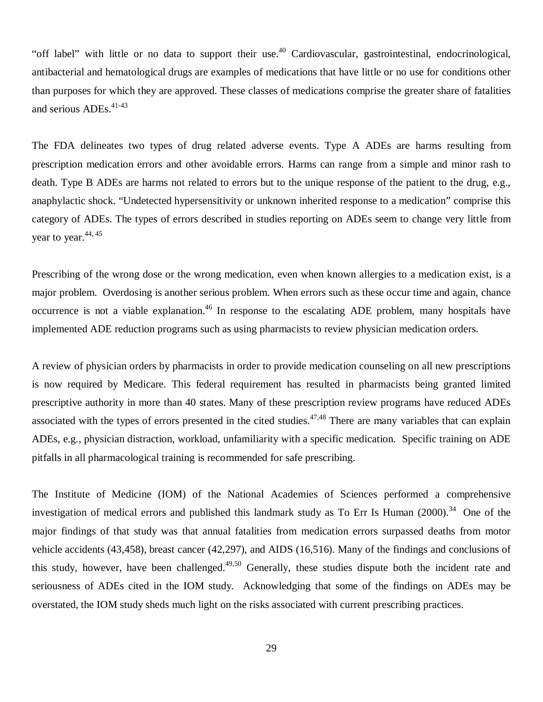"off label" with little or no data to support their use.<sup>40</sup> Cardiovascular, gastrointestinal, endocrinological, antibacterial and hematological drugs are examples of medications that have little or no use for conditions other than purposes for which they are approved. These classes of medications comprise the greater share of fatalities and serious ADEs.<sup>41-43</sup>

The FDA delineates two types of drug related adverse events. Type A ADEs are harms resulting from prescription medication errors and other avoidable errors. Harms can range from a simple and minor rash to death. Type B ADEs are harms not related to errors but to the unique response of the patient to the drug, e.g., anaphylactic shock. "Undetected hypersensitivity or unknown inherited response to a medication" comprise this category of ADEs. The types of errors described in studies reporting on ADEs seem to change very little from year to year. $44, 45$ 

Prescribing of the wrong dose or the wrong medication, even when known allergies to a medication exist, is a major problem. Overdosing is another serious problem. When errors such as these occur time and again, chance occurrence is not a viable explanation.<sup>46</sup> In response to the escalating ADE problem, many hospitals have implemented ADE reduction programs such as using pharmacists to review physician medication orders.

A review of physician orders by pharmacists in order to provide medication counseling on all new prescriptions is now required by Medicare. This federal requirement has resulted in pharmacists being granted limited prescriptive authority in more than 40 states. Many of these prescription review programs have reduced ADEs associated with the types of errors presented in the cited studies.<sup>47,48</sup> There are many variables that can explain ADEs, e.g., physician distraction, workload, unfamiliarity with a specific medication. Specific training on ADE pitfalls in all pharmacological training is recommended for safe prescribing.

The Institute of Medicine (IOM) of the National Academies of Sciences performed a comprehensive investigation of medical errors and published this landmark study as To Err Is Human (2000).<sup>34</sup> One of the major findings of that study was that annual fatalities from medication errors surpassed deaths from motor vehicle accidents (43,458), breast cancer (42,297), and AIDS (16,516). Many of the findings and conclusions of this study, however, have been challenged.<sup>49,50</sup> Generally, these studies dispute both the incident rate and seriousness of ADEs cited in the IOM study. Acknowledging that some of the findings on ADEs may be overstated, the IOM study sheds much light on the risks associated with current prescribing practices.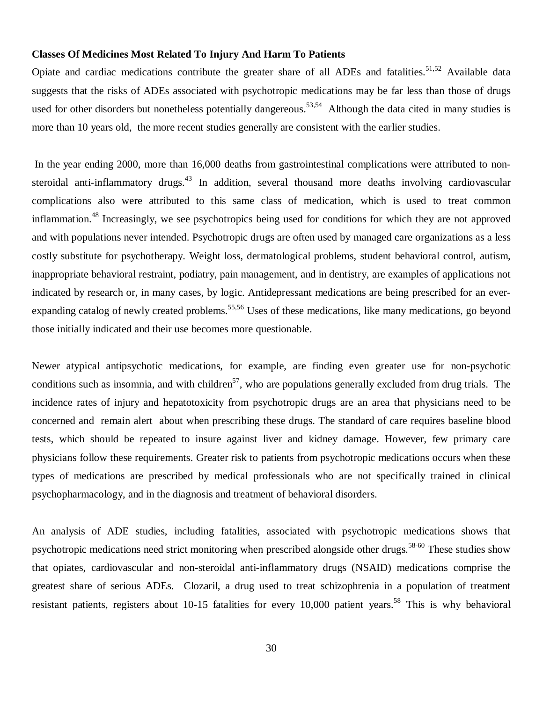#### **Classes Of Medicines Most Related To Injury And Harm To Patients**

Opiate and cardiac medications contribute the greater share of all ADEs and fatalities.<sup>51,52</sup> Available data suggests that the risks of ADEs associated with psychotropic medications may be far less than those of drugs used for other disorders but nonetheless potentially dangereous.<sup>53,54</sup> Although the data cited in many studies is more than 10 years old, the more recent studies generally are consistent with the earlier studies.

 In the year ending 2000, more than 16,000 deaths from gastrointestinal complications were attributed to nonsteroidal anti-inflammatory drugs.<sup>43</sup> In addition, several thousand more deaths involving cardiovascular complications also were attributed to this same class of medication, which is used to treat common inflammation.<sup>48</sup> Increasingly, we see psychotropics being used for conditions for which they are not approved and with populations never intended. Psychotropic drugs are often used by managed care organizations as a less costly substitute for psychotherapy. Weight loss, dermatological problems, student behavioral control, autism, inappropriate behavioral restraint, podiatry, pain management, and in dentistry, are examples of applications not indicated by research or, in many cases, by logic. Antidepressant medications are being prescribed for an everexpanding catalog of newly created problems.<sup>55,56</sup> Uses of these medications, like many medications, go beyond those initially indicated and their use becomes more questionable.

Newer atypical antipsychotic medications, for example, are finding even greater use for non-psychotic conditions such as insomnia, and with children<sup>57</sup>, who are populations generally excluded from drug trials. The incidence rates of injury and hepatotoxicity from psychotropic drugs are an area that physicians need to be concerned and remain alert about when prescribing these drugs. The standard of care requires baseline blood tests, which should be repeated to insure against liver and kidney damage. However, few primary care physicians follow these requirements. Greater risk to patients from psychotropic medications occurs when these types of medications are prescribed by medical professionals who are not specifically trained in clinical psychopharmacology, and in the diagnosis and treatment of behavioral disorders.

An analysis of ADE studies, including fatalities, associated with psychotropic medications shows that psychotropic medications need strict monitoring when prescribed alongside other drugs.<sup>58-60</sup> These studies show that opiates, cardiovascular and non-steroidal anti-inflammatory drugs (NSAID) medications comprise the greatest share of serious ADEs. Clozaril, a drug used to treat schizophrenia in a population of treatment resistant patients, registers about 10-15 fatalities for every 10,000 patient years.<sup>58</sup> This is why behavioral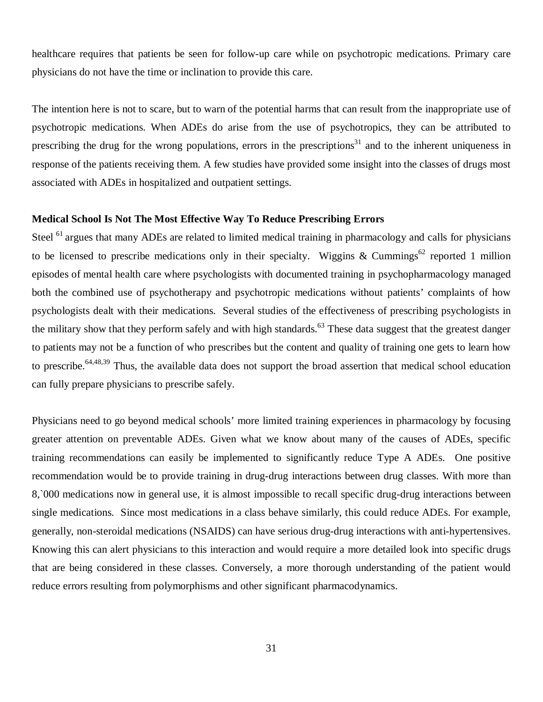healthcare requires that patients be seen for follow-up care while on psychotropic medications. Primary care physicians do not have the time or inclination to provide this care.

The intention here is not to scare, but to warn of the potential harms that can result from the inappropriate use of psychotropic medications. When ADEs do arise from the use of psychotropics, they can be attributed to prescribing the drug for the wrong populations, errors in the prescriptions<sup>31</sup> and to the inherent uniqueness in response of the patients receiving them. A few studies have provided some insight into the classes of drugs most associated with ADEs in hospitalized and outpatient settings.

#### **Medical School Is Not The Most Effective Way To Reduce Prescribing Errors**

Steel <sup>61</sup> argues that many ADEs are related to limited medical training in pharmacology and calls for physicians to be licensed to prescribe medications only in their specialty. Wiggins & Cummings<sup>62</sup> reported 1 million episodes of mental health care where psychologists with documented training in psychopharmacology managed both the combined use of psychotherapy and psychotropic medications without patients' complaints of how psychologists dealt with their medications. Several studies of the effectiveness of prescribing psychologists in the military show that they perform safely and with high standards.<sup>63</sup> These data suggest that the greatest danger to patients may not be a function of who prescribes but the content and quality of training one gets to learn how to prescribe.<sup>64,48,39</sup> Thus, the available data does not support the broad assertion that medical school education can fully prepare physicians to prescribe safely.

Physicians need to go beyond medical schools' more limited training experiences in pharmacology by focusing greater attention on preventable ADEs. Given what we know about many of the causes of ADEs, specific training recommendations can easily be implemented to significantly reduce Type A ADEs. One positive recommendation would be to provide training in drug-drug interactions between drug classes. With more than 8,`000 medications now in general use, it is almost impossible to recall specific drug-drug interactions between single medications. Since most medications in a class behave similarly, this could reduce ADEs. For example, generally, non-steroidal medications (NSAIDS) can have serious drug-drug interactions with anti-hypertensives. Knowing this can alert physicians to this interaction and would require a more detailed look into specific drugs that are being considered in these classes. Conversely, a more thorough understanding of the patient would reduce errors resulting from polymorphisms and other significant pharmacodynamics.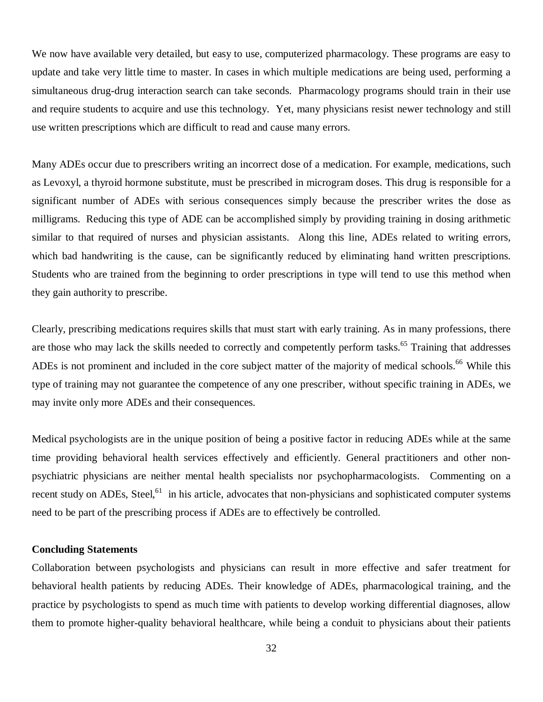We now have available very detailed, but easy to use, computerized pharmacology. These programs are easy to update and take very little time to master. In cases in which multiple medications are being used, performing a simultaneous drug-drug interaction search can take seconds. Pharmacology programs should train in their use and require students to acquire and use this technology. Yet, many physicians resist newer technology and still use written prescriptions which are difficult to read and cause many errors.

Many ADEs occur due to prescribers writing an incorrect dose of a medication. For example, medications, such as Levoxyl, a thyroid hormone substitute, must be prescribed in microgram doses. This drug is responsible for a significant number of ADEs with serious consequences simply because the prescriber writes the dose as milligrams. Reducing this type of ADE can be accomplished simply by providing training in dosing arithmetic similar to that required of nurses and physician assistants. Along this line, ADEs related to writing errors, which bad handwriting is the cause, can be significantly reduced by eliminating hand written prescriptions. Students who are trained from the beginning to order prescriptions in type will tend to use this method when they gain authority to prescribe.

Clearly, prescribing medications requires skills that must start with early training. As in many professions, there are those who may lack the skills needed to correctly and competently perform tasks.<sup>65</sup> Training that addresses ADEs is not prominent and included in the core subject matter of the majority of medical schools.<sup>66</sup> While this type of training may not guarantee the competence of any one prescriber, without specific training in ADEs, we may invite only more ADEs and their consequences.

Medical psychologists are in the unique position of being a positive factor in reducing ADEs while at the same time providing behavioral health services effectively and efficiently. General practitioners and other nonpsychiatric physicians are neither mental health specialists nor psychopharmacologists. Commenting on a recent study on ADEs, Steel,<sup>61</sup> in his article, advocates that non-physicians and sophisticated computer systems need to be part of the prescribing process if ADEs are to effectively be controlled.

#### **Concluding Statements**

Collaboration between psychologists and physicians can result in more effective and safer treatment for behavioral health patients by reducing ADEs. Their knowledge of ADEs, pharmacological training, and the practice by psychologists to spend as much time with patients to develop working differential diagnoses, allow them to promote higher-quality behavioral healthcare, while being a conduit to physicians about their patients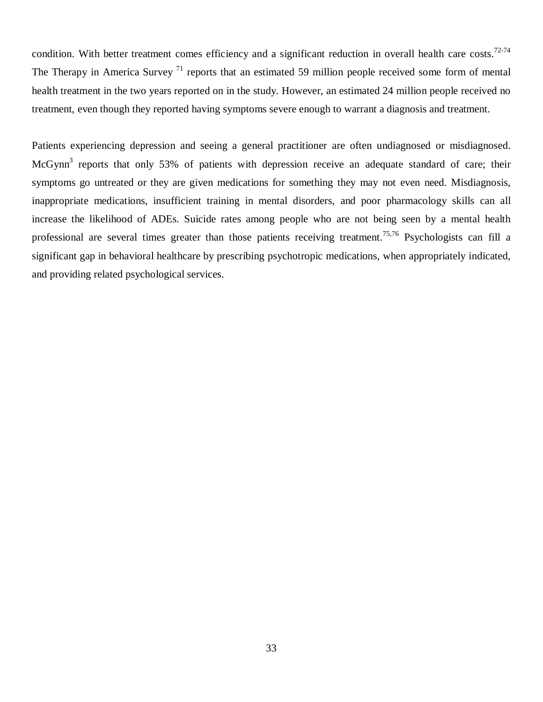condition. With better treatment comes efficiency and a significant reduction in overall health care costs.<sup>72-74</sup> The Therapy in America Survey  $^{71}$  reports that an estimated 59 million people received some form of mental health treatment in the two years reported on in the study. However, an estimated 24 million people received no treatment, even though they reported having symptoms severe enough to warrant a diagnosis and treatment.

Patients experiencing depression and seeing a general practitioner are often undiagnosed or misdiagnosed. McGynn<sup>3</sup> reports that only 53% of patients with depression receive an adequate standard of care; their symptoms go untreated or they are given medications for something they may not even need. Misdiagnosis, inappropriate medications, insufficient training in mental disorders, and poor pharmacology skills can all increase the likelihood of ADEs. Suicide rates among people who are not being seen by a mental health professional are several times greater than those patients receiving treatment.<sup>75,76</sup> Psychologists can fill a significant gap in behavioral healthcare by prescribing psychotropic medications, when appropriately indicated, and providing related psychological services.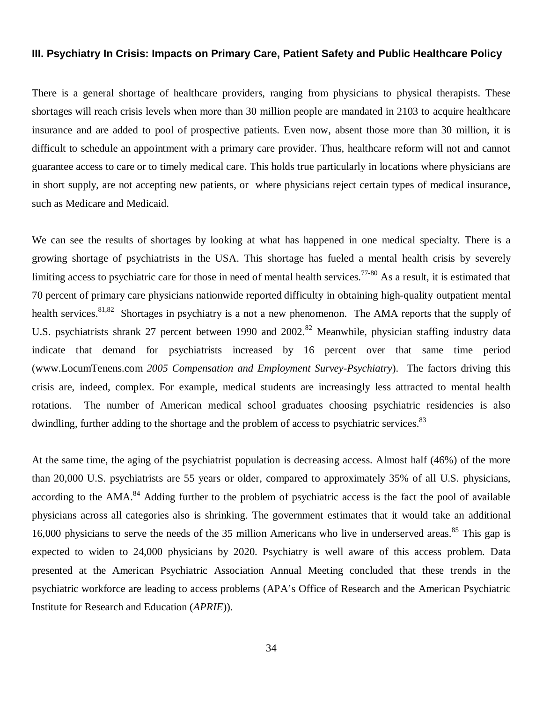#### **III. Psychiatry In Crisis: Impacts on Primary Care, Patient Safety and Public Healthcare Policy**

There is a general shortage of healthcare providers, ranging from physicians to physical therapists. These shortages will reach crisis levels when more than 30 million people are mandated in 2103 to acquire healthcare insurance and are added to pool of prospective patients. Even now, absent those more than 30 million, it is difficult to schedule an appointment with a primary care provider. Thus, healthcare reform will not and cannot guarantee access to care or to timely medical care. This holds true particularly in locations where physicians are in short supply, are not accepting new patients, or where physicians reject certain types of medical insurance, such as Medicare and Medicaid.

We can see the results of shortages by looking at what has happened in one medical specialty. There is a growing shortage of psychiatrists in the USA. This shortage has fueled a mental health crisis by severely limiting access to psychiatric care for those in need of mental health services.<sup>77-80</sup> As a result, it is estimated that 70 percent of primary care physicians nationwide reported difficulty in obtaining high-quality outpatient mental health services.<sup>81,82</sup> Shortages in psychiatry is a not a new phenomenon. The AMA reports that the supply of U.S. psychiatrists shrank 27 percent between 1990 and 2002.<sup>82</sup> Meanwhile, physician staffing industry data indicate that demand for psychiatrists increased by 16 percent over that same time period (www.LocumTenens.com *2005 Compensation and Employment Survey-Psychiatry*). The factors driving this crisis are, indeed, complex. For example, medical students are increasingly less attracted to mental health rotations. The number of American medical school graduates choosing psychiatric residencies is also dwindling, further adding to the shortage and the problem of access to psychiatric services.<sup>83</sup>

At the same time, the aging of the psychiatrist population is decreasing access. Almost half (46%) of the more than 20,000 U.S. psychiatrists are 55 years or older, compared to approximately 35% of all U.S. physicians, according to the AMA.<sup>84</sup> Adding further to the problem of psychiatric access is the fact the pool of available physicians across all categories also is shrinking. The government estimates that it would take an additional 16,000 physicians to serve the needs of the 35 million Americans who live in underserved areas.<sup>85</sup> This gap is expected to widen to 24,000 physicians by 2020. Psychiatry is well aware of this access problem. Data presented at the American Psychiatric Association Annual Meeting concluded that these trends in the psychiatric workforce are leading to access problems (APA's Office of Research and the American Psychiatric Institute for Research and Education (*APRIE*)).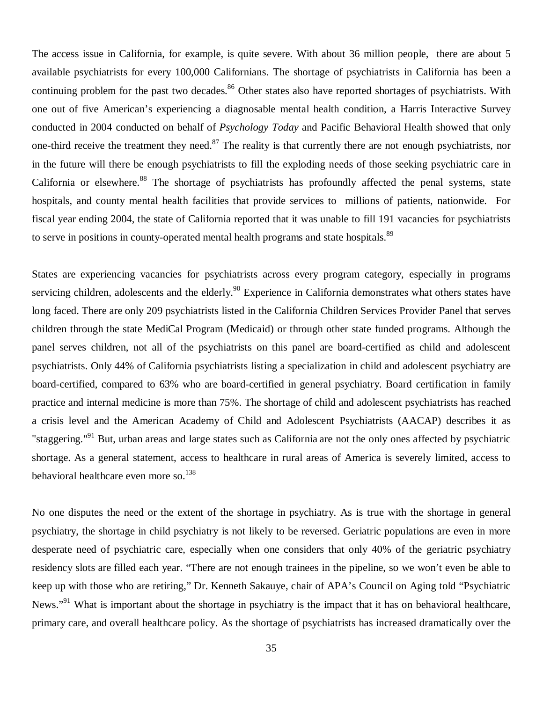The access issue in California, for example, is quite severe. With about 36 million people, there are about 5 available psychiatrists for every 100,000 Californians. The shortage of psychiatrists in California has been a continuing problem for the past two decades.<sup>86</sup> Other states also have reported shortages of psychiatrists. With one out of five American's experiencing a diagnosable mental health condition, a Harris Interactive Survey conducted in 2004 conducted on behalf of *Psychology Today* and Pacific Behavioral Health showed that only one-third receive the treatment they need.<sup>87</sup> The reality is that currently there are not enough psychiatrists, nor in the future will there be enough psychiatrists to fill the exploding needs of those seeking psychiatric care in California or elsewhere.<sup>88</sup> The shortage of psychiatrists has profoundly affected the penal systems, state hospitals, and county mental health facilities that provide services to millions of patients, nationwide. For fiscal year ending 2004, the state of California reported that it was unable to fill 191 vacancies for psychiatrists to serve in positions in county-operated mental health programs and state hospitals.<sup>89</sup>

States are experiencing vacancies for psychiatrists across every program category, especially in programs servicing children, adolescents and the elderly.<sup>90</sup> Experience in California demonstrates what others states have long faced. There are only 209 psychiatrists listed in the California Children Services Provider Panel that serves children through the state MediCal Program (Medicaid) or through other state funded programs. Although the panel serves children, not all of the psychiatrists on this panel are board-certified as child and adolescent psychiatrists. Only 44% of California psychiatrists listing a specialization in child and adolescent psychiatry are board-certified, compared to 63% who are board-certified in general psychiatry. Board certification in family practice and internal medicine is more than 75%. The shortage of child and adolescent psychiatrists has reached a crisis level and the American Academy of Child and Adolescent Psychiatrists (AACAP) describes it as "staggering."<sup>91</sup> But, urban areas and large states such as California are not the only ones affected by psychiatric shortage. As a general statement, access to healthcare in rural areas of America is severely limited, access to behavioral healthcare even more so.<sup>138</sup>

No one disputes the need or the extent of the shortage in psychiatry. As is true with the shortage in general psychiatry, the shortage in child psychiatry is not likely to be reversed. Geriatric populations are even in more desperate need of psychiatric care, especially when one considers that only 40% of the geriatric psychiatry residency slots are filled each year. "There are not enough trainees in the pipeline, so we won't even be able to keep up with those who are retiring," Dr. Kenneth Sakauye, chair of APA's Council on Aging told "Psychiatric News."<sup>91</sup> What is important about the shortage in psychiatry is the impact that it has on behavioral healthcare, primary care, and overall healthcare policy. As the shortage of psychiatrists has increased dramatically over the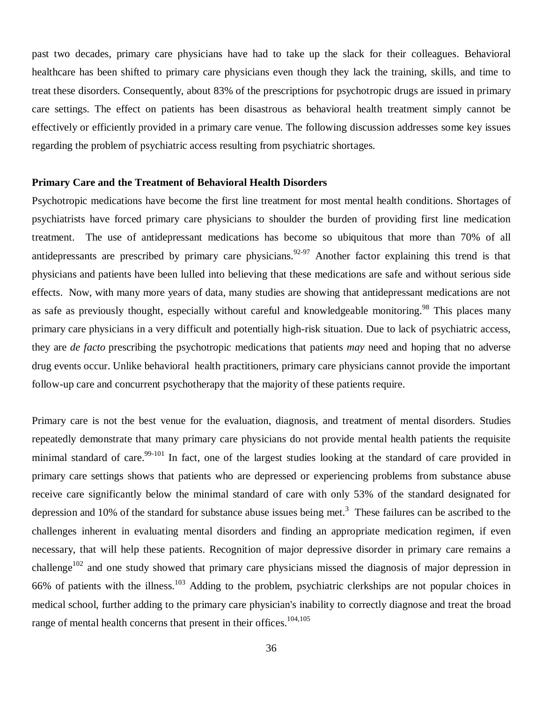past two decades, primary care physicians have had to take up the slack for their colleagues. Behavioral healthcare has been shifted to primary care physicians even though they lack the training, skills, and time to treat these disorders. Consequently, about 83% of the prescriptions for psychotropic drugs are issued in primary care settings. The effect on patients has been disastrous as behavioral health treatment simply cannot be effectively or efficiently provided in a primary care venue. The following discussion addresses some key issues regarding the problem of psychiatric access resulting from psychiatric shortages.

#### **Primary Care and the Treatment of Behavioral Health Disorders**

Psychotropic medications have become the first line treatment for most mental health conditions. Shortages of psychiatrists have forced primary care physicians to shoulder the burden of providing first line medication treatment. The use of antidepressant medications has become so ubiquitous that more than 70% of all antidepressants are prescribed by primary care physicians.<sup>92-97</sup> Another factor explaining this trend is that physicians and patients have been lulled into believing that these medications are safe and without serious side effects. Now, with many more years of data, many studies are showing that antidepressant medications are not as safe as previously thought, especially without careful and knowledgeable monitoring.<sup>98</sup> This places many primary care physicians in a very difficult and potentially high-risk situation. Due to lack of psychiatric access, they are *de facto* prescribing the psychotropic medications that patients *may* need and hoping that no adverse drug events occur. Unlike behavioral health practitioners, primary care physicians cannot provide the important follow-up care and concurrent psychotherapy that the majority of these patients require.

Primary care is not the best venue for the evaluation, diagnosis, and treatment of mental disorders. Studies repeatedly demonstrate that many primary care physicians do not provide mental health patients the requisite minimal standard of care.<sup>99-101</sup> In fact, one of the largest studies looking at the standard of care provided in primary care settings shows that patients who are depressed or experiencing problems from substance abuse receive care significantly below the minimal standard of care with only 53% of the standard designated for depression and 10% of the standard for substance abuse issues being met.<sup>3</sup> These failures can be ascribed to the challenges inherent in evaluating mental disorders and finding an appropriate medication regimen, if even necessary, that will help these patients. Recognition of major depressive disorder in primary care remains a challenge<sup>102</sup> and one study showed that primary care physicians missed the diagnosis of major depression in 66% of patients with the illness.<sup>103</sup> Adding to the problem, psychiatric clerkships are not popular choices in medical school, further adding to the primary care physician's inability to correctly diagnose and treat the broad range of mental health concerns that present in their offices.<sup>104,105</sup>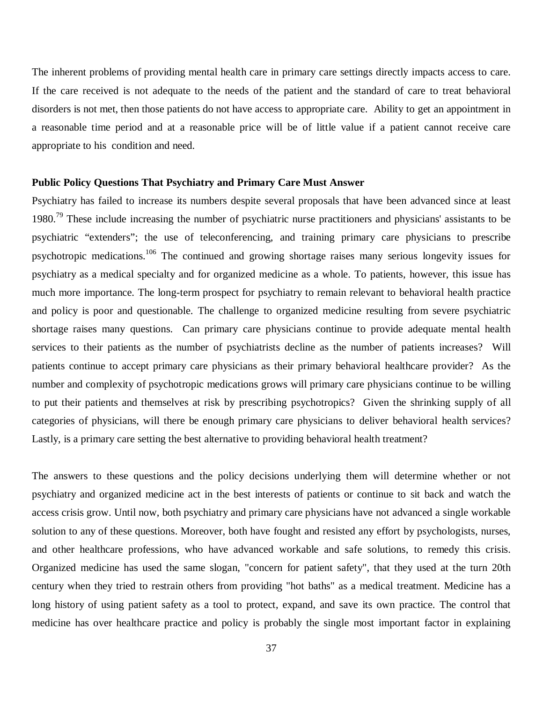The inherent problems of providing mental health care in primary care settings directly impacts access to care. If the care received is not adequate to the needs of the patient and the standard of care to treat behavioral disorders is not met, then those patients do not have access to appropriate care. Ability to get an appointment in a reasonable time period and at a reasonable price will be of little value if a patient cannot receive care appropriate to his condition and need.

#### **Public Policy Questions That Psychiatry and Primary Care Must Answer**

Psychiatry has failed to increase its numbers despite several proposals that have been advanced since at least 1980.<sup>79</sup> These include increasing the number of psychiatric nurse practitioners and physicians' assistants to be psychiatric "extenders"; the use of teleconferencing, and training primary care physicians to prescribe psychotropic medications.<sup>106</sup> The continued and growing shortage raises many serious longevity issues for psychiatry as a medical specialty and for organized medicine as a whole. To patients, however, this issue has much more importance. The long-term prospect for psychiatry to remain relevant to behavioral health practice and policy is poor and questionable. The challenge to organized medicine resulting from severe psychiatric shortage raises many questions. Can primary care physicians continue to provide adequate mental health services to their patients as the number of psychiatrists decline as the number of patients increases? Will patients continue to accept primary care physicians as their primary behavioral healthcare provider? As the number and complexity of psychotropic medications grows will primary care physicians continue to be willing to put their patients and themselves at risk by prescribing psychotropics? Given the shrinking supply of all categories of physicians, will there be enough primary care physicians to deliver behavioral health services? Lastly, is a primary care setting the best alternative to providing behavioral health treatment?

The answers to these questions and the policy decisions underlying them will determine whether or not psychiatry and organized medicine act in the best interests of patients or continue to sit back and watch the access crisis grow. Until now, both psychiatry and primary care physicians have not advanced a single workable solution to any of these questions. Moreover, both have fought and resisted any effort by psychologists, nurses, and other healthcare professions, who have advanced workable and safe solutions, to remedy this crisis. Organized medicine has used the same slogan, "concern for patient safety", that they used at the turn 20th century when they tried to restrain others from providing "hot baths" as a medical treatment. Medicine has a long history of using patient safety as a tool to protect, expand, and save its own practice. The control that medicine has over healthcare practice and policy is probably the single most important factor in explaining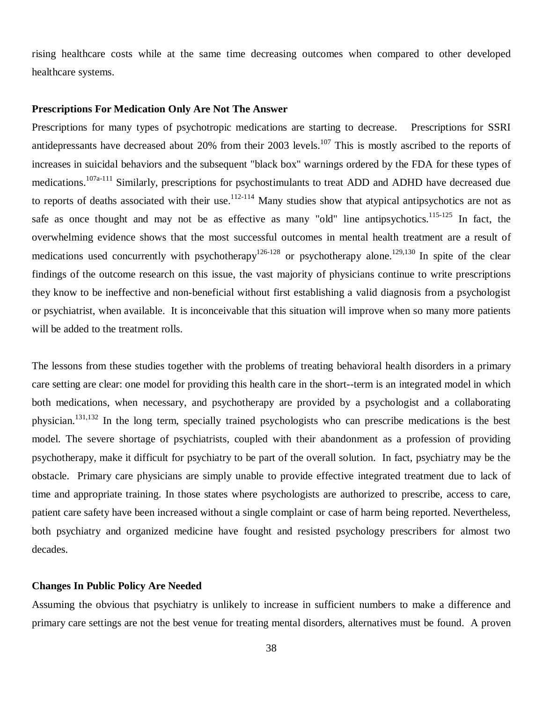rising healthcare costs while at the same time decreasing outcomes when compared to other developed healthcare systems.

# **Prescriptions For Medication Only Are Not The Answer**

Prescriptions for many types of psychotropic medications are starting to decrease. Prescriptions for SSRI antidepressants have decreased about 20% from their 2003 levels.<sup>107</sup> This is mostly ascribed to the reports of increases in suicidal behaviors and the subsequent "black box" warnings ordered by the FDA for these types of medications.107a-111 Similarly, prescriptions for psychostimulants to treat ADD and ADHD have decreased due to reports of deaths associated with their use.<sup>112-114</sup> Many studies show that atypical antipsychotics are not as safe as once thought and may not be as effective as many "old" line antipsychotics.<sup>115-125</sup> In fact, the overwhelming evidence shows that the most successful outcomes in mental health treatment are a result of medications used concurrently with psychotherapy<sup>126-128</sup> or psychotherapy alone.<sup>129,130</sup> In spite of the clear findings of the outcome research on this issue, the vast majority of physicians continue to write prescriptions they know to be ineffective and non-beneficial without first establishing a valid diagnosis from a psychologist or psychiatrist, when available. It is inconceivable that this situation will improve when so many more patients will be added to the treatment rolls.

The lessons from these studies together with the problems of treating behavioral health disorders in a primary care setting are clear: one model for providing this health care in the short--term is an integrated model in which both medications, when necessary, and psychotherapy are provided by a psychologist and a collaborating physician.131,132 In the long term, specially trained psychologists who can prescribe medications is the best model. The severe shortage of psychiatrists, coupled with their abandonment as a profession of providing psychotherapy, make it difficult for psychiatry to be part of the overall solution. In fact, psychiatry may be the obstacle. Primary care physicians are simply unable to provide effective integrated treatment due to lack of time and appropriate training. In those states where psychologists are authorized to prescribe, access to care, patient care safety have been increased without a single complaint or case of harm being reported. Nevertheless, both psychiatry and organized medicine have fought and resisted psychology prescribers for almost two decades.

### **Changes In Public Policy Are Needed**

Assuming the obvious that psychiatry is unlikely to increase in sufficient numbers to make a difference and primary care settings are not the best venue for treating mental disorders, alternatives must be found. A proven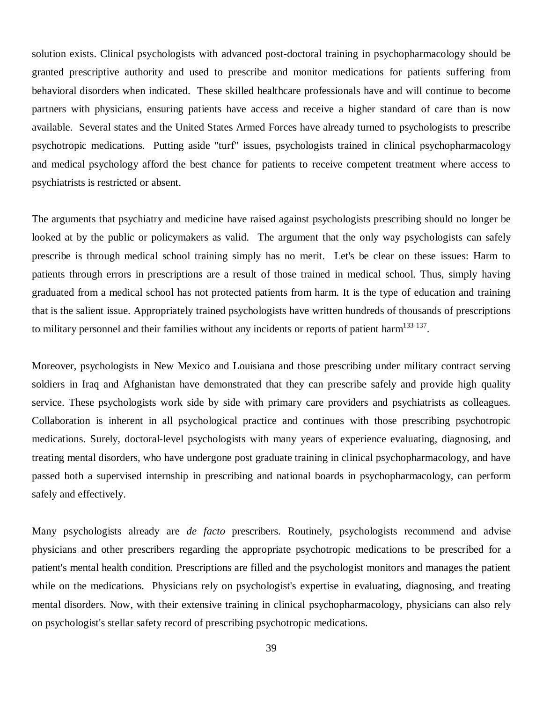solution exists. Clinical psychologists with advanced post-doctoral training in psychopharmacology should be granted prescriptive authority and used to prescribe and monitor medications for patients suffering from behavioral disorders when indicated. These skilled healthcare professionals have and will continue to become partners with physicians, ensuring patients have access and receive a higher standard of care than is now available. Several states and the United States Armed Forces have already turned to psychologists to prescribe psychotropic medications. Putting aside "turf" issues, psychologists trained in clinical psychopharmacology and medical psychology afford the best chance for patients to receive competent treatment where access to psychiatrists is restricted or absent.

The arguments that psychiatry and medicine have raised against psychologists prescribing should no longer be looked at by the public or policymakers as valid. The argument that the only way psychologists can safely prescribe is through medical school training simply has no merit. Let's be clear on these issues: Harm to patients through errors in prescriptions are a result of those trained in medical school. Thus, simply having graduated from a medical school has not protected patients from harm. It is the type of education and training that is the salient issue. Appropriately trained psychologists have written hundreds of thousands of prescriptions to military personnel and their families without any incidents or reports of patient harm<sup>133-137</sup>.

Moreover, psychologists in New Mexico and Louisiana and those prescribing under military contract serving soldiers in Iraq and Afghanistan have demonstrated that they can prescribe safely and provide high quality service. These psychologists work side by side with primary care providers and psychiatrists as colleagues. Collaboration is inherent in all psychological practice and continues with those prescribing psychotropic medications. Surely, doctoral-level psychologists with many years of experience evaluating, diagnosing, and treating mental disorders, who have undergone post graduate training in clinical psychopharmacology, and have passed both a supervised internship in prescribing and national boards in psychopharmacology, can perform safely and effectively.

Many psychologists already are *de facto* prescribers. Routinely, psychologists recommend and advise physicians and other prescribers regarding the appropriate psychotropic medications to be prescribed for a patient's mental health condition. Prescriptions are filled and the psychologist monitors and manages the patient while on the medications. Physicians rely on psychologist's expertise in evaluating, diagnosing, and treating mental disorders. Now, with their extensive training in clinical psychopharmacology, physicians can also rely on psychologist's stellar safety record of prescribing psychotropic medications.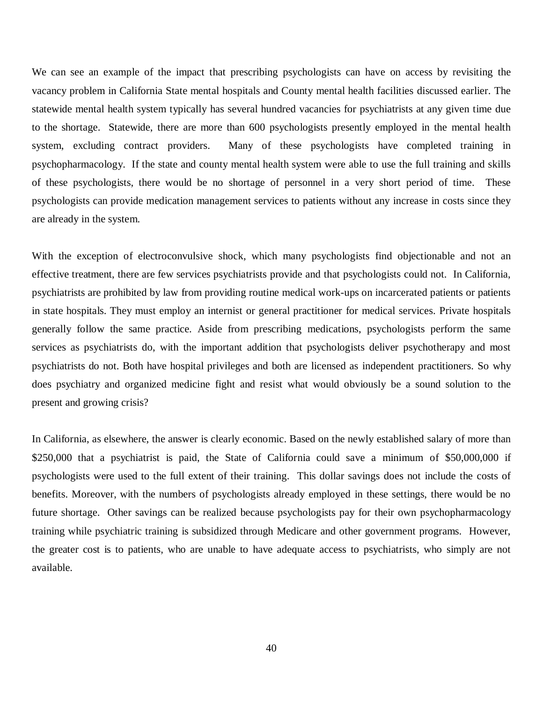We can see an example of the impact that prescribing psychologists can have on access by revisiting the vacancy problem in California State mental hospitals and County mental health facilities discussed earlier. The statewide mental health system typically has several hundred vacancies for psychiatrists at any given time due to the shortage. Statewide, there are more than 600 psychologists presently employed in the mental health system, excluding contract providers. Many of these psychologists have completed training in psychopharmacology. If the state and county mental health system were able to use the full training and skills of these psychologists, there would be no shortage of personnel in a very short period of time. These psychologists can provide medication management services to patients without any increase in costs since they are already in the system.

With the exception of electroconvulsive shock, which many psychologists find objectionable and not an effective treatment, there are few services psychiatrists provide and that psychologists could not. In California, psychiatrists are prohibited by law from providing routine medical work-ups on incarcerated patients or patients in state hospitals. They must employ an internist or general practitioner for medical services. Private hospitals generally follow the same practice. Aside from prescribing medications, psychologists perform the same services as psychiatrists do, with the important addition that psychologists deliver psychotherapy and most psychiatrists do not. Both have hospital privileges and both are licensed as independent practitioners. So why does psychiatry and organized medicine fight and resist what would obviously be a sound solution to the present and growing crisis?

In California, as elsewhere, the answer is clearly economic. Based on the newly established salary of more than \$250,000 that a psychiatrist is paid, the State of California could save a minimum of \$50,000,000 if psychologists were used to the full extent of their training. This dollar savings does not include the costs of benefits. Moreover, with the numbers of psychologists already employed in these settings, there would be no future shortage. Other savings can be realized because psychologists pay for their own psychopharmacology training while psychiatric training is subsidized through Medicare and other government programs. However, the greater cost is to patients, who are unable to have adequate access to psychiatrists, who simply are not available.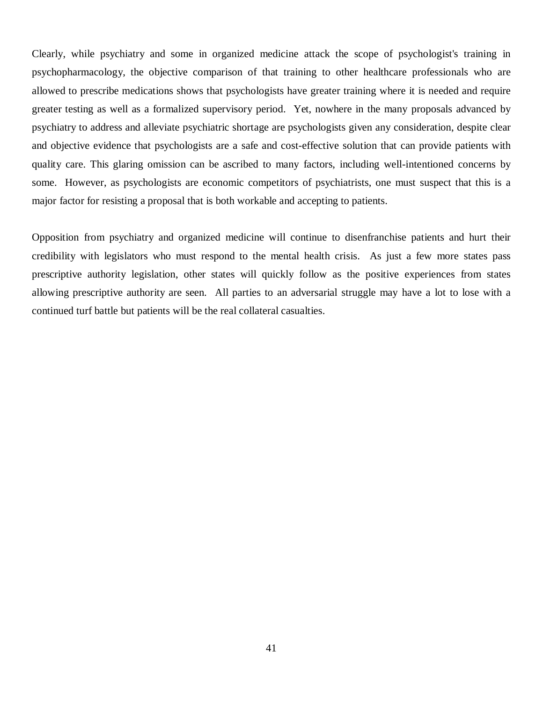Clearly, while psychiatry and some in organized medicine attack the scope of psychologist's training in psychopharmacology, the objective comparison of that training to other healthcare professionals who are allowed to prescribe medications shows that psychologists have greater training where it is needed and require greater testing as well as a formalized supervisory period. Yet, nowhere in the many proposals advanced by psychiatry to address and alleviate psychiatric shortage are psychologists given any consideration, despite clear and objective evidence that psychologists are a safe and cost-effective solution that can provide patients with quality care. This glaring omission can be ascribed to many factors, including well-intentioned concerns by some. However, as psychologists are economic competitors of psychiatrists, one must suspect that this is a major factor for resisting a proposal that is both workable and accepting to patients.

Opposition from psychiatry and organized medicine will continue to disenfranchise patients and hurt their credibility with legislators who must respond to the mental health crisis. As just a few more states pass prescriptive authority legislation, other states will quickly follow as the positive experiences from states allowing prescriptive authority are seen. All parties to an adversarial struggle may have a lot to lose with a continued turf battle but patients will be the real collateral casualties.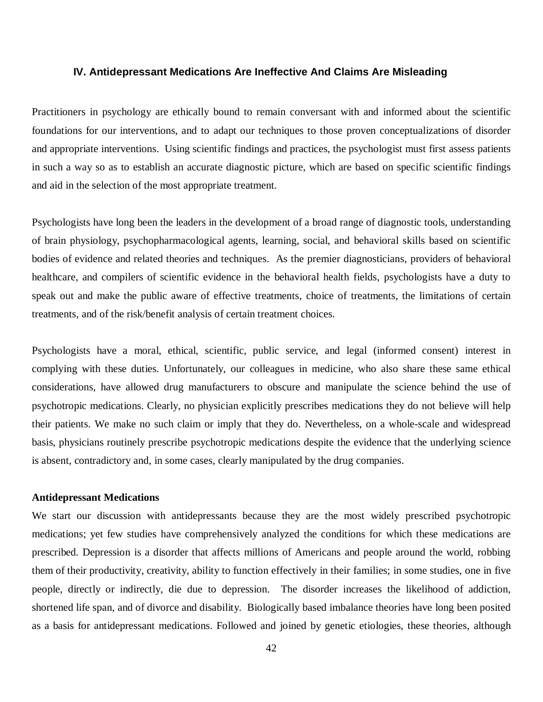#### **IV. Antidepressant Medications Are Ineffective And Claims Are Misleading**

Practitioners in psychology are ethically bound to remain conversant with and informed about the scientific foundations for our interventions, and to adapt our techniques to those proven conceptualizations of disorder and appropriate interventions. Using scientific findings and practices, the psychologist must first assess patients in such a way so as to establish an accurate diagnostic picture, which are based on specific scientific findings and aid in the selection of the most appropriate treatment.

Psychologists have long been the leaders in the development of a broad range of diagnostic tools, understanding of brain physiology, psychopharmacological agents, learning, social, and behavioral skills based on scientific bodies of evidence and related theories and techniques. As the premier diagnosticians, providers of behavioral healthcare, and compilers of scientific evidence in the behavioral health fields, psychologists have a duty to speak out and make the public aware of effective treatments, choice of treatments, the limitations of certain treatments, and of the risk/benefit analysis of certain treatment choices.

Psychologists have a moral, ethical, scientific, public service, and legal (informed consent) interest in complying with these duties. Unfortunately, our colleagues in medicine, who also share these same ethical considerations, have allowed drug manufacturers to obscure and manipulate the science behind the use of psychotropic medications. Clearly, no physician explicitly prescribes medications they do not believe will help their patients. We make no such claim or imply that they do. Nevertheless, on a whole-scale and widespread basis, physicians routinely prescribe psychotropic medications despite the evidence that the underlying science is absent, contradictory and, in some cases, clearly manipulated by the drug companies.

## **Antidepressant Medications**

We start our discussion with antidepressants because they are the most widely prescribed psychotropic medications; yet few studies have comprehensively analyzed the conditions for which these medications are prescribed. Depression is a disorder that affects millions of Americans and people around the world, robbing them of their productivity, creativity, ability to function effectively in their families; in some studies, one in five people, directly or indirectly, die due to depression. The disorder increases the likelihood of addiction, shortened life span, and of divorce and disability. Biologically based imbalance theories have long been posited as a basis for antidepressant medications. Followed and joined by genetic etiologies, these theories, although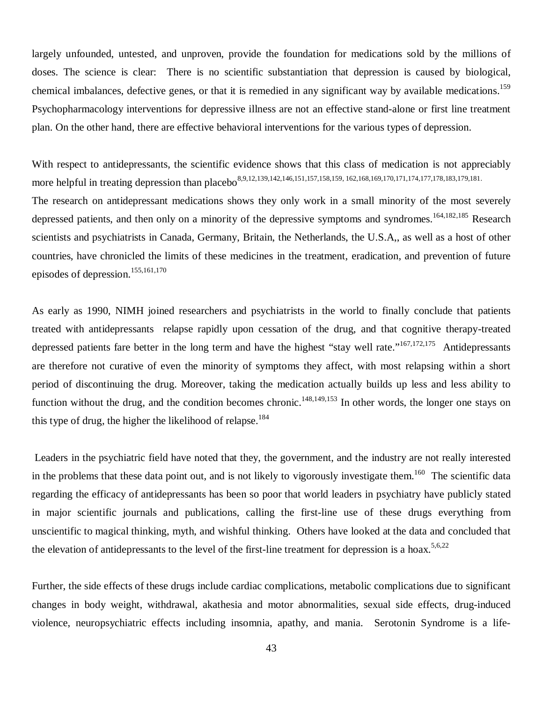largely unfounded, untested, and unproven, provide the foundation for medications sold by the millions of doses. The science is clear: There is no scientific substantiation that depression is caused by biological, chemical imbalances, defective genes, or that it is remedied in any significant way by available medications.<sup>159</sup> Psychopharmacology interventions for depressive illness are not an effective stand-alone or first line treatment plan. On the other hand, there are effective behavioral interventions for the various types of depression.

With respect to antidepressants, the scientific evidence shows that this class of medication is not appreciably more helpful in treating depression than placebo<sup>8,9,12,139,142,146,151,157,158,159, 162,168,169,170,171,174,177,178,183,179,181.</sup> The research on antidepressant medications shows they only work in a small minority of the most severely depressed patients, and then only on a minority of the depressive symptoms and syndromes.<sup>164,182,185</sup> Research scientists and psychiatrists in Canada, Germany, Britain, the Netherlands, the U.S.A,, as well as a host of other countries, have chronicled the limits of these medicines in the treatment, eradication, and prevention of future episodes of depression.<sup>155,161,170</sup>

As early as 1990, NIMH joined researchers and psychiatrists in the world to finally conclude that patients treated with antidepressants relapse rapidly upon cessation of the drug, and that cognitive therapy-treated depressed patients fare better in the long term and have the highest "stay well rate."<sup>167,172,175</sup> Antidepressants are therefore not curative of even the minority of symptoms they affect, with most relapsing within a short period of discontinuing the drug. Moreover, taking the medication actually builds up less and less ability to function without the drug, and the condition becomes chronic.<sup>148,149,153</sup> In other words, the longer one stays on this type of drug, the higher the likelihood of relapse.<sup>184</sup>

 Leaders in the psychiatric field have noted that they, the government, and the industry are not really interested in the problems that these data point out, and is not likely to vigorously investigate them.<sup>160</sup> The scientific data regarding the efficacy of antidepressants has been so poor that world leaders in psychiatry have publicly stated in major scientific journals and publications, calling the first-line use of these drugs everything from unscientific to magical thinking, myth, and wishful thinking. Others have looked at the data and concluded that the elevation of antidepressants to the level of the first-line treatment for depression is a hoax.<sup>5,6,22</sup>

Further, the side effects of these drugs include cardiac complications, metabolic complications due to significant changes in body weight, withdrawal, akathesia and motor abnormalities, sexual side effects, drug-induced violence, neuropsychiatric effects including insomnia, apathy, and mania. Serotonin Syndrome is a life-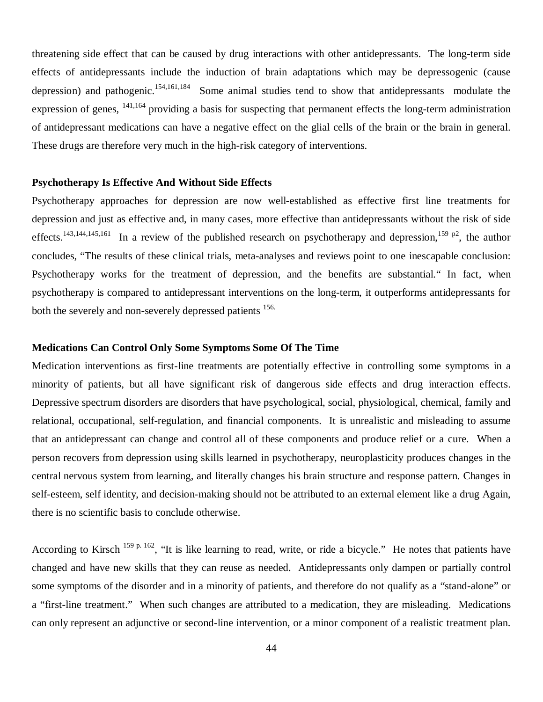threatening side effect that can be caused by drug interactions with other antidepressants. The long-term side effects of antidepressants include the induction of brain adaptations which may be depressogenic (cause depression) and pathogenic.<sup>154,161,184</sup> Some animal studies tend to show that antidepressants modulate the expression of genes, <sup>141,164</sup> providing a basis for suspecting that permanent effects the long-term administration of antidepressant medications can have a negative effect on the glial cells of the brain or the brain in general. These drugs are therefore very much in the high-risk category of interventions.

### **Psychotherapy Is Effective And Without Side Effects**

Psychotherapy approaches for depression are now well-established as effective first line treatments for depression and just as effective and, in many cases, more effective than antidepressants without the risk of side effects.<sup>143,144,145,161</sup> In a review of the published research on psychotherapy and depression,<sup>159 p2</sup>, the author concludes, "The results of these clinical trials, meta-analyses and reviews point to one inescapable conclusion: Psychotherapy works for the treatment of depression, and the benefits are substantial." In fact, when psychotherapy is compared to antidepressant interventions on the long-term, it outperforms antidepressants for both the severely and non-severely depressed patients <sup>156.</sup>

### **Medications Can Control Only Some Symptoms Some Of The Time**

Medication interventions as first-line treatments are potentially effective in controlling some symptoms in a minority of patients, but all have significant risk of dangerous side effects and drug interaction effects. Depressive spectrum disorders are disorders that have psychological, social, physiological, chemical, family and relational, occupational, self-regulation, and financial components. It is unrealistic and misleading to assume that an antidepressant can change and control all of these components and produce relief or a cure. When a person recovers from depression using skills learned in psychotherapy, neuroplasticity produces changes in the central nervous system from learning, and literally changes his brain structure and response pattern. Changes in self-esteem, self identity, and decision-making should not be attributed to an external element like a drug Again, there is no scientific basis to conclude otherwise.

According to Kirsch <sup>159 p. 162</sup>, "It is like learning to read, write, or ride a bicycle." He notes that patients have changed and have new skills that they can reuse as needed. Antidepressants only dampen or partially control some symptoms of the disorder and in a minority of patients, and therefore do not qualify as a "stand-alone" or a "first-line treatment." When such changes are attributed to a medication, they are misleading. Medications can only represent an adjunctive or second-line intervention, or a minor component of a realistic treatment plan.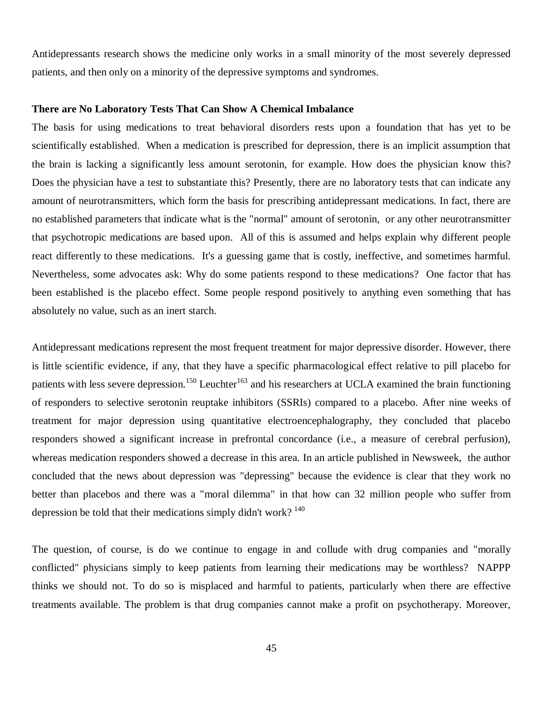Antidepressants research shows the medicine only works in a small minority of the most severely depressed patients, and then only on a minority of the depressive symptoms and syndromes.

### **There are No Laboratory Tests That Can Show A Chemical Imbalance**

The basis for using medications to treat behavioral disorders rests upon a foundation that has yet to be scientifically established. When a medication is prescribed for depression, there is an implicit assumption that the brain is lacking a significantly less amount serotonin, for example. How does the physician know this? Does the physician have a test to substantiate this? Presently, there are no laboratory tests that can indicate any amount of neurotransmitters, which form the basis for prescribing antidepressant medications. In fact, there are no established parameters that indicate what is the "normal" amount of serotonin, or any other neurotransmitter that psychotropic medications are based upon. All of this is assumed and helps explain why different people react differently to these medications. It's a guessing game that is costly, ineffective, and sometimes harmful. Nevertheless, some advocates ask: Why do some patients respond to these medications? One factor that has been established is the placebo effect. Some people respond positively to anything even something that has absolutely no value, such as an inert starch.

Antidepressant medications represent the most frequent treatment for major depressive disorder. However, there is little scientific evidence, if any, that they have a specific pharmacological effect relative to pill placebo for patients with less severe depression.<sup>150</sup> Leuchter<sup>163</sup> and his researchers at UCLA examined the brain functioning of responders to selective serotonin reuptake inhibitors (SSRIs) compared to a placebo. After nine weeks of treatment for major depression using quantitative electroencephalography, they concluded that placebo responders showed a significant increase in prefrontal concordance (i.e., a measure of cerebral perfusion), whereas medication responders showed a decrease in this area. In an article published in Newsweek, the author concluded that the news about depression was "depressing" because the evidence is clear that they work no better than placebos and there was a "moral dilemma" in that how can 32 million people who suffer from depression be told that their medications simply didn't work?  $140$ 

The question, of course, is do we continue to engage in and collude with drug companies and "morally conflicted" physicians simply to keep patients from learning their medications may be worthless? NAPPP thinks we should not. To do so is misplaced and harmful to patients, particularly when there are effective treatments available. The problem is that drug companies cannot make a profit on psychotherapy. Moreover,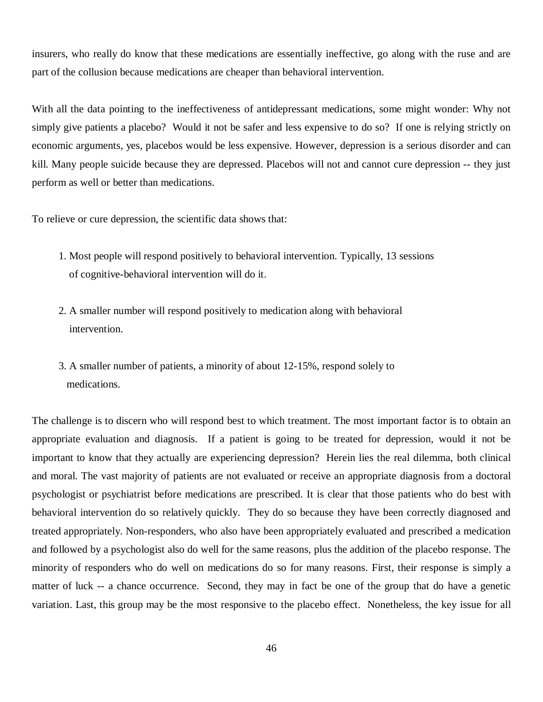insurers, who really do know that these medications are essentially ineffective, go along with the ruse and are part of the collusion because medications are cheaper than behavioral intervention.

With all the data pointing to the ineffectiveness of antidepressant medications, some might wonder: Why not simply give patients a placebo? Would it not be safer and less expensive to do so? If one is relying strictly on economic arguments, yes, placebos would be less expensive. However, depression is a serious disorder and can kill. Many people suicide because they are depressed. Placebos will not and cannot cure depression -- they just perform as well or better than medications.

To relieve or cure depression, the scientific data shows that:

- 1. Most people will respond positively to behavioral intervention. Typically, 13 sessions of cognitive-behavioral intervention will do it.
- 2. A smaller number will respond positively to medication along with behavioral intervention.
- 3. A smaller number of patients, a minority of about 12-15%, respond solely to medications.

The challenge is to discern who will respond best to which treatment. The most important factor is to obtain an appropriate evaluation and diagnosis. If a patient is going to be treated for depression, would it not be important to know that they actually are experiencing depression? Herein lies the real dilemma, both clinical and moral. The vast majority of patients are not evaluated or receive an appropriate diagnosis from a doctoral psychologist or psychiatrist before medications are prescribed. It is clear that those patients who do best with behavioral intervention do so relatively quickly. They do so because they have been correctly diagnosed and treated appropriately. Non-responders, who also have been appropriately evaluated and prescribed a medication and followed by a psychologist also do well for the same reasons, plus the addition of the placebo response. The minority of responders who do well on medications do so for many reasons. First, their response is simply a matter of luck -- a chance occurrence. Second, they may in fact be one of the group that do have a genetic variation. Last, this group may be the most responsive to the placebo effect. Nonetheless, the key issue for all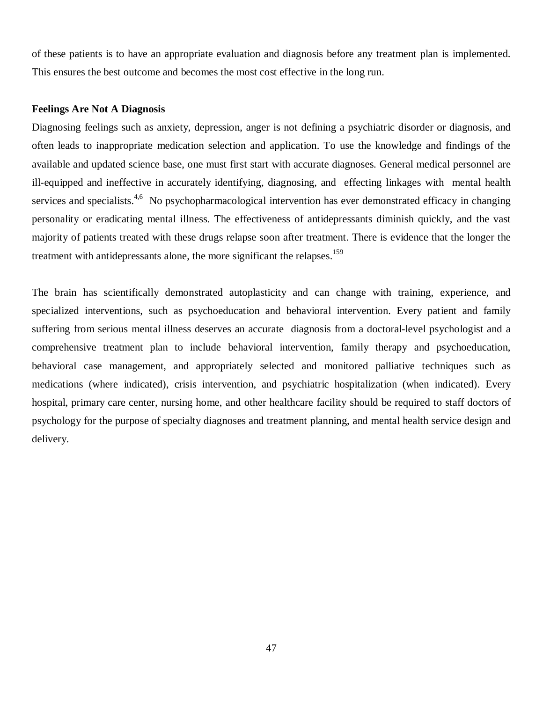of these patients is to have an appropriate evaluation and diagnosis before any treatment plan is implemented. This ensures the best outcome and becomes the most cost effective in the long run.

## **Feelings Are Not A Diagnosis**

Diagnosing feelings such as anxiety, depression, anger is not defining a psychiatric disorder or diagnosis, and often leads to inappropriate medication selection and application. To use the knowledge and findings of the available and updated science base, one must first start with accurate diagnoses. General medical personnel are ill-equipped and ineffective in accurately identifying, diagnosing, and effecting linkages with mental health services and specialists.<sup>4,6</sup> No psychopharmacological intervention has ever demonstrated efficacy in changing personality or eradicating mental illness. The effectiveness of antidepressants diminish quickly, and the vast majority of patients treated with these drugs relapse soon after treatment. There is evidence that the longer the treatment with antidepressants alone, the more significant the relapses.<sup>159</sup>

The brain has scientifically demonstrated autoplasticity and can change with training, experience, and specialized interventions, such as psychoeducation and behavioral intervention. Every patient and family suffering from serious mental illness deserves an accurate diagnosis from a doctoral-level psychologist and a comprehensive treatment plan to include behavioral intervention, family therapy and psychoeducation, behavioral case management, and appropriately selected and monitored palliative techniques such as medications (where indicated), crisis intervention, and psychiatric hospitalization (when indicated). Every hospital, primary care center, nursing home, and other healthcare facility should be required to staff doctors of psychology for the purpose of specialty diagnoses and treatment planning, and mental health service design and delivery.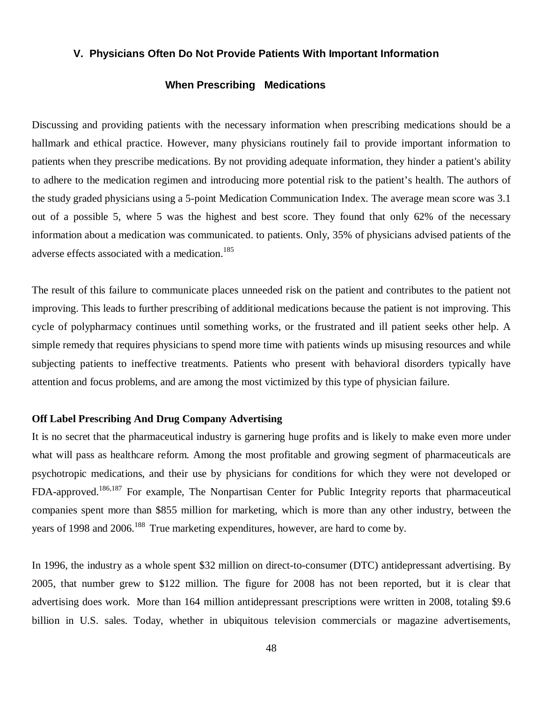## **V. Physicians Often Do Not Provide Patients With Important Information**

# **When Prescribing Medications**

Discussing and providing patients with the necessary information when prescribing medications should be a hallmark and ethical practice. However, many physicians routinely fail to provide important information to patients when they prescribe medications. By not providing adequate information, they hinder a patient's ability to adhere to the medication regimen and introducing more potential risk to the patient's health. The authors of the study graded physicians using a 5-point Medication Communication Index. The average mean score was 3.1 out of a possible 5, where 5 was the highest and best score. They found that only 62% of the necessary information about a medication was communicated. to patients. Only, 35% of physicians advised patients of the adverse effects associated with a medication.<sup>185</sup>

The result of this failure to communicate places unneeded risk on the patient and contributes to the patient not improving. This leads to further prescribing of additional medications because the patient is not improving. This cycle of polypharmacy continues until something works, or the frustrated and ill patient seeks other help. A simple remedy that requires physicians to spend more time with patients winds up misusing resources and while subjecting patients to ineffective treatments. Patients who present with behavioral disorders typically have attention and focus problems, and are among the most victimized by this type of physician failure.

## **Off Label Prescribing And Drug Company Advertising**

It is no secret that the pharmaceutical industry is garnering huge profits and is likely to make even more under what will pass as healthcare reform. Among the most profitable and growing segment of pharmaceuticals are psychotropic medications, and their use by physicians for conditions for which they were not developed or FDA-approved.<sup>186,187</sup> For example, The Nonpartisan Center for Public Integrity reports that pharmaceutical companies spent more than \$855 million for marketing, which is more than any other industry, between the years of 1998 and 2006.<sup>188</sup> True marketing expenditures, however, are hard to come by.

In 1996, the industry as a whole spent \$32 million on direct-to-consumer (DTC) antidepressant advertising. By 2005, that number grew to \$122 million. The figure for 2008 has not been reported, but it is clear that advertising does work. More than 164 million antidepressant prescriptions were written in 2008, totaling \$9.6 billion in U.S. sales. Today, whether in ubiquitous television commercials or magazine advertisements,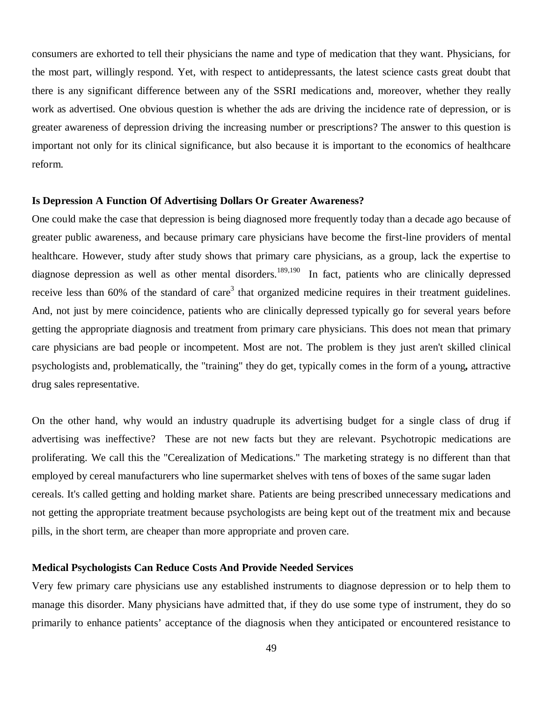consumers are exhorted to tell their physicians the name and type of medication that they want. Physicians, for the most part, willingly respond. Yet, with respect to antidepressants, the latest science casts great doubt that there is any significant difference between any of the SSRI medications and, moreover, whether they really work as advertised. One obvious question is whether the ads are driving the incidence rate of depression, or is greater awareness of depression driving the increasing number or prescriptions? The answer to this question is important not only for its clinical significance, but also because it is important to the economics of healthcare reform.

### **Is Depression A Function Of Advertising Dollars Or Greater Awareness?**

One could make the case that depression is being diagnosed more frequently today than a decade ago because of greater public awareness, and because primary care physicians have become the first-line providers of mental healthcare. However, study after study shows that primary care physicians, as a group, lack the expertise to diagnose depression as well as other mental disorders.<sup>189,190</sup> In fact, patients who are clinically depressed receive less than 60% of the standard of care<sup>3</sup> that organized medicine requires in their treatment guidelines. And, not just by mere coincidence, patients who are clinically depressed typically go for several years before getting the appropriate diagnosis and treatment from primary care physicians. This does not mean that primary care physicians are bad people or incompetent. Most are not. The problem is they just aren't skilled clinical psychologists and, problematically, the "training" they do get, typically comes in the form of a young*,* attractive drug sales representative.

On the other hand, why would an industry quadruple its advertising budget for a single class of drug if advertising was ineffective? These are not new facts but they are relevant. Psychotropic medications are proliferating. We call this the "Cerealization of Medications." The marketing strategy is no different than that employed by cereal manufacturers who line supermarket shelves with tens of boxes of the same sugar laden cereals. It's called getting and holding market share. Patients are being prescribed unnecessary medications and not getting the appropriate treatment because psychologists are being kept out of the treatment mix and because pills, in the short term, are cheaper than more appropriate and proven care.

## **Medical Psychologists Can Reduce Costs And Provide Needed Services**

Very few primary care physicians use any established instruments to diagnose depression or to help them to manage this disorder. Many physicians have admitted that, if they do use some type of instrument, they do so primarily to enhance patients' acceptance of the diagnosis when they anticipated or encountered resistance to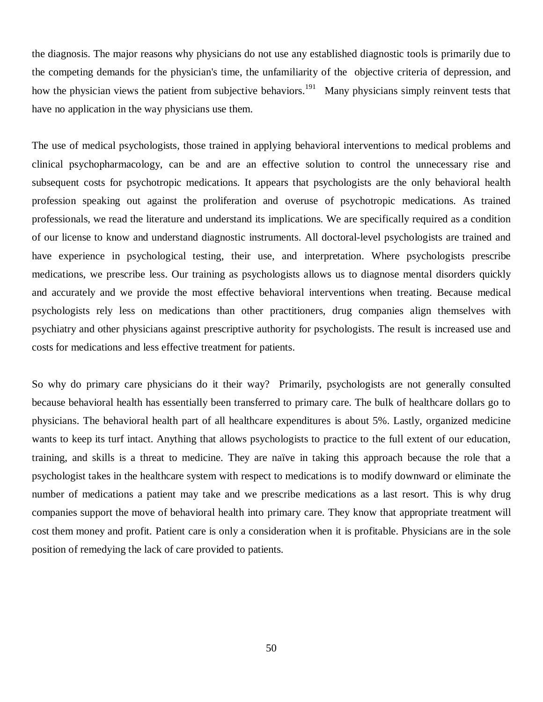the diagnosis. The major reasons why physicians do not use any established diagnostic tools is primarily due to the competing demands for the physician's time, the unfamiliarity of the objective criteria of depression, and how the physician views the patient from subjective behaviors.<sup>191</sup> Many physicians simply reinvent tests that have no application in the way physicians use them.

The use of medical psychologists, those trained in applying behavioral interventions to medical problems and clinical psychopharmacology, can be and are an effective solution to control the unnecessary rise and subsequent costs for psychotropic medications. It appears that psychologists are the only behavioral health profession speaking out against the proliferation and overuse of psychotropic medications. As trained professionals, we read the literature and understand its implications. We are specifically required as a condition of our license to know and understand diagnostic instruments. All doctoral-level psychologists are trained and have experience in psychological testing, their use, and interpretation. Where psychologists prescribe medications, we prescribe less. Our training as psychologists allows us to diagnose mental disorders quickly and accurately and we provide the most effective behavioral interventions when treating. Because medical psychologists rely less on medications than other practitioners, drug companies align themselves with psychiatry and other physicians against prescriptive authority for psychologists. The result is increased use and costs for medications and less effective treatment for patients.

So why do primary care physicians do it their way? Primarily, psychologists are not generally consulted because behavioral health has essentially been transferred to primary care. The bulk of healthcare dollars go to physicians. The behavioral health part of all healthcare expenditures is about 5%. Lastly, organized medicine wants to keep its turf intact. Anything that allows psychologists to practice to the full extent of our education, training, and skills is a threat to medicine. They are naïve in taking this approach because the role that a psychologist takes in the healthcare system with respect to medications is to modify downward or eliminate the number of medications a patient may take and we prescribe medications as a last resort. This is why drug companies support the move of behavioral health into primary care. They know that appropriate treatment will cost them money and profit. Patient care is only a consideration when it is profitable. Physicians are in the sole position of remedying the lack of care provided to patients.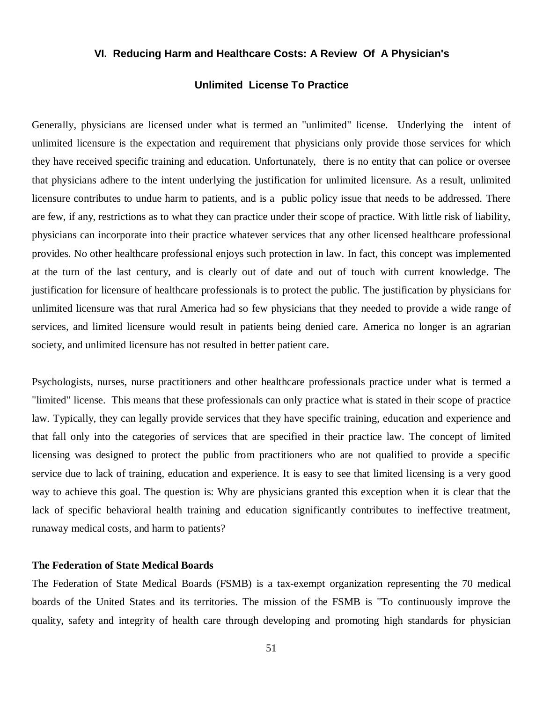## **VI. Reducing Harm and Healthcare Costs: A Review Of A Physician's**

# **Unlimited License To Practice**

Generally, physicians are licensed under what is termed an "unlimited" license. Underlying the intent of unlimited licensure is the expectation and requirement that physicians only provide those services for which they have received specific training and education. Unfortunately, there is no entity that can police or oversee that physicians adhere to the intent underlying the justification for unlimited licensure. As a result, unlimited licensure contributes to undue harm to patients, and is a public policy issue that needs to be addressed. There are few, if any, restrictions as to what they can practice under their scope of practice. With little risk of liability, physicians can incorporate into their practice whatever services that any other licensed healthcare professional provides. No other healthcare professional enjoys such protection in law. In fact, this concept was implemented at the turn of the last century, and is clearly out of date and out of touch with current knowledge. The justification for licensure of healthcare professionals is to protect the public. The justification by physicians for unlimited licensure was that rural America had so few physicians that they needed to provide a wide range of services, and limited licensure would result in patients being denied care. America no longer is an agrarian society, and unlimited licensure has not resulted in better patient care.

Psychologists, nurses, nurse practitioners and other healthcare professionals practice under what is termed a "limited" license. This means that these professionals can only practice what is stated in their scope of practice law. Typically, they can legally provide services that they have specific training, education and experience and that fall only into the categories of services that are specified in their practice law. The concept of limited licensing was designed to protect the public from practitioners who are not qualified to provide a specific service due to lack of training, education and experience. It is easy to see that limited licensing is a very good way to achieve this goal. The question is: Why are physicians granted this exception when it is clear that the lack of specific behavioral health training and education significantly contributes to ineffective treatment, runaway medical costs, and harm to patients?

## **The Federation of State Medical Boards**

The Federation of State Medical Boards (FSMB) is a tax-exempt organization representing the 70 medical boards of the United States and its territories. The mission of the FSMB is "To continuously improve the quality, safety and integrity of health care through developing and promoting high standards for physician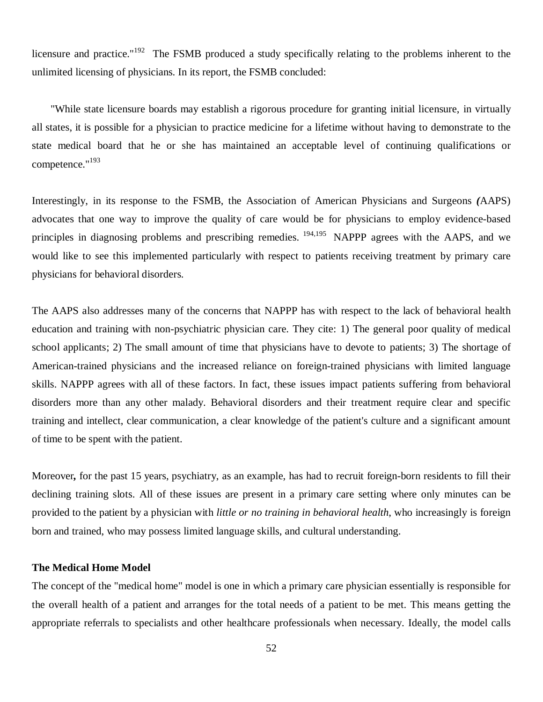licensure and practice."<sup>192</sup> The FSMB produced a study specifically relating to the problems inherent to the unlimited licensing of physicians. In its report, the FSMB concluded:

 "While state licensure boards may establish a rigorous procedure for granting initial licensure, in virtually all states, it is possible for a physician to practice medicine for a lifetime without having to demonstrate to the state medical board that he or she has maintained an acceptable level of continuing qualifications or competence."<sup>193</sup>

Interestingly, in its response to the FSMB, the Association of American Physicians and Surgeons *(*AAPS) advocates that one way to improve the quality of care would be for physicians to employ evidence-based principles in diagnosing problems and prescribing remedies. <sup>194,195</sup> NAPPP agrees with the AAPS, and we would like to see this implemented particularly with respect to patients receiving treatment by primary care physicians for behavioral disorders.

The AAPS also addresses many of the concerns that NAPPP has with respect to the lack of behavioral health education and training with non-psychiatric physician care. They cite: 1) The general poor quality of medical school applicants; 2) The small amount of time that physicians have to devote to patients; 3) The shortage of American-trained physicians and the increased reliance on foreign-trained physicians with limited language skills. NAPPP agrees with all of these factors. In fact, these issues impact patients suffering from behavioral disorders more than any other malady. Behavioral disorders and their treatment require clear and specific training and intellect, clear communication, a clear knowledge of the patient's culture and a significant amount of time to be spent with the patient.

Moreover*,* for the past 15 years, psychiatry, as an example, has had to recruit foreign-born residents to fill their declining training slots. All of these issues are present in a primary care setting where only minutes can be provided to the patient by a physician with *little or no training in behavioral health*, who increasingly is foreign born and trained, who may possess limited language skills, and cultural understanding.

## **The Medical Home Model**

The concept of the "medical home" model is one in which a primary care physician essentially is responsible for the overall health of a patient and arranges for the total needs of a patient to be met. This means getting the appropriate referrals to specialists and other healthcare professionals when necessary. Ideally, the model calls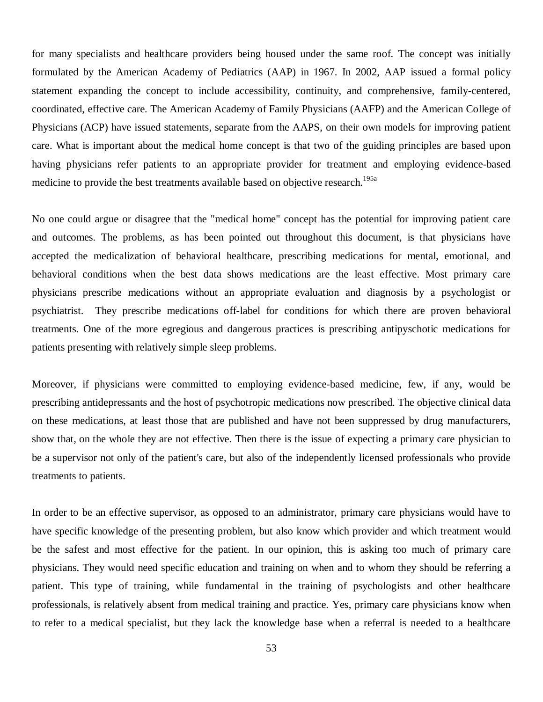for many specialists and healthcare providers being housed under the same roof. The concept was initially formulated by the American Academy of Pediatrics (AAP) in 1967. In 2002, AAP issued a formal policy statement expanding the concept to include accessibility, continuity, and comprehensive, family-centered, coordinated, effective care. The American Academy of Family Physicians (AAFP) and the American College of Physicians (ACP) have issued statements, separate from the AAPS, on their own models for improving patient care. What is important about the medical home concept is that two of the guiding principles are based upon having physicians refer patients to an appropriate provider for treatment and employing evidence-based medicine to provide the best treatments available based on objective research.<sup>195a</sup>

No one could argue or disagree that the "medical home" concept has the potential for improving patient care and outcomes. The problems, as has been pointed out throughout this document, is that physicians have accepted the medicalization of behavioral healthcare, prescribing medications for mental, emotional, and behavioral conditions when the best data shows medications are the least effective. Most primary care physicians prescribe medications without an appropriate evaluation and diagnosis by a psychologist or psychiatrist. They prescribe medications off-label for conditions for which there are proven behavioral treatments. One of the more egregious and dangerous practices is prescribing antipyschotic medications for patients presenting with relatively simple sleep problems.

Moreover, if physicians were committed to employing evidence-based medicine, few, if any, would be prescribing antidepressants and the host of psychotropic medications now prescribed. The objective clinical data on these medications, at least those that are published and have not been suppressed by drug manufacturers, show that, on the whole they are not effective. Then there is the issue of expecting a primary care physician to be a supervisor not only of the patient's care, but also of the independently licensed professionals who provide treatments to patients.

In order to be an effective supervisor, as opposed to an administrator, primary care physicians would have to have specific knowledge of the presenting problem, but also know which provider and which treatment would be the safest and most effective for the patient. In our opinion, this is asking too much of primary care physicians. They would need specific education and training on when and to whom they should be referring a patient. This type of training, while fundamental in the training of psychologists and other healthcare professionals, is relatively absent from medical training and practice. Yes, primary care physicians know when to refer to a medical specialist, but they lack the knowledge base when a referral is needed to a healthcare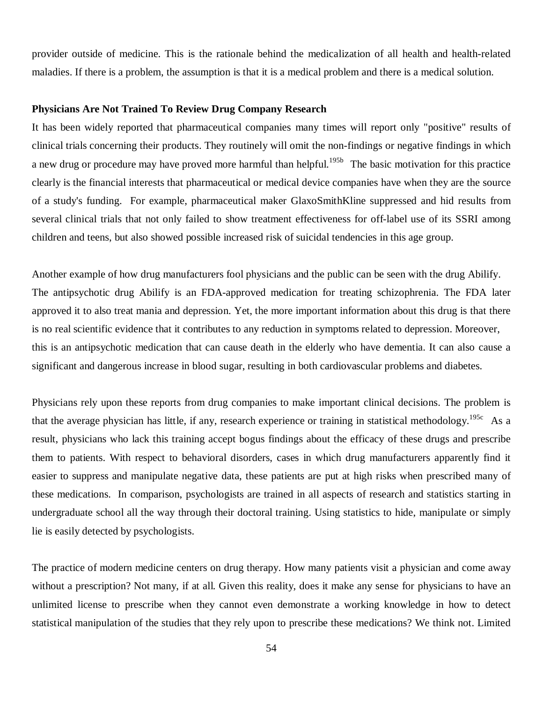provider outside of medicine. This is the rationale behind the medicalization of all health and health-related maladies. If there is a problem, the assumption is that it is a medical problem and there is a medical solution.

## **Physicians Are Not Trained To Review Drug Company Research**

It has been widely reported that pharmaceutical companies many times will report only "positive" results of clinical trials concerning their products. They routinely will omit the non-findings or negative findings in which a new drug or procedure may have proved more harmful than helpful.<sup>195b</sup> The basic motivation for this practice clearly is the financial interests that pharmaceutical or medical device companies have when they are the source of a study's funding. For example, pharmaceutical maker GlaxoSmithKline suppressed and hid results from several clinical trials that not only failed to show treatment effectiveness for off-label use of its SSRI among children and teens, but also showed possible increased risk of suicidal tendencies in this age group.

Another example of how drug manufacturers fool physicians and the public can be seen with the drug Abilify. The antipsychotic drug Abilify is an FDA-approved medication for treating schizophrenia. The FDA later approved it to also treat mania and depression. Yet, the more important information about this drug is that there is no real scientific evidence that it contributes to any reduction in symptoms related to depression. Moreover, this is an antipsychotic medication that can cause death in the elderly who have dementia. It can also cause a significant and dangerous increase in blood sugar, resulting in both cardiovascular problems and diabetes.

Physicians rely upon these reports from drug companies to make important clinical decisions. The problem is that the average physician has little, if any, research experience or training in statistical methodology.<sup>195c</sup> As a result, physicians who lack this training accept bogus findings about the efficacy of these drugs and prescribe them to patients. With respect to behavioral disorders, cases in which drug manufacturers apparently find it easier to suppress and manipulate negative data, these patients are put at high risks when prescribed many of these medications. In comparison, psychologists are trained in all aspects of research and statistics starting in undergraduate school all the way through their doctoral training. Using statistics to hide, manipulate or simply lie is easily detected by psychologists.

The practice of modern medicine centers on drug therapy. How many patients visit a physician and come away without a prescription? Not many, if at all. Given this reality, does it make any sense for physicians to have an unlimited license to prescribe when they cannot even demonstrate a working knowledge in how to detect statistical manipulation of the studies that they rely upon to prescribe these medications? We think not. Limited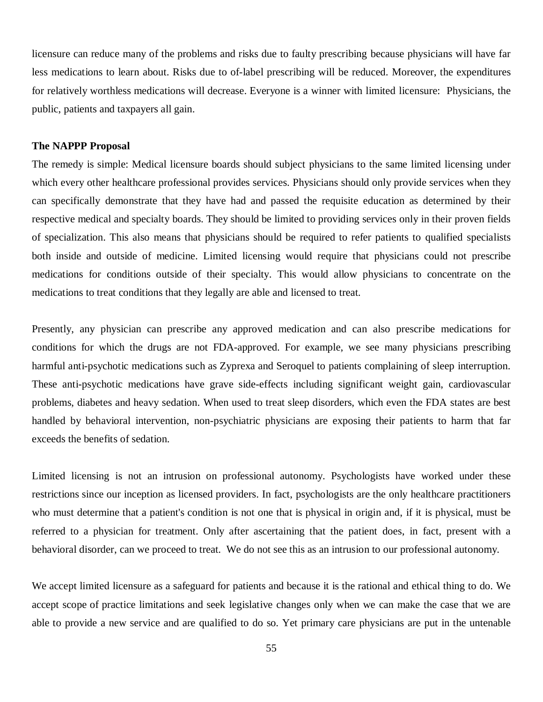licensure can reduce many of the problems and risks due to faulty prescribing because physicians will have far less medications to learn about. Risks due to of-label prescribing will be reduced. Moreover, the expenditures for relatively worthless medications will decrease. Everyone is a winner with limited licensure: Physicians, the public, patients and taxpayers all gain.

## **The NAPPP Proposal**

The remedy is simple: Medical licensure boards should subject physicians to the same limited licensing under which every other healthcare professional provides services. Physicians should only provide services when they can specifically demonstrate that they have had and passed the requisite education as determined by their respective medical and specialty boards. They should be limited to providing services only in their proven fields of specialization. This also means that physicians should be required to refer patients to qualified specialists both inside and outside of medicine. Limited licensing would require that physicians could not prescribe medications for conditions outside of their specialty. This would allow physicians to concentrate on the medications to treat conditions that they legally are able and licensed to treat.

Presently, any physician can prescribe any approved medication and can also prescribe medications for conditions for which the drugs are not FDA-approved. For example, we see many physicians prescribing harmful anti-psychotic medications such as Zyprexa and Seroquel to patients complaining of sleep interruption. These anti-psychotic medications have grave side-effects including significant weight gain, cardiovascular problems, diabetes and heavy sedation. When used to treat sleep disorders, which even the FDA states are best handled by behavioral intervention, non-psychiatric physicians are exposing their patients to harm that far exceeds the benefits of sedation.

Limited licensing is not an intrusion on professional autonomy. Psychologists have worked under these restrictions since our inception as licensed providers. In fact, psychologists are the only healthcare practitioners who must determine that a patient's condition is not one that is physical in origin and, if it is physical, must be referred to a physician for treatment. Only after ascertaining that the patient does, in fact, present with a behavioral disorder, can we proceed to treat. We do not see this as an intrusion to our professional autonomy.

We accept limited licensure as a safeguard for patients and because it is the rational and ethical thing to do. We accept scope of practice limitations and seek legislative changes only when we can make the case that we are able to provide a new service and are qualified to do so. Yet primary care physicians are put in the untenable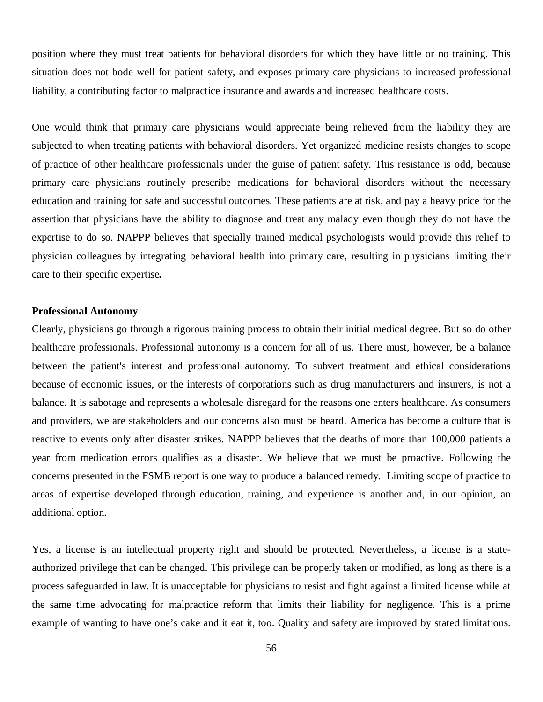position where they must treat patients for behavioral disorders for which they have little or no training. This situation does not bode well for patient safety, and exposes primary care physicians to increased professional liability, a contributing factor to malpractice insurance and awards and increased healthcare costs.

One would think that primary care physicians would appreciate being relieved from the liability they are subjected to when treating patients with behavioral disorders. Yet organized medicine resists changes to scope of practice of other healthcare professionals under the guise of patient safety. This resistance is odd, because primary care physicians routinely prescribe medications for behavioral disorders without the necessary education and training for safe and successful outcomes. These patients are at risk, and pay a heavy price for the assertion that physicians have the ability to diagnose and treat any malady even though they do not have the expertise to do so. NAPPP believes that specially trained medical psychologists would provide this relief to physician colleagues by integrating behavioral health into primary care, resulting in physicians limiting their care to their specific expertise*.*

## **Professional Autonomy**

Clearly, physicians go through a rigorous training process to obtain their initial medical degree. But so do other healthcare professionals. Professional autonomy is a concern for all of us. There must, however, be a balance between the patient's interest and professional autonomy. To subvert treatment and ethical considerations because of economic issues, or the interests of corporations such as drug manufacturers and insurers, is not a balance. It is sabotage and represents a wholesale disregard for the reasons one enters healthcare. As consumers and providers, we are stakeholders and our concerns also must be heard. America has become a culture that is reactive to events only after disaster strikes. NAPPP believes that the deaths of more than 100,000 patients a year from medication errors qualifies as a disaster. We believe that we must be proactive. Following the concerns presented in the FSMB report is one way to produce a balanced remedy. Limiting scope of practice to areas of expertise developed through education, training, and experience is another and, in our opinion, an additional option.

Yes, a license is an intellectual property right and should be protected. Nevertheless, a license is a stateauthorized privilege that can be changed. This privilege can be properly taken or modified, as long as there is a process safeguarded in law. It is unacceptable for physicians to resist and fight against a limited license while at the same time advocating for malpractice reform that limits their liability for negligence. This is a prime example of wanting to have one's cake and it eat it, too. Quality and safety are improved by stated limitations.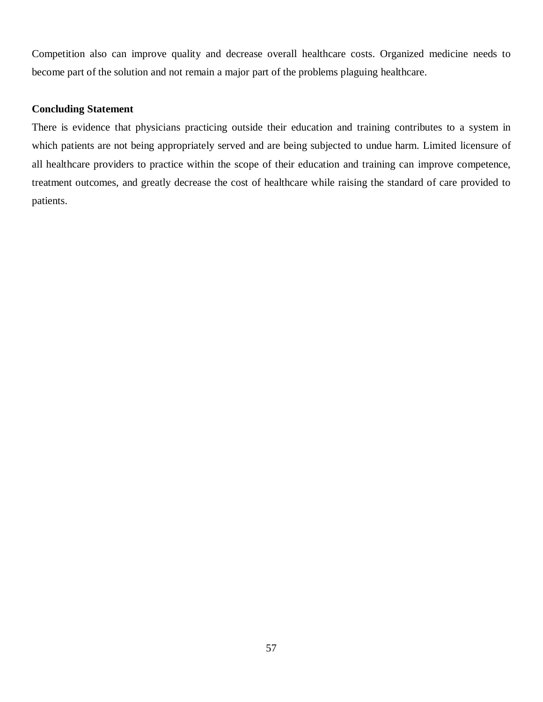Competition also can improve quality and decrease overall healthcare costs. Organized medicine needs to become part of the solution and not remain a major part of the problems plaguing healthcare.

## **Concluding Statement**

There is evidence that physicians practicing outside their education and training contributes to a system in which patients are not being appropriately served and are being subjected to undue harm. Limited licensure of all healthcare providers to practice within the scope of their education and training can improve competence, treatment outcomes, and greatly decrease the cost of healthcare while raising the standard of care provided to patients.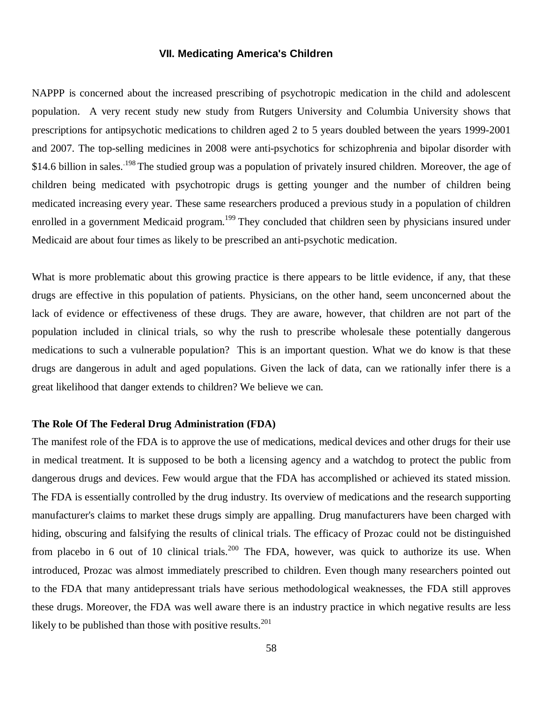## **VII. Medicating America's Children**

NAPPP is concerned about the increased prescribing of psychotropic medication in the child and adolescent population. A very recent study new study from Rutgers University and Columbia University shows that prescriptions for antipsychotic medications to children aged 2 to 5 years doubled between the years 1999-2001 and 2007. The top-selling medicines in 2008 were anti-psychotics for schizophrenia and bipolar disorder with \$14.6 billion in sales.<sup>198</sup> The studied group was a population of privately insured children. Moreover, the age of children being medicated with psychotropic drugs is getting younger and the number of children being medicated increasing every year. These same researchers produced a previous study in a population of children enrolled in a government Medicaid program.<sup>199</sup> They concluded that children seen by physicians insured under Medicaid are about four times as likely to be prescribed an anti-psychotic medication.

What is more problematic about this growing practice is there appears to be little evidence, if any, that these drugs are effective in this population of patients. Physicians, on the other hand, seem unconcerned about the lack of evidence or effectiveness of these drugs. They are aware, however, that children are not part of the population included in clinical trials, so why the rush to prescribe wholesale these potentially dangerous medications to such a vulnerable population? This is an important question. What we do know is that these drugs are dangerous in adult and aged populations. Given the lack of data, can we rationally infer there is a great likelihood that danger extends to children? We believe we can.

## **The Role Of The Federal Drug Administration (FDA)**

The manifest role of the FDA is to approve the use of medications, medical devices and other drugs for their use in medical treatment. It is supposed to be both a licensing agency and a watchdog to protect the public from dangerous drugs and devices. Few would argue that the FDA has accomplished or achieved its stated mission. The FDA is essentially controlled by the drug industry. Its overview of medications and the research supporting manufacturer's claims to market these drugs simply are appalling. Drug manufacturers have been charged with hiding, obscuring and falsifying the results of clinical trials. The efficacy of Prozac could not be distinguished from placebo in 6 out of 10 clinical trials.<sup>200</sup> The FDA, however, was quick to authorize its use. When introduced, Prozac was almost immediately prescribed to children. Even though many researchers pointed out to the FDA that many antidepressant trials have serious methodological weaknesses, the FDA still approves these drugs. Moreover, the FDA was well aware there is an industry practice in which negative results are less likely to be published than those with positive results. $^{201}$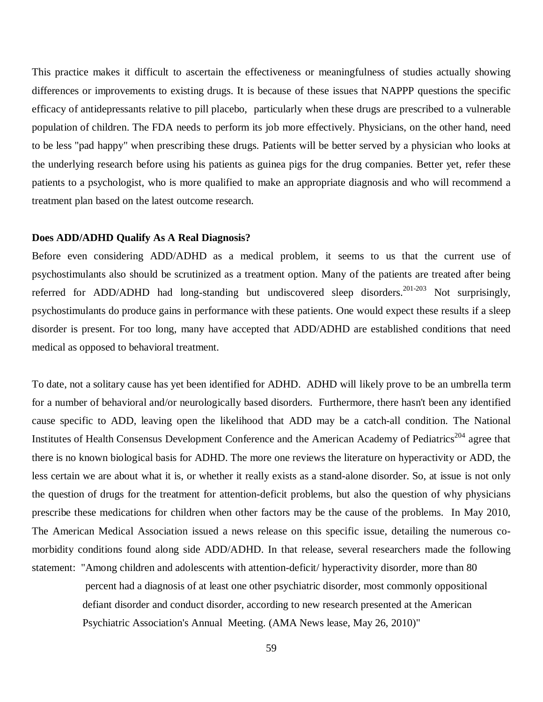This practice makes it difficult to ascertain the effectiveness or meaningfulness of studies actually showing differences or improvements to existing drugs. It is because of these issues that NAPPP questions the specific efficacy of antidepressants relative to pill placebo, particularly when these drugs are prescribed to a vulnerable population of children. The FDA needs to perform its job more effectively. Physicians, on the other hand, need to be less "pad happy" when prescribing these drugs. Patients will be better served by a physician who looks at the underlying research before using his patients as guinea pigs for the drug companies. Better yet, refer these patients to a psychologist, who is more qualified to make an appropriate diagnosis and who will recommend a treatment plan based on the latest outcome research.

### **Does ADD/ADHD Qualify As A Real Diagnosis?**

Before even considering ADD/ADHD as a medical problem, it seems to us that the current use of psychostimulants also should be scrutinized as a treatment option. Many of the patients are treated after being referred for ADD/ADHD had long-standing but undiscovered sleep disorders.<sup>201-203</sup> Not surprisingly, psychostimulants do produce gains in performance with these patients. One would expect these results if a sleep disorder is present. For too long, many have accepted that ADD/ADHD are established conditions that need medical as opposed to behavioral treatment.

To date, not a solitary cause has yet been identified for ADHD. ADHD will likely prove to be an umbrella term for a number of behavioral and/or neurologically based disorders. Furthermore, there hasn't been any identified cause specific to ADD, leaving open the likelihood that ADD may be a catch-all condition. The National Institutes of Health Consensus Development Conference and the American Academy of Pediatrics<sup>204</sup> agree that there is no known biological basis for ADHD. The more one reviews the literature on hyperactivity or ADD, the less certain we are about what it is, or whether it really exists as a stand-alone disorder. So, at issue is not only the question of drugs for the treatment for attention-deficit problems, but also the question of why physicians prescribe these medications for children when other factors may be the cause of the problems. In May 2010, The American Medical Association issued a news release on this specific issue, detailing the numerous comorbidity conditions found along side ADD/ADHD. In that release, several researchers made the following statement: "Among children and adolescents with attention-deficit/ hyperactivity disorder, more than 80

> percent had a diagnosis of at least one other psychiatric disorder, most commonly oppositional defiant disorder and conduct disorder, according to new research presented at the American Psychiatric Association's Annual Meeting. (AMA News lease, May 26, 2010)"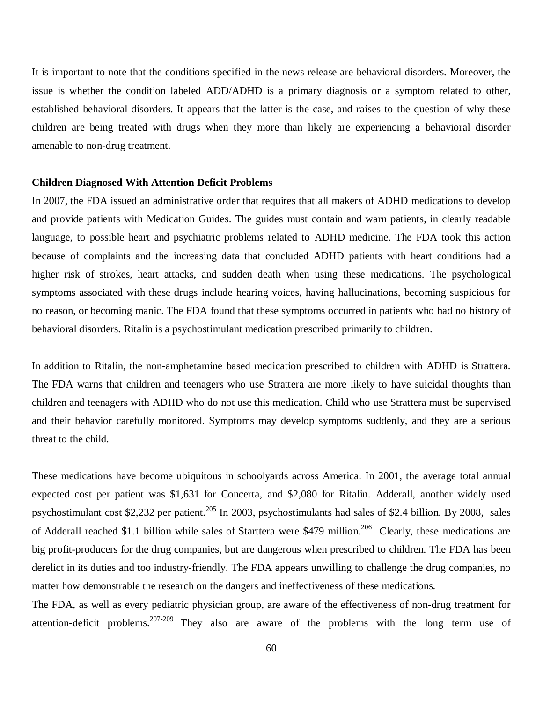It is important to note that the conditions specified in the news release are behavioral disorders. Moreover, the issue is whether the condition labeled ADD/ADHD is a primary diagnosis or a symptom related to other, established behavioral disorders. It appears that the latter is the case, and raises to the question of why these children are being treated with drugs when they more than likely are experiencing a behavioral disorder amenable to non-drug treatment.

## **Children Diagnosed With Attention Deficit Problems**

In 2007, the FDA issued an administrative order that requires that all makers of ADHD medications to develop and provide patients with Medication Guides. The guides must contain and warn patients, in clearly readable language, to possible heart and psychiatric problems related to ADHD medicine. The FDA took this action because of complaints and the increasing data that concluded ADHD patients with heart conditions had a higher risk of strokes, heart attacks, and sudden death when using these medications. The psychological symptoms associated with these drugs include hearing voices, having hallucinations, becoming suspicious for no reason, or becoming manic. The FDA found that these symptoms occurred in patients who had no history of behavioral disorders. Ritalin is a psychostimulant medication prescribed primarily to children.

In addition to Ritalin, the non-amphetamine based medication prescribed to children with ADHD is Strattera. The FDA warns that children and teenagers who use Strattera are more likely to have suicidal thoughts than children and teenagers with ADHD who do not use this medication. Child who use Strattera must be supervised and their behavior carefully monitored. Symptoms may develop symptoms suddenly, and they are a serious threat to the child.

These medications have become ubiquitous in schoolyards across America. In 2001, the average total annual expected cost per patient was \$1,631 for Concerta, and \$2,080 for Ritalin. Adderall, another widely used psychostimulant cost \$2,232 per patient.<sup>205</sup> In 2003, psychostimulants had sales of \$2.4 billion. By 2008, sales of Adderall reached \$1.1 billion while sales of Starttera were \$479 million.<sup>206</sup> Clearly, these medications are big profit-producers for the drug companies, but are dangerous when prescribed to children. The FDA has been derelict in its duties and too industry-friendly. The FDA appears unwilling to challenge the drug companies, no matter how demonstrable the research on the dangers and ineffectiveness of these medications.

The FDA, as well as every pediatric physician group, are aware of the effectiveness of non-drug treatment for attention-deficit problems.<sup>207-209</sup> They also are aware of the problems with the long term use of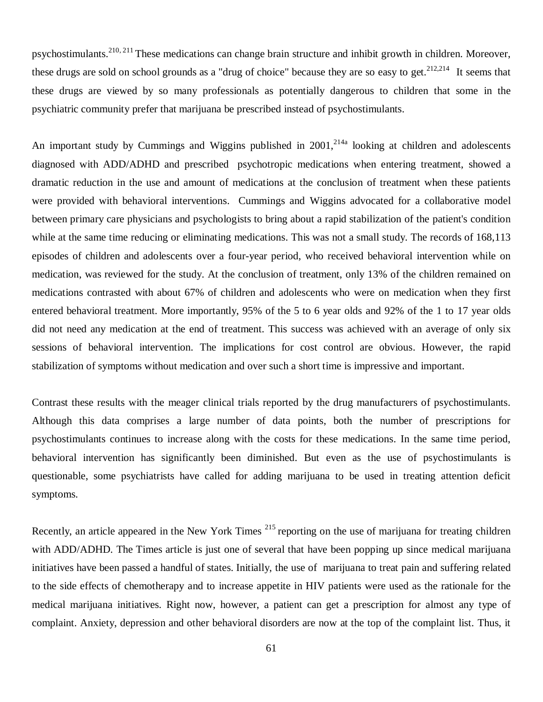psychostimulants.210, 211 These medications can change brain structure and inhibit growth in children. Moreover, these drugs are sold on school grounds as a "drug of choice" because they are so easy to get.  $2^{12,214}$  It seems that these drugs are viewed by so many professionals as potentially dangerous to children that some in the psychiatric community prefer that marijuana be prescribed instead of psychostimulants.

An important study by Cummings and Wiggins published in  $2001$ ,  $2^{14a}$  looking at children and adolescents diagnosed with ADD/ADHD and prescribed psychotropic medications when entering treatment, showed a dramatic reduction in the use and amount of medications at the conclusion of treatment when these patients were provided with behavioral interventions. Cummings and Wiggins advocated for a collaborative model between primary care physicians and psychologists to bring about a rapid stabilization of the patient's condition while at the same time reducing or eliminating medications. This was not a small study. The records of 168,113 episodes of children and adolescents over a four-year period, who received behavioral intervention while on medication, was reviewed for the study. At the conclusion of treatment, only 13% of the children remained on medications contrasted with about 67% of children and adolescents who were on medication when they first entered behavioral treatment. More importantly, 95% of the 5 to 6 year olds and 92% of the 1 to 17 year olds did not need any medication at the end of treatment. This success was achieved with an average of only six sessions of behavioral intervention. The implications for cost control are obvious. However, the rapid stabilization of symptoms without medication and over such a short time is impressive and important.

Contrast these results with the meager clinical trials reported by the drug manufacturers of psychostimulants. Although this data comprises a large number of data points, both the number of prescriptions for psychostimulants continues to increase along with the costs for these medications. In the same time period, behavioral intervention has significantly been diminished. But even as the use of psychostimulants is questionable, some psychiatrists have called for adding marijuana to be used in treating attention deficit symptoms.

Recently, an article appeared in the New York Times <sup>215</sup> reporting on the use of marijuana for treating children with ADD/ADHD. The Times article is just one of several that have been popping up since medical marijuana initiatives have been passed a handful of states. Initially, the use of marijuana to treat pain and suffering related to the side effects of chemotherapy and to increase appetite in HIV patients were used as the rationale for the medical marijuana initiatives. Right now, however, a patient can get a prescription for almost any type of complaint. Anxiety, depression and other behavioral disorders are now at the top of the complaint list. Thus, it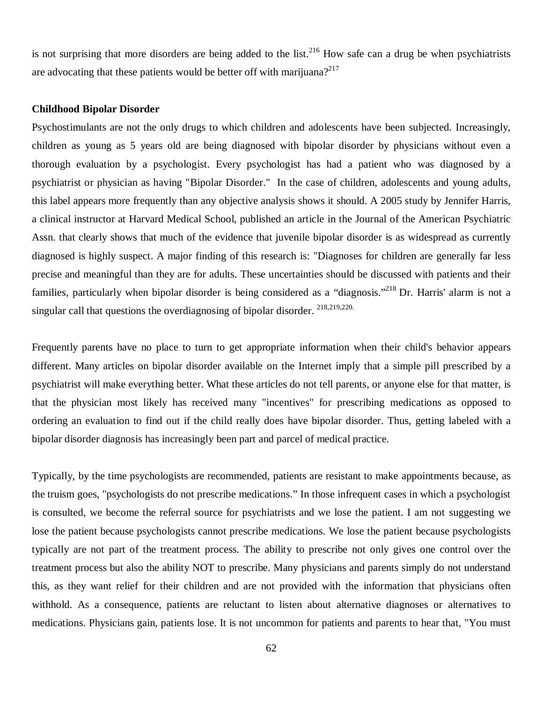is not surprising that more disorders are being added to the list.<sup>216</sup> How safe can a drug be when psychiatrists are advocating that these patients would be better off with marijuana?<sup>217</sup>

#### **Childhood Bipolar Disorder**

Psychostimulants are not the only drugs to which children and adolescents have been subjected. Increasingly, children as young as 5 years old are being diagnosed with bipolar disorder by physicians without even a thorough evaluation by a psychologist. Every psychologist has had a patient who was diagnosed by a psychiatrist or physician as having "Bipolar Disorder." In the case of children, adolescents and young adults, this label appears more frequently than any objective analysis shows it should. A 2005 study by Jennifer Harris, a clinical instructor at Harvard Medical School, published an article in the Journal of the American Psychiatric Assn. that clearly shows that much of the evidence that juvenile bipolar disorder is as widespread as currently diagnosed is highly suspect. A major finding of this research is: "Diagnoses for children are generally far less precise and meaningful than they are for adults. These uncertainties should be discussed with patients and their families, particularly when bipolar disorder is being considered as a "diagnosis."<sup>218</sup> Dr. Harris' alarm is not a singular call that questions the overdiagnosing of bipolar disorder. <sup>218,219,220.</sup>

Frequently parents have no place to turn to get appropriate information when their child's behavior appears different. Many articles on bipolar disorder available on the Internet imply that a simple pill prescribed by a psychiatrist will make everything better. What these articles do not tell parents, or anyone else for that matter, is that the physician most likely has received many "incentives" for prescribing medications as opposed to ordering an evaluation to find out if the child really does have bipolar disorder. Thus, getting labeled with a bipolar disorder diagnosis has increasingly been part and parcel of medical practice.

Typically, by the time psychologists are recommended, patients are resistant to make appointments because, as the truism goes, "psychologists do not prescribe medications." In those infrequent cases in which a psychologist is consulted, we become the referral source for psychiatrists and we lose the patient. I am not suggesting we lose the patient because psychologists cannot prescribe medications. We lose the patient because psychologists typically are not part of the treatment process. The ability to prescribe not only gives one control over the treatment process but also the ability NOT to prescribe. Many physicians and parents simply do not understand this, as they want relief for their children and are not provided with the information that physicians often withhold. As a consequence, patients are reluctant to listen about alternative diagnoses or alternatives to medications. Physicians gain, patients lose. It is not uncommon for patients and parents to hear that, "You must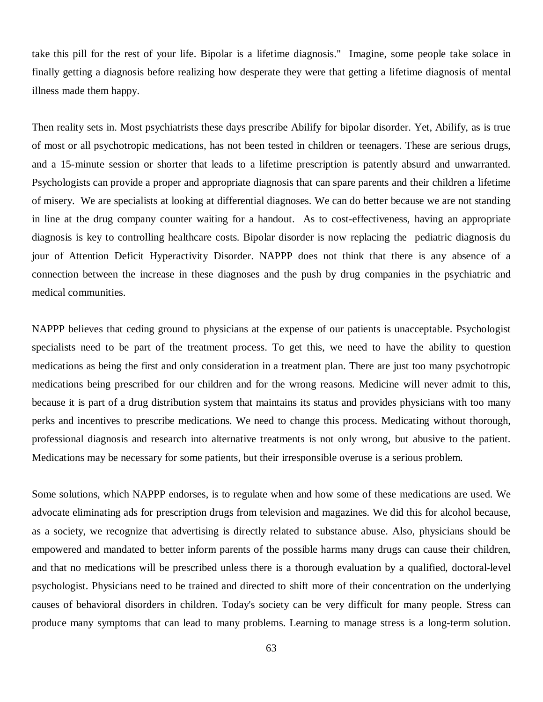take this pill for the rest of your life. Bipolar is a lifetime diagnosis." Imagine, some people take solace in finally getting a diagnosis before realizing how desperate they were that getting a lifetime diagnosis of mental illness made them happy.

Then reality sets in. Most psychiatrists these days prescribe Abilify for bipolar disorder. Yet, Abilify, as is true of most or all psychotropic medications, has not been tested in children or teenagers. These are serious drugs, and a 15-minute session or shorter that leads to a lifetime prescription is patently absurd and unwarranted. Psychologists can provide a proper and appropriate diagnosis that can spare parents and their children a lifetime of misery. We are specialists at looking at differential diagnoses. We can do better because we are not standing in line at the drug company counter waiting for a handout. As to cost-effectiveness, having an appropriate diagnosis is key to controlling healthcare costs. Bipolar disorder is now replacing the pediatric diagnosis du jour of Attention Deficit Hyperactivity Disorder. NAPPP does not think that there is any absence of a connection between the increase in these diagnoses and the push by drug companies in the psychiatric and medical communities.

NAPPP believes that ceding ground to physicians at the expense of our patients is unacceptable. Psychologist specialists need to be part of the treatment process. To get this, we need to have the ability to question medications as being the first and only consideration in a treatment plan. There are just too many psychotropic medications being prescribed for our children and for the wrong reasons. Medicine will never admit to this, because it is part of a drug distribution system that maintains its status and provides physicians with too many perks and incentives to prescribe medications. We need to change this process. Medicating without thorough, professional diagnosis and research into alternative treatments is not only wrong, but abusive to the patient. Medications may be necessary for some patients, but their irresponsible overuse is a serious problem.

Some solutions, which NAPPP endorses, is to regulate when and how some of these medications are used. We advocate eliminating ads for prescription drugs from television and magazines. We did this for alcohol because, as a society, we recognize that advertising is directly related to substance abuse. Also, physicians should be empowered and mandated to better inform parents of the possible harms many drugs can cause their children, and that no medications will be prescribed unless there is a thorough evaluation by a qualified, doctoral-level psychologist. Physicians need to be trained and directed to shift more of their concentration on the underlying causes of behavioral disorders in children. Today's society can be very difficult for many people. Stress can produce many symptoms that can lead to many problems. Learning to manage stress is a long-term solution.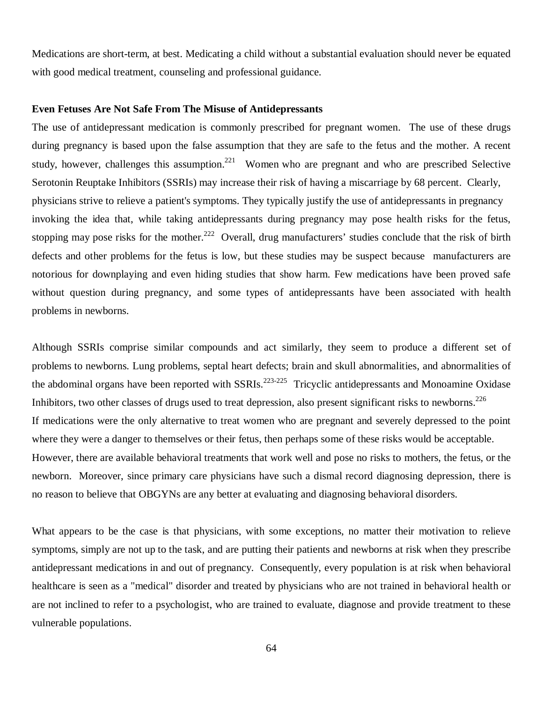Medications are short-term, at best. Medicating a child without a substantial evaluation should never be equated with good medical treatment, counseling and professional guidance.

## **Even Fetuses Are Not Safe From The Misuse of Antidepressants**

The use of antidepressant medication is commonly prescribed for pregnant women. The use of these drugs during pregnancy is based upon the false assumption that they are safe to the fetus and the mother. A recent study, however, challenges this assumption.<sup>221</sup> Women who are pregnant and who are prescribed Selective Serotonin Reuptake Inhibitors (SSRIs) may increase their risk of having a miscarriage by 68 percent. Clearly, physicians strive to relieve a patient's symptoms. They typically justify the use of antidepressants in pregnancy invoking the idea that, while taking antidepressants during pregnancy may pose health risks for the fetus, stopping may pose risks for the mother.<sup>222</sup> Overall, drug manufacturers' studies conclude that the risk of birth defects and other problems for the fetus is low, but these studies may be suspect because manufacturers are notorious for downplaying and even hiding studies that show harm. Few medications have been proved safe without question during pregnancy, and some types of antidepressants have been associated with health problems in newborns.

Although SSRIs comprise similar compounds and act similarly, they seem to produce a different set of problems to newborns. Lung problems, septal heart defects; brain and skull abnormalities, and abnormalities of the abdominal organs have been reported with  $SSRIs$ <sup>223-225</sup> Tricyclic antidepressants and Monoamine Oxidase Inhibitors, two other classes of drugs used to treat depression, also present significant risks to newborns.<sup>226</sup> If medications were the only alternative to treat women who are pregnant and severely depressed to the point where they were a danger to themselves or their fetus, then perhaps some of these risks would be acceptable. However, there are available behavioral treatments that work well and pose no risks to mothers, the fetus, or the newborn. Moreover, since primary care physicians have such a dismal record diagnosing depression, there is no reason to believe that OBGYNs are any better at evaluating and diagnosing behavioral disorders.

What appears to be the case is that physicians, with some exceptions, no matter their motivation to relieve symptoms, simply are not up to the task, and are putting their patients and newborns at risk when they prescribe antidepressant medications in and out of pregnancy. Consequently, every population is at risk when behavioral healthcare is seen as a "medical" disorder and treated by physicians who are not trained in behavioral health or are not inclined to refer to a psychologist, who are trained to evaluate, diagnose and provide treatment to these vulnerable populations.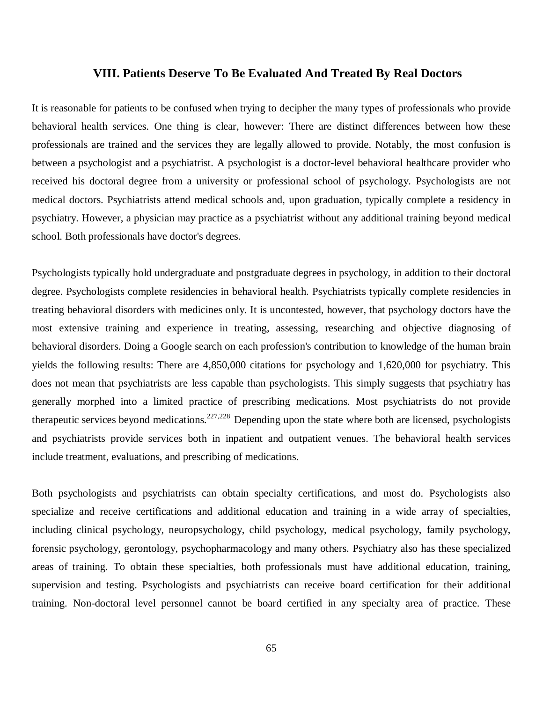## **VIII. Patients Deserve To Be Evaluated And Treated By Real Doctors**

It is reasonable for patients to be confused when trying to decipher the many types of professionals who provide behavioral health services. One thing is clear, however: There are distinct differences between how these professionals are trained and the services they are legally allowed to provide. Notably, the most confusion is between a psychologist and a psychiatrist. A psychologist is a doctor-level behavioral healthcare provider who received his doctoral degree from a university or professional school of psychology. Psychologists are not medical doctors. Psychiatrists attend medical schools and, upon graduation, typically complete a residency in psychiatry. However, a physician may practice as a psychiatrist without any additional training beyond medical school. Both professionals have doctor's degrees.

Psychologists typically hold undergraduate and postgraduate degrees in psychology, in addition to their doctoral degree. Psychologists complete residencies in behavioral health. Psychiatrists typically complete residencies in treating behavioral disorders with medicines only. It is uncontested, however, that psychology doctors have the most extensive training and experience in treating, assessing, researching and objective diagnosing of behavioral disorders. Doing a Google search on each profession's contribution to knowledge of the human brain yields the following results: There are 4,850,000 citations for psychology and 1,620,000 for psychiatry. This does not mean that psychiatrists are less capable than psychologists. This simply suggests that psychiatry has generally morphed into a limited practice of prescribing medications. Most psychiatrists do not provide therapeutic services beyond medications.<sup>227,228</sup> Depending upon the state where both are licensed, psychologists and psychiatrists provide services both in inpatient and outpatient venues. The behavioral health services include treatment, evaluations, and prescribing of medications.

Both psychologists and psychiatrists can obtain specialty certifications, and most do. Psychologists also specialize and receive certifications and additional education and training in a wide array of specialties, including clinical psychology, neuropsychology, child psychology, medical psychology, family psychology, forensic psychology, gerontology, psychopharmacology and many others. Psychiatry also has these specialized areas of training. To obtain these specialties, both professionals must have additional education, training, supervision and testing. Psychologists and psychiatrists can receive board certification for their additional training. Non-doctoral level personnel cannot be board certified in any specialty area of practice. These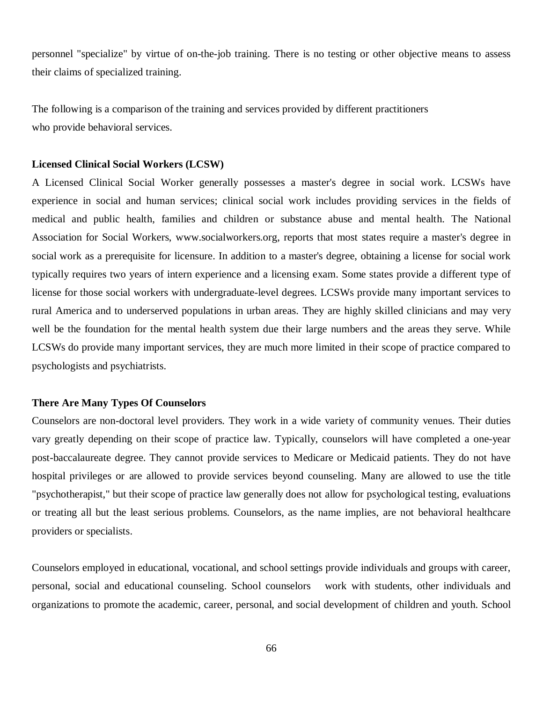personnel "specialize" by virtue of on-the-job training. There is no testing or other objective means to assess their claims of specialized training.

The following is a comparison of the training and services provided by different practitioners who provide behavioral services.

#### **Licensed Clinical Social Workers (LCSW)**

A Licensed Clinical Social Worker generally possesses a master's degree in social work. LCSWs have experience in social and human services; clinical social work includes providing services in the fields of medical and public health, families and children or substance abuse and mental health. The National Association for Social Workers, [www.socialworkers.org,](http://www.socialworkers.org,) reports that most states require a master's degree in social work as a prerequisite for licensure. In addition to a master's degree, obtaining a license for social work typically requires two years of intern experience and a licensing exam. Some states provide a different type of license for those social workers with undergraduate-level degrees. LCSWs provide many important services to rural America and to underserved populations in urban areas. They are highly skilled clinicians and may very well be the foundation for the mental health system due their large numbers and the areas they serve. While LCSWs do provide many important services, they are much more limited in their scope of practice compared to psychologists and psychiatrists.

### **There Are Many Types Of Counselors**

Counselors are non-doctoral level providers. They work in a wide variety of community venues. Their duties vary greatly depending on their scope of practice law. Typically, counselors will have completed a one-year post-baccalaureate degree. They cannot provide services to Medicare or Medicaid patients. They do not have hospital privileges or are allowed to provide services beyond counseling. Many are allowed to use the title "psychotherapist," but their scope of practice law generally does not allow for psychological testing, evaluations or treating all but the least serious problems. Counselors, as the name implies, are not behavioral healthcare providers or specialists.

Counselors employed in educational, vocational, and school settings provide individuals and groups with career, personal, social and educational counseling. School counselors work with students, other individuals and organizations to promote the academic, career, personal, and social development of children and youth. School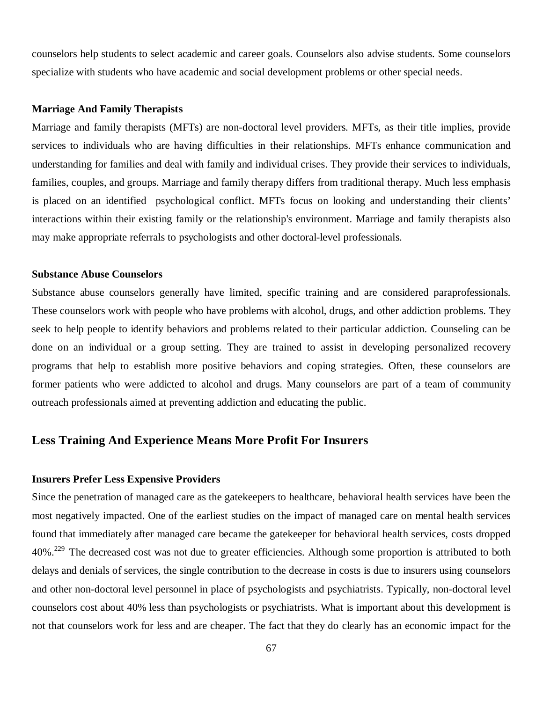counselors help students to select academic and career goals. Counselors also advise students. Some counselors specialize with students who have academic and social development problems or other special needs.

#### **Marriage And Family Therapists**

Marriage and family therapists (MFTs) are non-doctoral level providers. MFTs, as their title implies, provide services to individuals who are having difficulties in their relationships. MFTs enhance communication and understanding for families and deal with family and individual crises. They provide their services to individuals, families, couples, and groups. Marriage and family therapy differs from traditional therapy. Much less emphasis is placed on an identified psychological conflict. MFTs focus on looking and understanding their clients' interactions within their existing family or the relationship's environment. Marriage and family therapists also may make appropriate referrals to psychologists and other doctoral-level professionals.

#### **Substance Abuse Counselors**

Substance abuse counselors generally have limited, specific training and are considered paraprofessionals. These counselors work with people who have problems with alcohol, drugs, and other addiction problems. They seek to help people to identify behaviors and problems related to their particular addiction. Counseling can be done on an individual or a group setting. They are trained to assist in developing personalized recovery programs that help to establish more positive behaviors and coping strategies. Often, these counselors are former patients who were addicted to alcohol and drugs. Many counselors are part of a team of community outreach professionals aimed at preventing addiction and educating the public.

# **Less Training And Experience Means More Profit For Insurers**

## **Insurers Prefer Less Expensive Providers**

Since the penetration of managed care as the gatekeepers to healthcare, behavioral health services have been the most negatively impacted. One of the earliest studies on the impact of managed care on mental health services found that immediately after managed care became the gatekeeper for behavioral health services, costs dropped 40%<sup>229</sup> The decreased cost was not due to greater efficiencies. Although some proportion is attributed to both delays and denials of services, the single contribution to the decrease in costs is due to insurers using counselors and other non-doctoral level personnel in place of psychologists and psychiatrists. Typically, non-doctoral level counselors cost about 40% less than psychologists or psychiatrists. What is important about this development is not that counselors work for less and are cheaper. The fact that they do clearly has an economic impact for the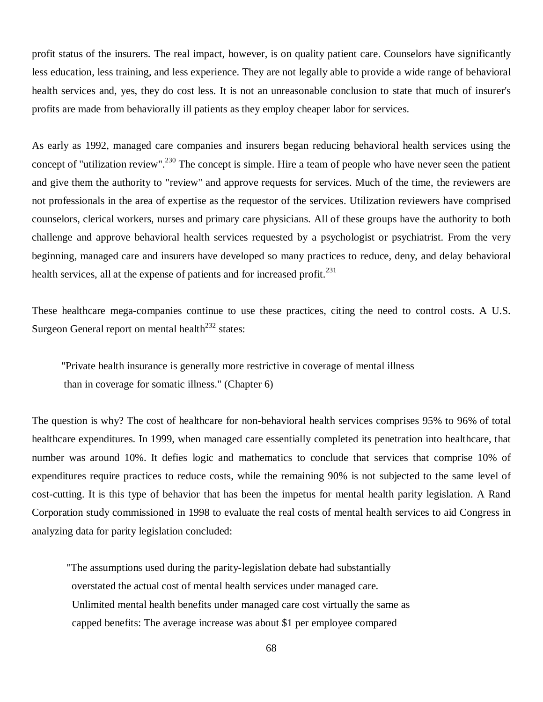profit status of the insurers. The real impact, however, is on quality patient care. Counselors have significantly less education, less training, and less experience. They are not legally able to provide a wide range of behavioral health services and, yes, they do cost less. It is not an unreasonable conclusion to state that much of insurer's profits are made from behaviorally ill patients as they employ cheaper labor for services.

As early as 1992, managed care companies and insurers began reducing behavioral health services using the concept of "utilization review".<sup>230</sup> The concept is simple. Hire a team of people who have never seen the patient and give them the authority to "review" and approve requests for services. Much of the time, the reviewers are not professionals in the area of expertise as the requestor of the services. Utilization reviewers have comprised counselors, clerical workers, nurses and primary care physicians. All of these groups have the authority to both challenge and approve behavioral health services requested by a psychologist or psychiatrist. From the very beginning, managed care and insurers have developed so many practices to reduce, deny, and delay behavioral health services, all at the expense of patients and for increased profit.<sup>231</sup>

These healthcare mega-companies continue to use these practices, citing the need to control costs. A U.S. Surgeon General report on mental health<sup>232</sup> states:

 "Private health insurance is generally more restrictive in coverage of mental illness than in coverage for somatic illness." (Chapter 6)

The question is why? The cost of healthcare for non-behavioral health services comprises 95% to 96% of total healthcare expenditures. In 1999, when managed care essentially completed its penetration into healthcare, that number was around 10%. It defies logic and mathematics to conclude that services that comprise 10% of expenditures require practices to reduce costs, while the remaining 90% is not subjected to the same level of cost-cutting. It is this type of behavior that has been the impetus for mental health parity legislation. A Rand Corporation study commissioned in 1998 to evaluate the real costs of mental health services to aid Congress in analyzing data for parity legislation concluded:

 "The assumptions used during the parity-legislation debate had substantially overstated the actual cost of mental health services under managed care. Unlimited mental health benefits under managed care cost virtually the same as capped benefits: The average increase was about \$1 per employee compared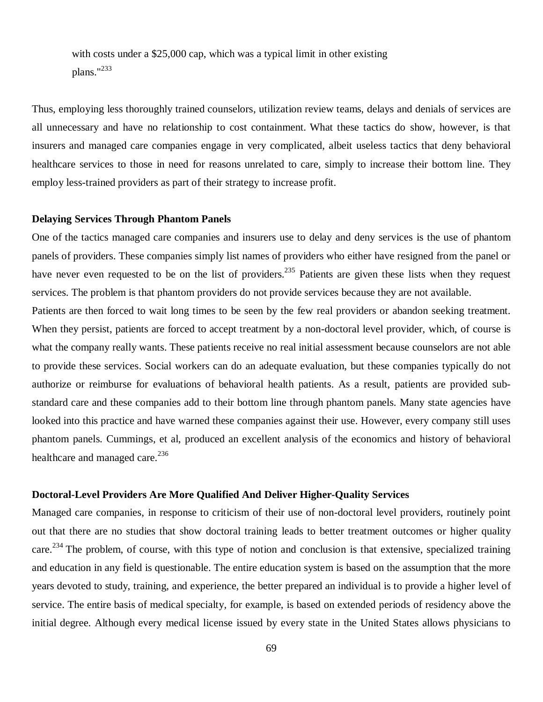with costs under a \$25,000 cap, which was a typical limit in other existing plans."<sup>233</sup>

Thus, employing less thoroughly trained counselors, utilization review teams, delays and denials of services are all unnecessary and have no relationship to cost containment. What these tactics do show, however, is that insurers and managed care companies engage in very complicated, albeit useless tactics that deny behavioral healthcare services to those in need for reasons unrelated to care, simply to increase their bottom line. They employ less-trained providers as part of their strategy to increase profit.

## **Delaying Services Through Phantom Panels**

One of the tactics managed care companies and insurers use to delay and deny services is the use of phantom panels of providers. These companies simply list names of providers who either have resigned from the panel or have never even requested to be on the list of providers.<sup>235</sup> Patients are given these lists when they request services. The problem is that phantom providers do not provide services because they are not available.

Patients are then forced to wait long times to be seen by the few real providers or abandon seeking treatment. When they persist, patients are forced to accept treatment by a non-doctoral level provider, which, of course is what the company really wants. These patients receive no real initial assessment because counselors are not able to provide these services. Social workers can do an adequate evaluation, but these companies typically do not authorize or reimburse for evaluations of behavioral health patients. As a result, patients are provided substandard care and these companies add to their bottom line through phantom panels. Many state agencies have looked into this practice and have warned these companies against their use. However, every company still uses phantom panels. Cummings, et al, produced an excellent analysis of the economics and history of behavioral healthcare and managed care.<sup>236</sup>

## **Doctoral-Level Providers Are More Qualified And Deliver Higher-Quality Services**

Managed care companies, in response to criticism of their use of non-doctoral level providers, routinely point out that there are no studies that show doctoral training leads to better treatment outcomes or higher quality care.<sup>234</sup> The problem, of course, with this type of notion and conclusion is that extensive, specialized training and education in any field is questionable. The entire education system is based on the assumption that the more years devoted to study, training, and experience, the better prepared an individual is to provide a higher level of service. The entire basis of medical specialty, for example, is based on extended periods of residency above the initial degree. Although every medical license issued by every state in the United States allows physicians to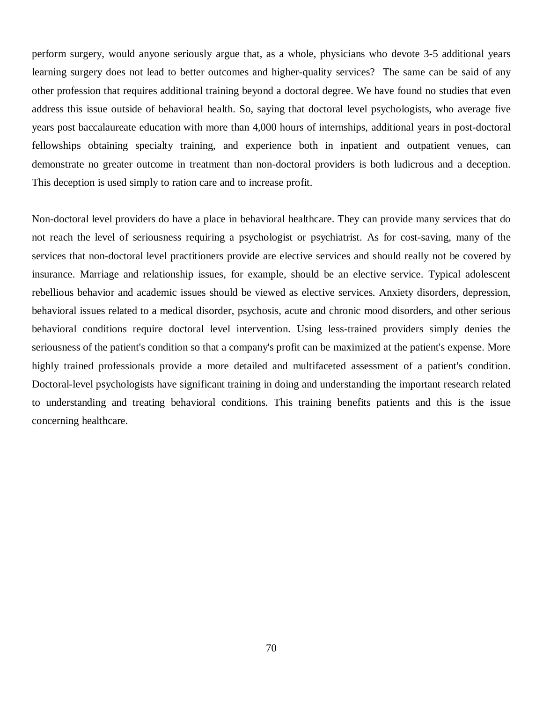perform surgery, would anyone seriously argue that, as a whole, physicians who devote 3-5 additional years learning surgery does not lead to better outcomes and higher-quality services? The same can be said of any other profession that requires additional training beyond a doctoral degree. We have found no studies that even address this issue outside of behavioral health. So, saying that doctoral level psychologists, who average five years post baccalaureate education with more than 4,000 hours of internships, additional years in post-doctoral fellowships obtaining specialty training, and experience both in inpatient and outpatient venues, can demonstrate no greater outcome in treatment than non-doctoral providers is both ludicrous and a deception. This deception is used simply to ration care and to increase profit.

Non-doctoral level providers do have a place in behavioral healthcare. They can provide many services that do not reach the level of seriousness requiring a psychologist or psychiatrist. As for cost-saving, many of the services that non-doctoral level practitioners provide are elective services and should really not be covered by insurance. Marriage and relationship issues, for example, should be an elective service. Typical adolescent rebellious behavior and academic issues should be viewed as elective services. Anxiety disorders, depression, behavioral issues related to a medical disorder, psychosis, acute and chronic mood disorders, and other serious behavioral conditions require doctoral level intervention. Using less-trained providers simply denies the seriousness of the patient's condition so that a company's profit can be maximized at the patient's expense. More highly trained professionals provide a more detailed and multifaceted assessment of a patient's condition. Doctoral-level psychologists have significant training in doing and understanding the important research related to understanding and treating behavioral conditions. This training benefits patients and this is the issue concerning healthcare.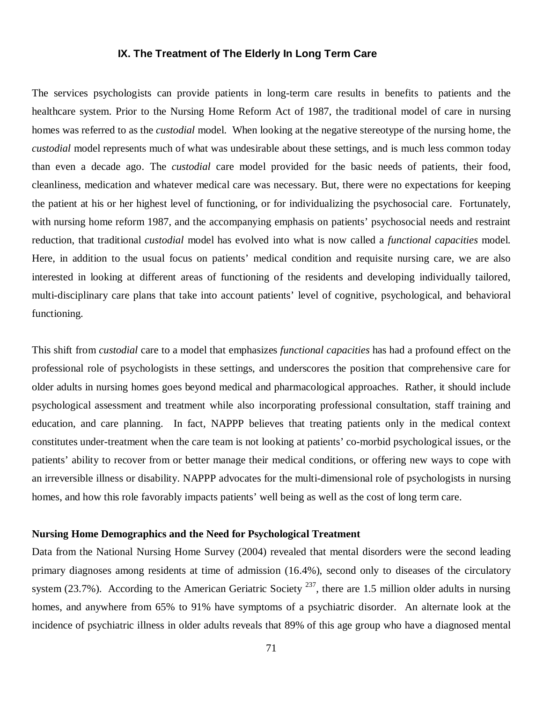## **IX. The Treatment of The Elderly In Long Term Care**

The services psychologists can provide patients in long-term care results in benefits to patients and the healthcare system. Prior to the Nursing Home Reform Act of 1987, the traditional model of care in nursing homes was referred to as the *custodial* model. When looking at the negative stereotype of the nursing home, the *custodial* model represents much of what was undesirable about these settings, and is much less common today than even a decade ago. The *custodial* care model provided for the basic needs of patients, their food, cleanliness, medication and whatever medical care was necessary. But, there were no expectations for keeping the patient at his or her highest level of functioning, or for individualizing the psychosocial care. Fortunately, with nursing home reform 1987, and the accompanying emphasis on patients' psychosocial needs and restraint reduction, that traditional *custodial* model has evolved into what is now called a *functional capacities* model. Here, in addition to the usual focus on patients' medical condition and requisite nursing care, we are also interested in looking at different areas of functioning of the residents and developing individually tailored, multi-disciplinary care plans that take into account patients' level of cognitive, psychological, and behavioral functioning.

This shift from *custodial* care to a model that emphasizes *functional capacities* has had a profound effect on the professional role of psychologists in these settings, and underscores the position that comprehensive care for older adults in nursing homes goes beyond medical and pharmacological approaches. Rather, it should include psychological assessment and treatment while also incorporating professional consultation, staff training and education, and care planning. In fact, NAPPP believes that treating patients only in the medical context constitutes under-treatment when the care team is not looking at patients' co-morbid psychological issues, or the patients' ability to recover from or better manage their medical conditions, or offering new ways to cope with an irreversible illness or disability. NAPPP advocates for the multi-dimensional role of psychologists in nursing homes, and how this role favorably impacts patients' well being as well as the cost of long term care.

## **Nursing Home Demographics and the Need for Psychological Treatment**

Data from the National Nursing Home Survey (2004) revealed that mental disorders were the second leading primary diagnoses among residents at time of admission (16.4%), second only to diseases of the circulatory system (23.7%). According to the American Geriatric Society  $^{237}$ , there are 1.5 million older adults in nursing homes, and anywhere from 65% to 91% have symptoms of a psychiatric disorder. An alternate look at the incidence of psychiatric illness in older adults reveals that 89% of this age group who have a diagnosed mental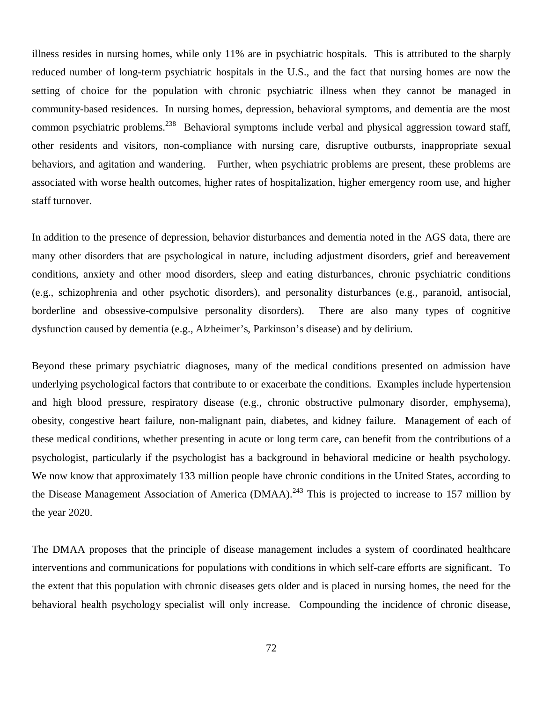illness resides in nursing homes, while only 11% are in psychiatric hospitals. This is attributed to the sharply reduced number of long-term psychiatric hospitals in the U.S., and the fact that nursing homes are now the setting of choice for the population with chronic psychiatric illness when they cannot be managed in community-based residences. In nursing homes, depression, behavioral symptoms, and dementia are the most common psychiatric problems.<sup>238</sup> Behavioral symptoms include verbal and physical aggression toward staff, other residents and visitors, non-compliance with nursing care, disruptive outbursts, inappropriate sexual behaviors, and agitation and wandering. Further, when psychiatric problems are present, these problems are associated with worse health outcomes, higher rates of hospitalization, higher emergency room use, and higher staff turnover.

In addition to the presence of depression, behavior disturbances and dementia noted in the AGS data, there are many other disorders that are psychological in nature, including adjustment disorders, grief and bereavement conditions, anxiety and other mood disorders, sleep and eating disturbances, chronic psychiatric conditions (e.g., schizophrenia and other psychotic disorders), and personality disturbances (e.g., paranoid, antisocial, borderline and obsessive-compulsive personality disorders). There are also many types of cognitive dysfunction caused by dementia (e.g., Alzheimer's, Parkinson's disease) and by delirium.

Beyond these primary psychiatric diagnoses, many of the medical conditions presented on admission have underlying psychological factors that contribute to or exacerbate the conditions. Examples include hypertension and high blood pressure, respiratory disease (e.g., chronic obstructive pulmonary disorder, emphysema), obesity, congestive heart failure, non-malignant pain, diabetes, and kidney failure. Management of each of these medical conditions, whether presenting in acute or long term care, can benefit from the contributions of a psychologist, particularly if the psychologist has a background in behavioral medicine or health psychology. We now know that approximately 133 million people have chronic conditions in the United States, according to the Disease Management Association of America (DMAA).<sup>243</sup> This is projected to increase to 157 million by the year 2020.

The DMAA proposes that the principle of disease management includes a system of coordinated healthcare interventions and communications for populations with conditions in which self-care efforts are significant. To the extent that this population with chronic diseases gets older and is placed in nursing homes, the need for the behavioral health psychology specialist will only increase. Compounding the incidence of chronic disease,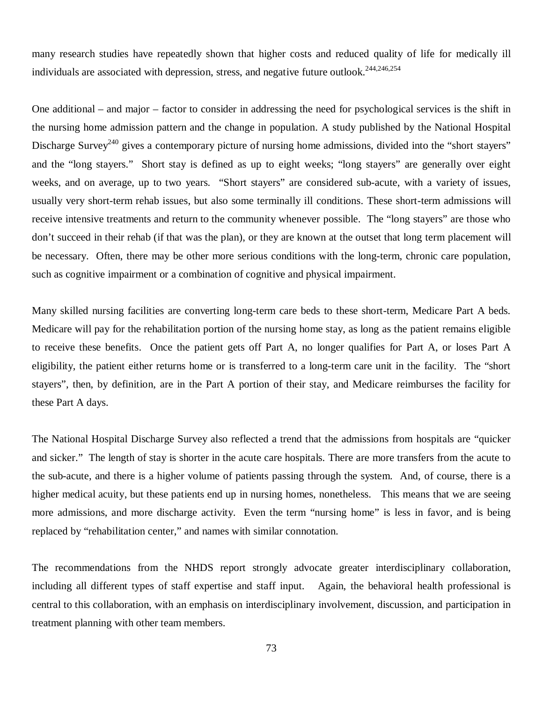many research studies have repeatedly shown that higher costs and reduced quality of life for medically ill individuals are associated with depression, stress, and negative future outlook.<sup>244,246,254</sup>

One additional – and major – factor to consider in addressing the need for psychological services is the shift in the nursing home admission pattern and the change in population. A study published by the National Hospital Discharge Survey<sup>240</sup> gives a contemporary picture of nursing home admissions, divided into the "short stayers" and the "long stayers." Short stay is defined as up to eight weeks; "long stayers" are generally over eight weeks, and on average, up to two years. "Short stayers" are considered sub-acute, with a variety of issues, usually very short-term rehab issues, but also some terminally ill conditions. These short-term admissions will receive intensive treatments and return to the community whenever possible. The "long stayers" are those who don't succeed in their rehab (if that was the plan), or they are known at the outset that long term placement will be necessary. Often, there may be other more serious conditions with the long-term, chronic care population, such as cognitive impairment or a combination of cognitive and physical impairment.

Many skilled nursing facilities are converting long-term care beds to these short-term, Medicare Part A beds. Medicare will pay for the rehabilitation portion of the nursing home stay, as long as the patient remains eligible to receive these benefits. Once the patient gets off Part A, no longer qualifies for Part A, or loses Part A eligibility, the patient either returns home or is transferred to a long-term care unit in the facility. The "short stayers", then, by definition, are in the Part A portion of their stay, and Medicare reimburses the facility for these Part A days.

The National Hospital Discharge Survey also reflected a trend that the admissions from hospitals are "quicker and sicker." The length of stay is shorter in the acute care hospitals. There are more transfers from the acute to the sub-acute, and there is a higher volume of patients passing through the system. And, of course, there is a higher medical acuity, but these patients end up in nursing homes, nonetheless. This means that we are seeing more admissions, and more discharge activity. Even the term "nursing home" is less in favor, and is being replaced by "rehabilitation center," and names with similar connotation.

The recommendations from the NHDS report strongly advocate greater interdisciplinary collaboration, including all different types of staff expertise and staff input. Again, the behavioral health professional is central to this collaboration, with an emphasis on interdisciplinary involvement, discussion, and participation in treatment planning with other team members.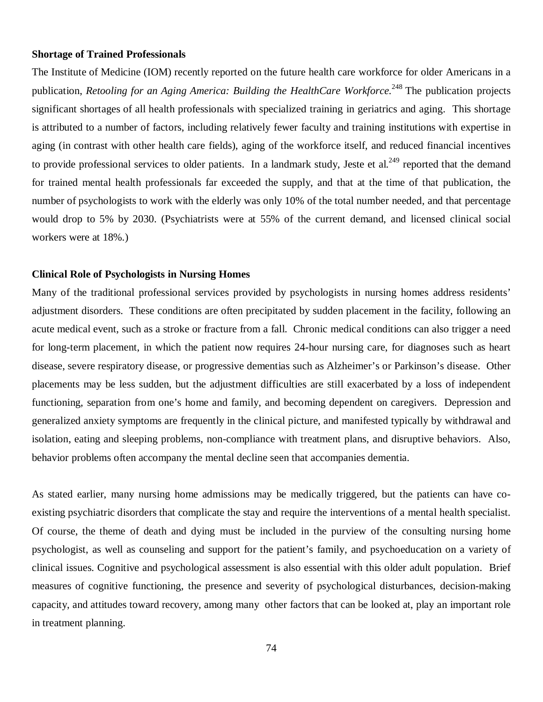#### **Shortage of Trained Professionals**

The Institute of Medicine (IOM) recently reported on the future health care workforce for older Americans in a publication, *Retooling for an Aging America: Building the HealthCare Workforce.*<sup>248</sup> The publication projects significant shortages of all health professionals with specialized training in geriatrics and aging. This shortage is attributed to a number of factors, including relatively fewer faculty and training institutions with expertise in aging (in contrast with other health care fields), aging of the workforce itself, and reduced financial incentives to provide professional services to older patients. In a landmark study, Jeste et al.<sup>249</sup> reported that the demand for trained mental health professionals far exceeded the supply, and that at the time of that publication, the number of psychologists to work with the elderly was only 10% of the total number needed, and that percentage would drop to 5% by 2030. (Psychiatrists were at 55% of the current demand, and licensed clinical social workers were at 18%.)

# **Clinical Role of Psychologists in Nursing Homes**

Many of the traditional professional services provided by psychologists in nursing homes address residents' adjustment disorders. These conditions are often precipitated by sudden placement in the facility, following an acute medical event, such as a stroke or fracture from a fall. Chronic medical conditions can also trigger a need for long-term placement, in which the patient now requires 24-hour nursing care, for diagnoses such as heart disease, severe respiratory disease, or progressive dementias such as Alzheimer's or Parkinson's disease. Other placements may be less sudden, but the adjustment difficulties are still exacerbated by a loss of independent functioning, separation from one's home and family, and becoming dependent on caregivers. Depression and generalized anxiety symptoms are frequently in the clinical picture, and manifested typically by withdrawal and isolation, eating and sleeping problems, non-compliance with treatment plans, and disruptive behaviors. Also, behavior problems often accompany the mental decline seen that accompanies dementia.

As stated earlier, many nursing home admissions may be medically triggered, but the patients can have coexisting psychiatric disorders that complicate the stay and require the interventions of a mental health specialist. Of course, the theme of death and dying must be included in the purview of the consulting nursing home psychologist, as well as counseling and support for the patient's family, and psychoeducation on a variety of clinical issues. Cognitive and psychological assessment is also essential with this older adult population. Brief measures of cognitive functioning, the presence and severity of psychological disturbances, decision-making capacity, and attitudes toward recovery, among many other factors that can be looked at, play an important role in treatment planning.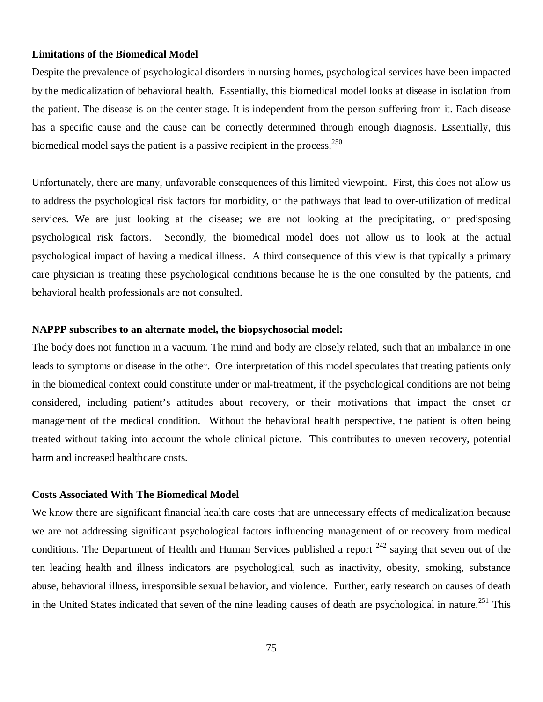#### **Limitations of the Biomedical Model**

Despite the prevalence of psychological disorders in nursing homes, psychological services have been impacted by the medicalization of behavioral health. Essentially, this biomedical model looks at disease in isolation from the patient. The disease is on the center stage. It is independent from the person suffering from it. Each disease has a specific cause and the cause can be correctly determined through enough diagnosis. Essentially, this biomedical model says the patient is a passive recipient in the process.<sup>250</sup>

Unfortunately, there are many, unfavorable consequences of this limited viewpoint. First, this does not allow us to address the psychological risk factors for morbidity, or the pathways that lead to over-utilization of medical services. We are just looking at the disease; we are not looking at the precipitating, or predisposing psychological risk factors. Secondly, the biomedical model does not allow us to look at the actual psychological impact of having a medical illness. A third consequence of this view is that typically a primary care physician is treating these psychological conditions because he is the one consulted by the patients, and behavioral health professionals are not consulted.

#### **NAPPP subscribes to an alternate model, the biopsychosocial model:**

The body does not function in a vacuum. The mind and body are closely related, such that an imbalance in one leads to symptoms or disease in the other. One interpretation of this model speculates that treating patients only in the biomedical context could constitute under or mal-treatment, if the psychological conditions are not being considered, including patient's attitudes about recovery, or their motivations that impact the onset or management of the medical condition. Without the behavioral health perspective, the patient is often being treated without taking into account the whole clinical picture. This contributes to uneven recovery, potential harm and increased healthcare costs.

#### **Costs Associated With The Biomedical Model**

We know there are significant financial health care costs that are unnecessary effects of medicalization because we are not addressing significant psychological factors influencing management of or recovery from medical conditions. The Department of Health and Human Services published a report  $242$  saying that seven out of the ten leading health and illness indicators are psychological, such as inactivity, obesity, smoking, substance abuse, behavioral illness, irresponsible sexual behavior, and violence. Further, early research on causes of death in the United States indicated that seven of the nine leading causes of death are psychological in nature.<sup>251</sup> This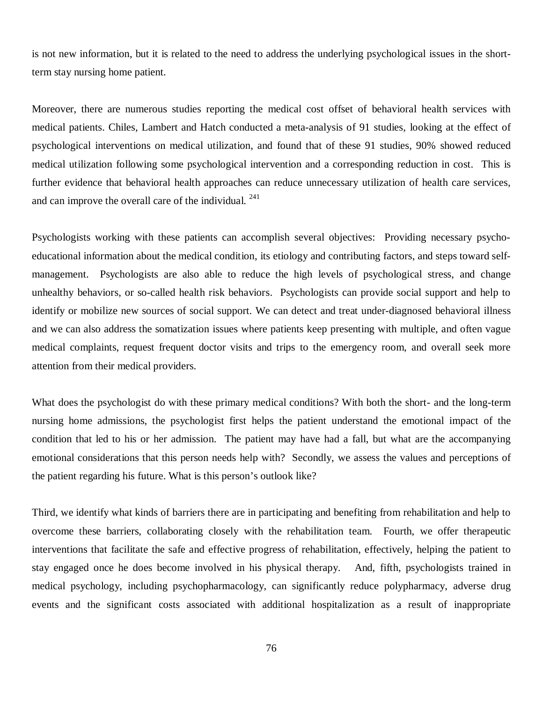is not new information, but it is related to the need to address the underlying psychological issues in the shortterm stay nursing home patient.

Moreover, there are numerous studies reporting the medical cost offset of behavioral health services with medical patients. Chiles, Lambert and Hatch conducted a meta-analysis of 91 studies, looking at the effect of psychological interventions on medical utilization, and found that of these 91 studies, 90% showed reduced medical utilization following some psychological intervention and a corresponding reduction in cost. This is further evidence that behavioral health approaches can reduce unnecessary utilization of health care services, and can improve the overall care of the individual.  $241$ 

Psychologists working with these patients can accomplish several objectives: Providing necessary psychoeducational information about the medical condition, its etiology and contributing factors, and steps toward selfmanagement. Psychologists are also able to reduce the high levels of psychological stress, and change unhealthy behaviors, or so-called health risk behaviors. Psychologists can provide social support and help to identify or mobilize new sources of social support. We can detect and treat under-diagnosed behavioral illness and we can also address the somatization issues where patients keep presenting with multiple, and often vague medical complaints, request frequent doctor visits and trips to the emergency room, and overall seek more attention from their medical providers.

What does the psychologist do with these primary medical conditions? With both the short- and the long-term nursing home admissions, the psychologist first helps the patient understand the emotional impact of the condition that led to his or her admission. The patient may have had a fall, but what are the accompanying emotional considerations that this person needs help with? Secondly, we assess the values and perceptions of the patient regarding his future. What is this person's outlook like?

Third, we identify what kinds of barriers there are in participating and benefiting from rehabilitation and help to overcome these barriers, collaborating closely with the rehabilitation team. Fourth, we offer therapeutic interventions that facilitate the safe and effective progress of rehabilitation, effectively, helping the patient to stay engaged once he does become involved in his physical therapy. And, fifth, psychologists trained in medical psychology, including psychopharmacology, can significantly reduce polypharmacy, adverse drug events and the significant costs associated with additional hospitalization as a result of inappropriate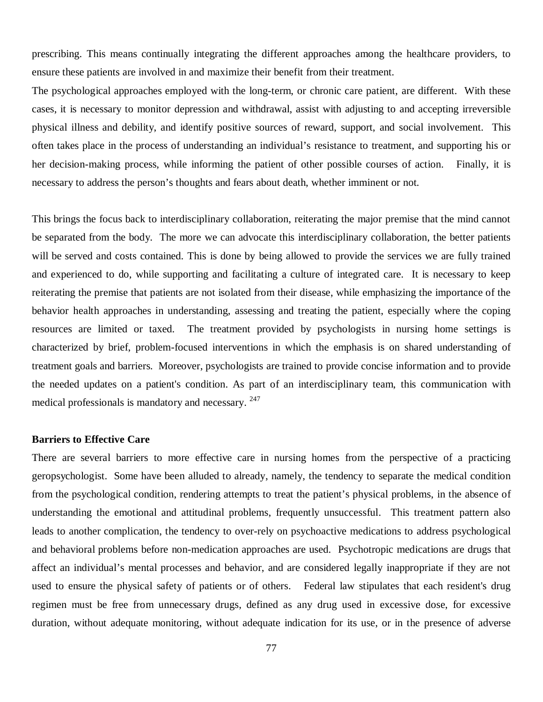prescribing. This means continually integrating the different approaches among the healthcare providers, to ensure these patients are involved in and maximize their benefit from their treatment.

The psychological approaches employed with the long-term, or chronic care patient, are different. With these cases, it is necessary to monitor depression and withdrawal, assist with adjusting to and accepting irreversible physical illness and debility, and identify positive sources of reward, support, and social involvement. This often takes place in the process of understanding an individual's resistance to treatment, and supporting his or her decision-making process, while informing the patient of other possible courses of action. Finally, it is necessary to address the person's thoughts and fears about death, whether imminent or not.

This brings the focus back to interdisciplinary collaboration, reiterating the major premise that the mind cannot be separated from the body. The more we can advocate this interdisciplinary collaboration, the better patients will be served and costs contained. This is done by being allowed to provide the services we are fully trained and experienced to do, while supporting and facilitating a culture of integrated care. It is necessary to keep reiterating the premise that patients are not isolated from their disease, while emphasizing the importance of the behavior health approaches in understanding, assessing and treating the patient, especially where the coping resources are limited or taxed. The treatment provided by psychologists in nursing home settings is characterized by brief, problem-focused interventions in which the emphasis is on shared understanding of treatment goals and barriers. Moreover, psychologists are trained to provide concise information and to provide the needed updates on a patient's condition. As part of an interdisciplinary team, this communication with medical professionals is mandatory and necessary. <sup>247</sup>

#### **Barriers to Effective Care**

There are several barriers to more effective care in nursing homes from the perspective of a practicing geropsychologist. Some have been alluded to already, namely, the tendency to separate the medical condition from the psychological condition, rendering attempts to treat the patient's physical problems, in the absence of understanding the emotional and attitudinal problems, frequently unsuccessful. This treatment pattern also leads to another complication, the tendency to over-rely on psychoactive medications to address psychological and behavioral problems before non-medication approaches are used. Psychotropic medications are drugs that affect an individual's mental processes and behavior, and are considered legally inappropriate if they are not used to ensure the physical safety of patients or of others. Federal law stipulates that each resident's drug regimen must be free from unnecessary drugs, defined as any drug used in excessive dose, for excessive duration, without adequate monitoring, without adequate indication for its use, or in the presence of adverse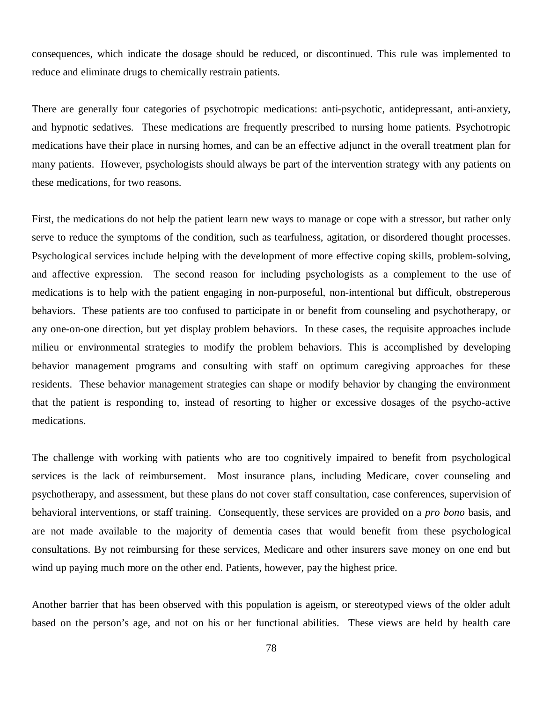consequences, which indicate the dosage should be reduced, or discontinued. This rule was implemented to reduce and eliminate drugs to chemically restrain patients.

There are generally four categories of psychotropic medications: anti-psychotic, antidepressant, anti-anxiety, and hypnotic sedatives. These medications are frequently prescribed to nursing home patients. Psychotropic medications have their place in nursing homes, and can be an effective adjunct in the overall treatment plan for many patients. However, psychologists should always be part of the intervention strategy with any patients on these medications, for two reasons.

First, the medications do not help the patient learn new ways to manage or cope with a stressor, but rather only serve to reduce the symptoms of the condition, such as tearfulness, agitation, or disordered thought processes. Psychological services include helping with the development of more effective coping skills, problem-solving, and affective expression. The second reason for including psychologists as a complement to the use of medications is to help with the patient engaging in non-purposeful, non-intentional but difficult, obstreperous behaviors. These patients are too confused to participate in or benefit from counseling and psychotherapy, or any one-on-one direction, but yet display problem behaviors. In these cases, the requisite approaches include milieu or environmental strategies to modify the problem behaviors. This is accomplished by developing behavior management programs and consulting with staff on optimum caregiving approaches for these residents. These behavior management strategies can shape or modify behavior by changing the environment that the patient is responding to, instead of resorting to higher or excessive dosages of the psycho-active medications.

The challenge with working with patients who are too cognitively impaired to benefit from psychological services is the lack of reimbursement. Most insurance plans, including Medicare, cover counseling and psychotherapy, and assessment, but these plans do not cover staff consultation, case conferences, supervision of behavioral interventions, or staff training. Consequently, these services are provided on a *pro bono* basis, and are not made available to the majority of dementia cases that would benefit from these psychological consultations. By not reimbursing for these services, Medicare and other insurers save money on one end but wind up paying much more on the other end. Patients, however, pay the highest price.

Another barrier that has been observed with this population is ageism, or stereotyped views of the older adult based on the person's age, and not on his or her functional abilities. These views are held by health care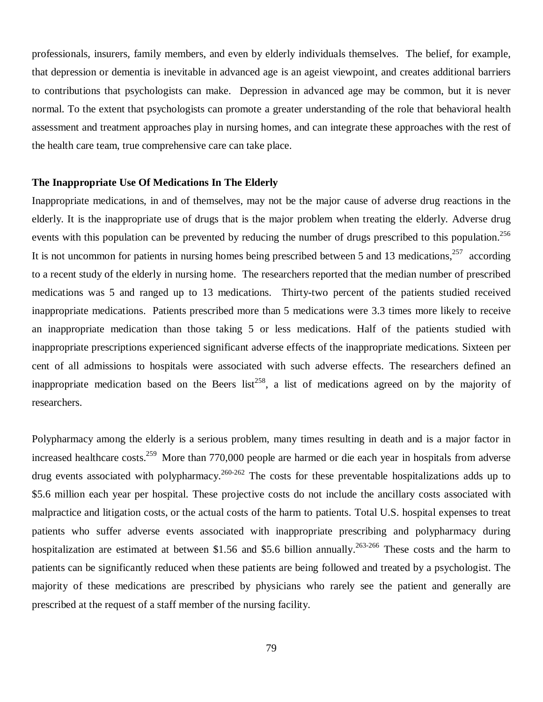professionals, insurers, family members, and even by elderly individuals themselves. The belief, for example, that depression or dementia is inevitable in advanced age is an ageist viewpoint, and creates additional barriers to contributions that psychologists can make. Depression in advanced age may be common, but it is never normal. To the extent that psychologists can promote a greater understanding of the role that behavioral health assessment and treatment approaches play in nursing homes, and can integrate these approaches with the rest of the health care team, true comprehensive care can take place.

#### **The Inappropriate Use Of Medications In The Elderly**

Inappropriate medications, in and of themselves, may not be the major cause of adverse drug reactions in the elderly. It is the inappropriate use of drugs that is the major problem when treating the elderly. Adverse drug events with this population can be prevented by reducing the number of drugs prescribed to this population.<sup>256</sup> It is not uncommon for patients in nursing homes being prescribed between 5 and 13 medications, $257$  according to a recent study of the elderly in nursing home. The researchers reported that the median number of prescribed medications was 5 and ranged up to 13 medications. Thirty-two percent of the patients studied received inappropriate medications. Patients prescribed more than 5 medications were 3.3 times more likely to receive an inappropriate medication than those taking 5 or less medications. Half of the patients studied with inappropriate prescriptions experienced significant adverse effects of the inappropriate medications. Sixteen per cent of all admissions to hospitals were associated with such adverse effects. The researchers defined an inappropriate medication based on the Beers list<sup>258</sup>, a list of medications agreed on by the majority of researchers.

Polypharmacy among the elderly is a serious problem, many times resulting in death and is a major factor in increased healthcare costs.<sup>259</sup> More than 770,000 people are harmed or die each year in hospitals from adverse drug events associated with polypharmacy.<sup>260-262</sup> The costs for these preventable hospitalizations adds up to \$5.6 million each year per hospital. These projective costs do not include the ancillary costs associated with malpractice and litigation costs, or the actual costs of the harm to patients. Total U.S. hospital expenses to treat patients who suffer adverse events associated with inappropriate prescribing and polypharmacy during hospitalization are estimated at between \$1.56 and \$5.6 billion annually.<sup>263-266</sup> These costs and the harm to patients can be significantly reduced when these patients are being followed and treated by a psychologist. The majority of these medications are prescribed by physicians who rarely see the patient and generally are prescribed at the request of a staff member of the nursing facility.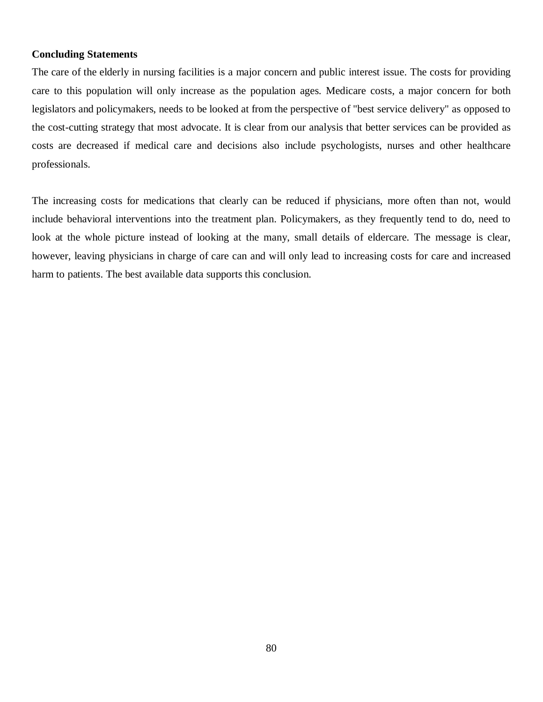## **Concluding Statements**

The care of the elderly in nursing facilities is a major concern and public interest issue. The costs for providing care to this population will only increase as the population ages. Medicare costs, a major concern for both legislators and policymakers, needs to be looked at from the perspective of "best service delivery" as opposed to the cost-cutting strategy that most advocate. It is clear from our analysis that better services can be provided as costs are decreased if medical care and decisions also include psychologists, nurses and other healthcare professionals.

The increasing costs for medications that clearly can be reduced if physicians, more often than not, would include behavioral interventions into the treatment plan. Policymakers, as they frequently tend to do, need to look at the whole picture instead of looking at the many, small details of eldercare. The message is clear, however, leaving physicians in charge of care can and will only lead to increasing costs for care and increased harm to patients. The best available data supports this conclusion.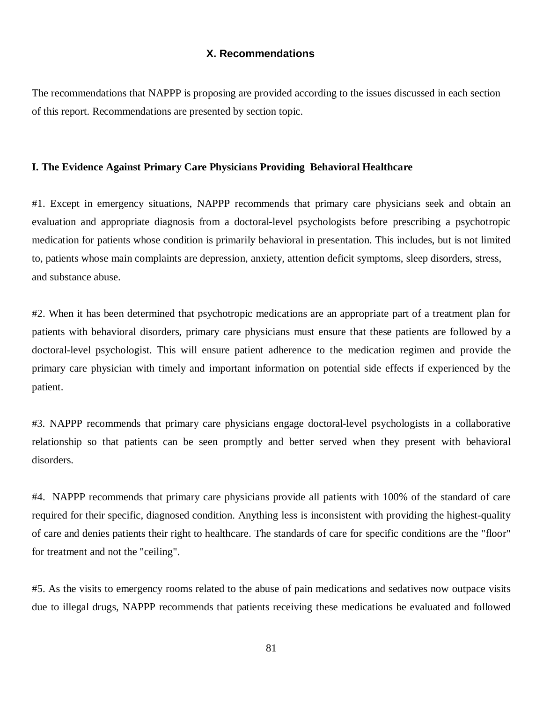# **X. Recommendations**

The recommendations that NAPPP is proposing are provided according to the issues discussed in each section of this report. Recommendations are presented by section topic.

#### **I. The Evidence Against Primary Care Physicians Providing Behavioral Healthcare**

#1. Except in emergency situations, NAPPP recommends that primary care physicians seek and obtain an evaluation and appropriate diagnosis from a doctoral-level psychologists before prescribing a psychotropic medication for patients whose condition is primarily behavioral in presentation. This includes, but is not limited to, patients whose main complaints are depression, anxiety, attention deficit symptoms, sleep disorders, stress, and substance abuse.

#2. When it has been determined that psychotropic medications are an appropriate part of a treatment plan for patients with behavioral disorders, primary care physicians must ensure that these patients are followed by a doctoral-level psychologist. This will ensure patient adherence to the medication regimen and provide the primary care physician with timely and important information on potential side effects if experienced by the patient.

#3. NAPPP recommends that primary care physicians engage doctoral-level psychologists in a collaborative relationship so that patients can be seen promptly and better served when they present with behavioral disorders.

#4. NAPPP recommends that primary care physicians provide all patients with 100% of the standard of care required for their specific, diagnosed condition. Anything less is inconsistent with providing the highest-quality of care and denies patients their right to healthcare. The standards of care for specific conditions are the "floor" for treatment and not the "ceiling".

#5. As the visits to emergency rooms related to the abuse of pain medications and sedatives now outpace visits due to illegal drugs, NAPPP recommends that patients receiving these medications be evaluated and followed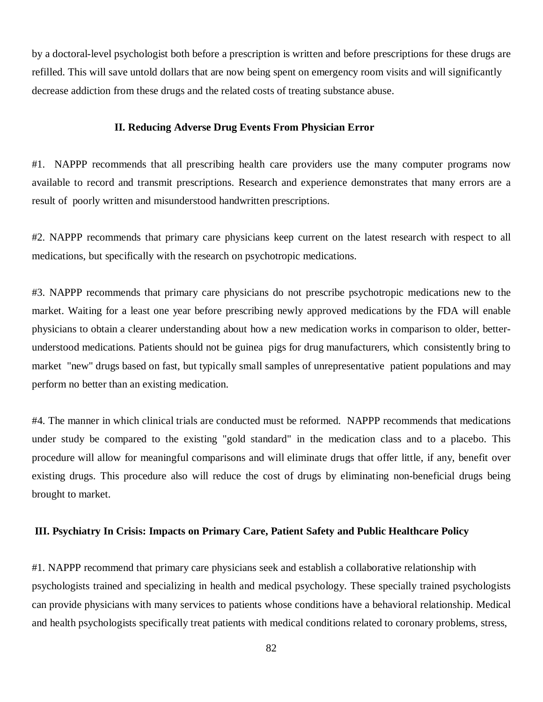by a doctoral-level psychologist both before a prescription is written and before prescriptions for these drugs are refilled. This will save untold dollars that are now being spent on emergency room visits and will significantly decrease addiction from these drugs and the related costs of treating substance abuse.

#### **II. Reducing Adverse Drug Events From Physician Error**

#1. NAPPP recommends that all prescribing health care providers use the many computer programs now available to record and transmit prescriptions. Research and experience demonstrates that many errors are a result of poorly written and misunderstood handwritten prescriptions.

#2. NAPPP recommends that primary care physicians keep current on the latest research with respect to all medications, but specifically with the research on psychotropic medications.

#3. NAPPP recommends that primary care physicians do not prescribe psychotropic medications new to the market. Waiting for a least one year before prescribing newly approved medications by the FDA will enable physicians to obtain a clearer understanding about how a new medication works in comparison to older, betterunderstood medications. Patients should not be guinea pigs for drug manufacturers, which consistently bring to market "new" drugs based on fast, but typically small samples of unrepresentative patient populations and may perform no better than an existing medication.

#4. The manner in which clinical trials are conducted must be reformed. NAPPP recommends that medications under study be compared to the existing "gold standard" in the medication class and to a placebo. This procedure will allow for meaningful comparisons and will eliminate drugs that offer little, if any, benefit over existing drugs. This procedure also will reduce the cost of drugs by eliminating non-beneficial drugs being brought to market.

## **III. Psychiatry In Crisis: Impacts on Primary Care, Patient Safety and Public Healthcare Policy**

#1. NAPPP recommend that primary care physicians seek and establish a collaborative relationship with psychologists trained and specializing in health and medical psychology. These specially trained psychologists can provide physicians with many services to patients whose conditions have a behavioral relationship. Medical and health psychologists specifically treat patients with medical conditions related to coronary problems, stress,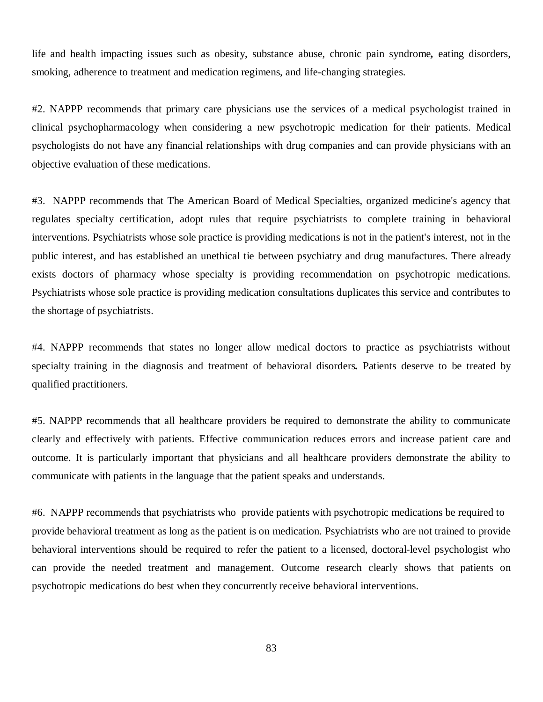life and health impacting issues such as obesity, substance abuse, chronic pain syndrome*,* eating disorders, smoking, adherence to treatment and medication regimens, and life-changing strategies.

#2. NAPPP recommends that primary care physicians use the services of a medical psychologist trained in clinical psychopharmacology when considering a new psychotropic medication for their patients. Medical psychologists do not have any financial relationships with drug companies and can provide physicians with an objective evaluation of these medications.

#3. NAPPP recommends that The American Board of Medical Specialties, organized medicine's agency that regulates specialty certification, adopt rules that require psychiatrists to complete training in behavioral interventions. Psychiatrists whose sole practice is providing medications is not in the patient's interest, not in the public interest, and has established an unethical tie between psychiatry and drug manufactures. There already exists doctors of pharmacy whose specialty is providing recommendation on psychotropic medications. Psychiatrists whose sole practice is providing medication consultations duplicates this service and contributes to the shortage of psychiatrists.

#4. NAPPP recommends that states no longer allow medical doctors to practice as psychiatrists without specialty training in the diagnosis and treatment of behavioral disorders*.* Patients deserve to be treated by qualified practitioners.

#5. NAPPP recommends that all healthcare providers be required to demonstrate the ability to communicate clearly and effectively with patients. Effective communication reduces errors and increase patient care and outcome. It is particularly important that physicians and all healthcare providers demonstrate the ability to communicate with patients in the language that the patient speaks and understands.

#6. NAPPP recommends that psychiatrists who provide patients with psychotropic medications be required to provide behavioral treatment as long as the patient is on medication. Psychiatrists who are not trained to provide behavioral interventions should be required to refer the patient to a licensed, doctoral-level psychologist who can provide the needed treatment and management. Outcome research clearly shows that patients on psychotropic medications do best when they concurrently receive behavioral interventions.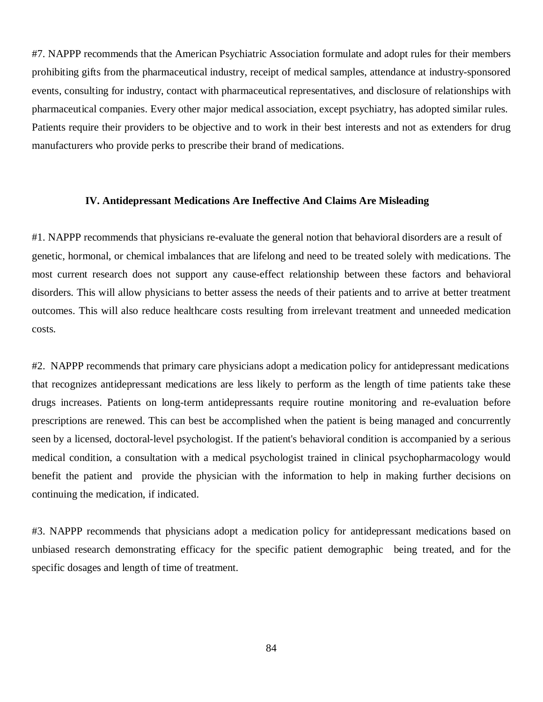#7. NAPPP recommends that the American Psychiatric Association formulate and adopt rules for their members prohibiting gifts from the pharmaceutical industry, receipt of medical samples, attendance at industry-sponsored events, consulting for industry, contact with pharmaceutical representatives, and disclosure of relationships with pharmaceutical companies. Every other major medical association, except psychiatry, has adopted similar rules. Patients require their providers to be objective and to work in their best interests and not as extenders for drug manufacturers who provide perks to prescribe their brand of medications.

# **IV. Antidepressant Medications Are Ineffective And Claims Are Misleading**

#1. NAPPP recommends that physicians re-evaluate the general notion that behavioral disorders are a result of genetic, hormonal, or chemical imbalances that are lifelong and need to be treated solely with medications. The most current research does not support any cause-effect relationship between these factors and behavioral disorders. This will allow physicians to better assess the needs of their patients and to arrive at better treatment outcomes. This will also reduce healthcare costs resulting from irrelevant treatment and unneeded medication costs.

#2. NAPPP recommends that primary care physicians adopt a medication policy for antidepressant medications that recognizes antidepressant medications are less likely to perform as the length of time patients take these drugs increases. Patients on long-term antidepressants require routine monitoring and re-evaluation before prescriptions are renewed. This can best be accomplished when the patient is being managed and concurrently seen by a licensed, doctoral-level psychologist. If the patient's behavioral condition is accompanied by a serious medical condition, a consultation with a medical psychologist trained in clinical psychopharmacology would benefit the patient and provide the physician with the information to help in making further decisions on continuing the medication, if indicated.

#3. NAPPP recommends that physicians adopt a medication policy for antidepressant medications based on unbiased research demonstrating efficacy for the specific patient demographic being treated, and for the specific dosages and length of time of treatment.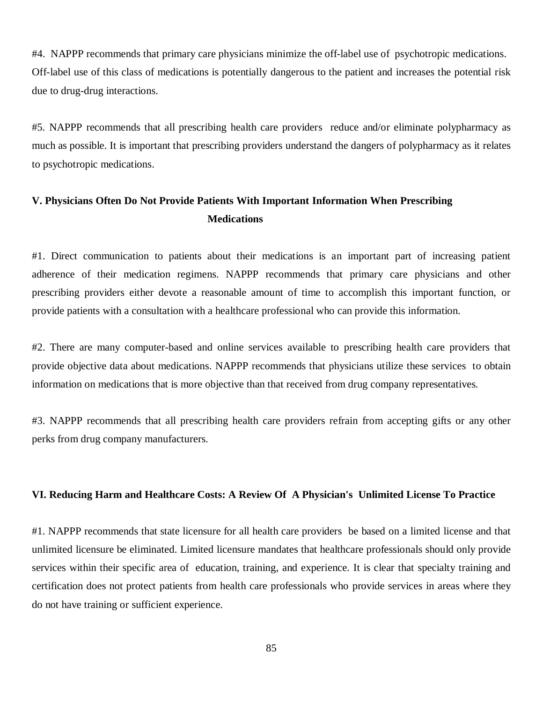#4. NAPPP recommends that primary care physicians minimize the off-label use of psychotropic medications. Off-label use of this class of medications is potentially dangerous to the patient and increases the potential risk due to drug-drug interactions.

#5. NAPPP recommends that all prescribing health care providers reduce and/or eliminate polypharmacy as much as possible. It is important that prescribing providers understand the dangers of polypharmacy as it relates to psychotropic medications.

# **V. Physicians Often Do Not Provide Patients With Important Information When Prescribing Medications**

#1. Direct communication to patients about their medications is an important part of increasing patient adherence of their medication regimens. NAPPP recommends that primary care physicians and other prescribing providers either devote a reasonable amount of time to accomplish this important function, or provide patients with a consultation with a healthcare professional who can provide this information.

#2. There are many computer-based and online services available to prescribing health care providers that provide objective data about medications. NAPPP recommends that physicians utilize these services to obtain information on medications that is more objective than that received from drug company representatives.

#3. NAPPP recommends that all prescribing health care providers refrain from accepting gifts or any other perks from drug company manufacturers.

## **VI. Reducing Harm and Healthcare Costs: A Review Of A Physician's Unlimited License To Practice**

#1. NAPPP recommends that state licensure for all health care providers be based on a limited license and that unlimited licensure be eliminated. Limited licensure mandates that healthcare professionals should only provide services within their specific area of education, training, and experience. It is clear that specialty training and certification does not protect patients from health care professionals who provide services in areas where they do not have training or sufficient experience.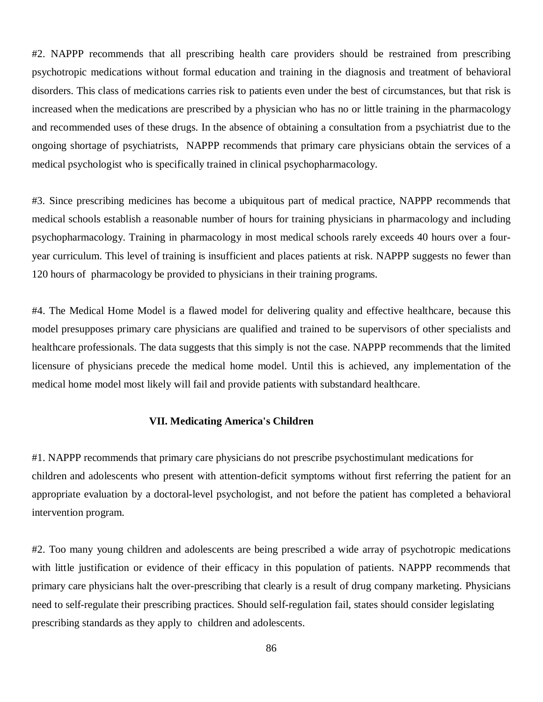#2. NAPPP recommends that all prescribing health care providers should be restrained from prescribing psychotropic medications without formal education and training in the diagnosis and treatment of behavioral disorders. This class of medications carries risk to patients even under the best of circumstances, but that risk is increased when the medications are prescribed by a physician who has no or little training in the pharmacology and recommended uses of these drugs. In the absence of obtaining a consultation from a psychiatrist due to the ongoing shortage of psychiatrists, NAPPP recommends that primary care physicians obtain the services of a medical psychologist who is specifically trained in clinical psychopharmacology.

#3. Since prescribing medicines has become a ubiquitous part of medical practice, NAPPP recommends that medical schools establish a reasonable number of hours for training physicians in pharmacology and including psychopharmacology. Training in pharmacology in most medical schools rarely exceeds 40 hours over a fouryear curriculum. This level of training is insufficient and places patients at risk. NAPPP suggests no fewer than 120 hours of pharmacology be provided to physicians in their training programs.

#4. The Medical Home Model is a flawed model for delivering quality and effective healthcare, because this model presupposes primary care physicians are qualified and trained to be supervisors of other specialists and healthcare professionals. The data suggests that this simply is not the case. NAPPP recommends that the limited licensure of physicians precede the medical home model. Until this is achieved, any implementation of the medical home model most likely will fail and provide patients with substandard healthcare.

# **VII. Medicating America's Children**

#1. NAPPP recommends that primary care physicians do not prescribe psychostimulant medications for children and adolescents who present with attention-deficit symptoms without first referring the patient for an appropriate evaluation by a doctoral-level psychologist, and not before the patient has completed a behavioral intervention program.

#2. Too many young children and adolescents are being prescribed a wide array of psychotropic medications with little justification or evidence of their efficacy in this population of patients. NAPPP recommends that primary care physicians halt the over-prescribing that clearly is a result of drug company marketing. Physicians need to self-regulate their prescribing practices. Should self-regulation fail, states should consider legislating prescribing standards as they apply to children and adolescents.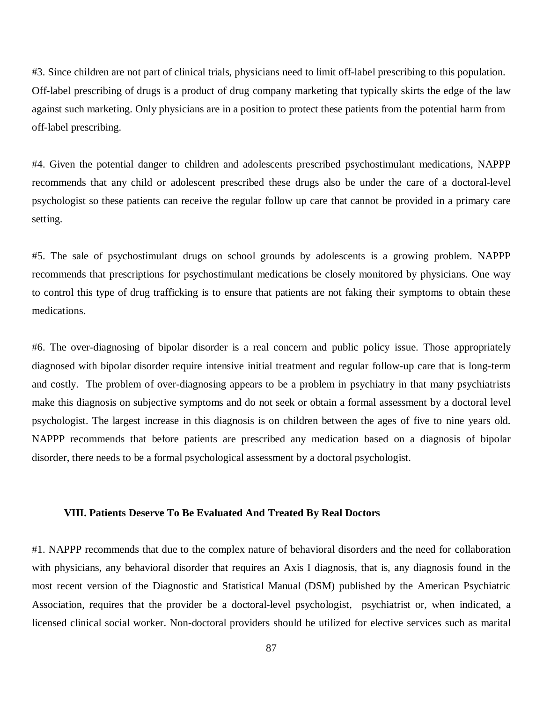#3. Since children are not part of clinical trials, physicians need to limit off-label prescribing to this population. Off-label prescribing of drugs is a product of drug company marketing that typically skirts the edge of the law against such marketing. Only physicians are in a position to protect these patients from the potential harm from off-label prescribing.

#4. Given the potential danger to children and adolescents prescribed psychostimulant medications, NAPPP recommends that any child or adolescent prescribed these drugs also be under the care of a doctoral-level psychologist so these patients can receive the regular follow up care that cannot be provided in a primary care setting.

#5. The sale of psychostimulant drugs on school grounds by adolescents is a growing problem. NAPPP recommends that prescriptions for psychostimulant medications be closely monitored by physicians. One way to control this type of drug trafficking is to ensure that patients are not faking their symptoms to obtain these medications.

#6. The over-diagnosing of bipolar disorder is a real concern and public policy issue. Those appropriately diagnosed with bipolar disorder require intensive initial treatment and regular follow-up care that is long-term and costly. The problem of over-diagnosing appears to be a problem in psychiatry in that many psychiatrists make this diagnosis on subjective symptoms and do not seek or obtain a formal assessment by a doctoral level psychologist. The largest increase in this diagnosis is on children between the ages of five to nine years old. NAPPP recommends that before patients are prescribed any medication based on a diagnosis of bipolar disorder, there needs to be a formal psychological assessment by a doctoral psychologist.

## **VIII. Patients Deserve To Be Evaluated And Treated By Real Doctors**

#1. NAPPP recommends that due to the complex nature of behavioral disorders and the need for collaboration with physicians, any behavioral disorder that requires an Axis I diagnosis, that is, any diagnosis found in the most recent version of the Diagnostic and Statistical Manual (DSM) published by the American Psychiatric Association, requires that the provider be a doctoral-level psychologist, psychiatrist or, when indicated, a licensed clinical social worker. Non-doctoral providers should be utilized for elective services such as marital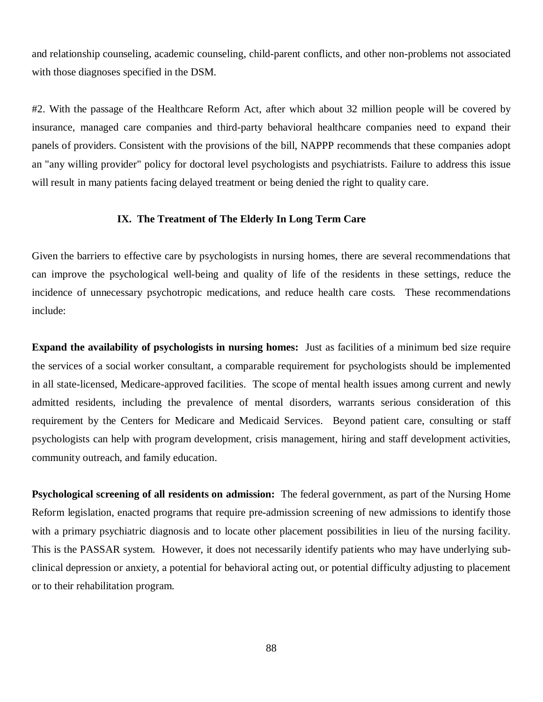and relationship counseling, academic counseling, child-parent conflicts, and other non-problems not associated with those diagnoses specified in the DSM.

#2. With the passage of the Healthcare Reform Act, after which about 32 million people will be covered by insurance, managed care companies and third-party behavioral healthcare companies need to expand their panels of providers. Consistent with the provisions of the bill, NAPPP recommends that these companies adopt an "any willing provider" policy for doctoral level psychologists and psychiatrists. Failure to address this issue will result in many patients facing delayed treatment or being denied the right to quality care.

# **IX. The Treatment of The Elderly In Long Term Care**

Given the barriers to effective care by psychologists in nursing homes, there are several recommendations that can improve the psychological well-being and quality of life of the residents in these settings, reduce the incidence of unnecessary psychotropic medications, and reduce health care costs. These recommendations include:

**Expand the availability of psychologists in nursing homes:** Just as facilities of a minimum bed size require the services of a social worker consultant, a comparable requirement for psychologists should be implemented in all state-licensed, Medicare-approved facilities. The scope of mental health issues among current and newly admitted residents, including the prevalence of mental disorders, warrants serious consideration of this requirement by the Centers for Medicare and Medicaid Services. Beyond patient care, consulting or staff psychologists can help with program development, crisis management, hiring and staff development activities, community outreach, and family education.

**Psychological screening of all residents on admission:** The federal government, as part of the Nursing Home Reform legislation, enacted programs that require pre-admission screening of new admissions to identify those with a primary psychiatric diagnosis and to locate other placement possibilities in lieu of the nursing facility. This is the PASSAR system. However, it does not necessarily identify patients who may have underlying subclinical depression or anxiety, a potential for behavioral acting out, or potential difficulty adjusting to placement or to their rehabilitation program.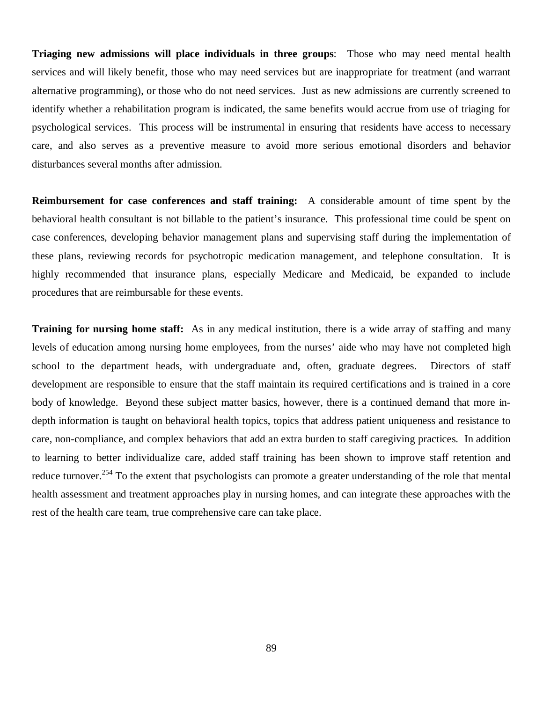**Triaging new admissions will place individuals in three groups**: Those who may need mental health services and will likely benefit, those who may need services but are inappropriate for treatment (and warrant alternative programming), or those who do not need services. Just as new admissions are currently screened to identify whether a rehabilitation program is indicated, the same benefits would accrue from use of triaging for psychological services. This process will be instrumental in ensuring that residents have access to necessary care, and also serves as a preventive measure to avoid more serious emotional disorders and behavior disturbances several months after admission.

**Reimbursement for case conferences and staff training:** A considerable amount of time spent by the behavioral health consultant is not billable to the patient's insurance. This professional time could be spent on case conferences, developing behavior management plans and supervising staff during the implementation of these plans, reviewing records for psychotropic medication management, and telephone consultation. It is highly recommended that insurance plans, especially Medicare and Medicaid, be expanded to include procedures that are reimbursable for these events.

**Training for nursing home staff:** As in any medical institution, there is a wide array of staffing and many levels of education among nursing home employees, from the nurses' aide who may have not completed high school to the department heads, with undergraduate and, often, graduate degrees. Directors of staff development are responsible to ensure that the staff maintain its required certifications and is trained in a core body of knowledge. Beyond these subject matter basics, however, there is a continued demand that more indepth information is taught on behavioral health topics, topics that address patient uniqueness and resistance to care, non-compliance, and complex behaviors that add an extra burden to staff caregiving practices. In addition to learning to better individualize care, added staff training has been shown to improve staff retention and reduce turnover.<sup>254</sup> To the extent that psychologists can promote a greater understanding of the role that mental health assessment and treatment approaches play in nursing homes, and can integrate these approaches with the rest of the health care team, true comprehensive care can take place.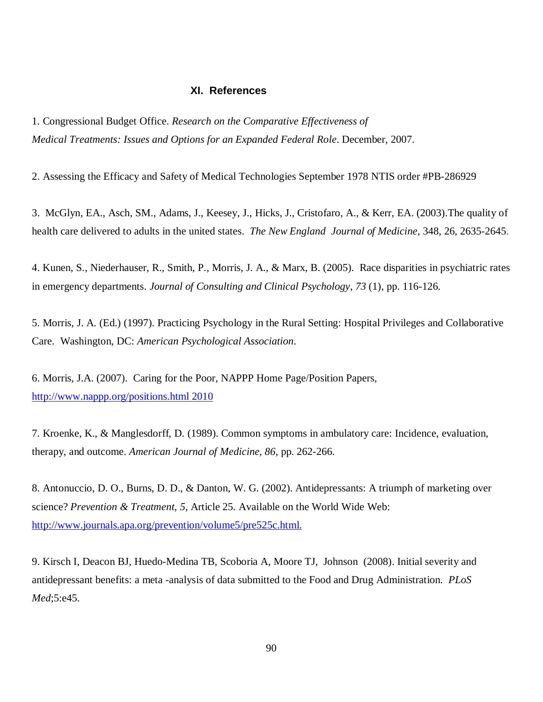## **XI. References**

1. Congressional Budget Office. *Research on the Comparative Effectiveness of Medical Treatments: Issues and Options for an Expanded Federal Role*. December, 2007.

2. Assessing the Efficacy and Safety of Medical Technologies September 1978 NTIS order #PB-286929

3. McGlyn, EA., Asch, SM., Adams, J., Keesey, J., Hicks, J., Cristofaro, A., & Kerr, EA. (2003).The quality of health care delivered to adults in the united states. *The New England Journal of Medicine*, 348, 26, 2635-2645.

4. Kunen, S., Niederhauser, R., Smith, P., Morris, J. A., & Marx, B. (2005). Race disparities in psychiatric rates in emergency departments. *Journal of Consulting and Clinical Psychology, 73* (1), pp. 116-126.

5. Morris, J. A. (Ed.) (1997). Practicing Psychology in the Rural Setting: Hospital Privileges and Collaborative Care. Washington, DC: *American Psychological Association*.

6. Morris, J.A. (2007). Caring for the Poor, NAPPP Home Page/Position Papers, <http://www.nappp.org/positions.html>2010

7. Kroenke, K., & Manglesdorff, D. (1989). Common symptoms in ambulatory care: Incidence, evaluation, therapy, and outcome. *American Journal of Medicine, 86*, pp. 262-266.

8. Antonuccio, D. O., Burns, D. D., & Danton, W. G. (2002). Antidepressants: A triumph of marketing over science? *Prevention & Treatment*, *5*, Article 25. Available on the World Wide Web: <http://www.journals.apa.org/prevention/volume5/pre525c.html.>

9. Kirsch I, Deacon BJ, Huedo-Medina TB, Scoboria A, Moore TJ, Johnson (2008). Initial severity and antidepressant benefits: a meta -analysis of data submitted to the Food and Drug Administration. *PLoS Med*;5:e45.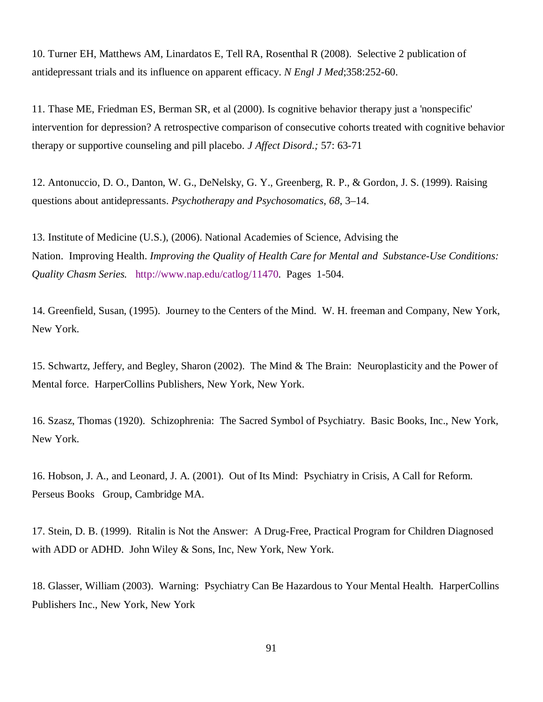10. Turner EH, Matthews AM, Linardatos E, Tell RA, Rosenthal R (2008). Selective 2 publication of antidepressant trials and its influence on apparent efficacy. *N Engl J Med*;358:252-60.

11. Thase ME, Friedman ES, Berman SR, et al (2000). Is cognitive behavior therapy just a 'nonspecific' intervention for depression? A retrospective comparison of consecutive cohorts treated with cognitive behavior therapy or supportive counseling and pill placebo. *J Affect Disord.;* 57: 63-71

12. Antonuccio, D. O., Danton, W. G., DeNelsky, G. Y., Greenberg, R. P., & Gordon, J. S. (1999). Raising questions about antidepressants. *Psychotherapy and Psychosomatics*, *68*, 3–14.

13. Institute of Medicine (U.S.), (2006). National Academies of Science, Advising the Nation. Improving Health. *Improving the Quality of Health Care for Mental and Substance-Use Conditions: Quality Chasm Series.* [http://www.nap.edu/catlog/11470.](http://www.nap.edu/catlog/11470) Pages 1-504.

14. Greenfield, Susan, (1995). Journey to the Centers of the Mind. W. H. freeman and Company, New York, New York.

15. Schwartz, Jeffery, and Begley, Sharon (2002). The Mind & The Brain: Neuroplasticity and the Power of Mental force. HarperCollins Publishers, New York, New York.

16. Szasz, Thomas (1920). Schizophrenia: The Sacred Symbol of Psychiatry. Basic Books, Inc., New York, New York.

16. Hobson, J. A., and Leonard, J. A. (2001). Out of Its Mind: Psychiatry in Crisis, A Call for Reform. Perseus Books Group, Cambridge MA.

17. Stein, D. B. (1999). Ritalin is Not the Answer: A Drug-Free, Practical Program for Children Diagnosed with ADD or ADHD. John Wiley & Sons, Inc, New York, New York.

18. Glasser, William (2003). Warning: Psychiatry Can Be Hazardous to Your Mental Health. HarperCollins Publishers Inc., New York, New York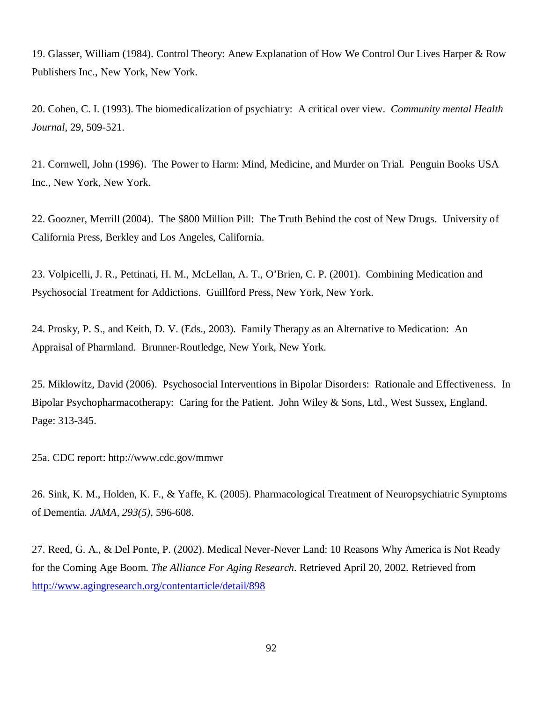19. Glasser, William (1984). Control Theory: Anew Explanation of How We Control Our Lives Harper & Row Publishers Inc., New York, New York.

20. Cohen, C. I. (1993). The biomedicalization of psychiatry: A critical over view. *Community mental Health Journal*, 29, 509-521.

21. Cornwell, John (1996). The Power to Harm: Mind, Medicine, and Murder on Trial. Penguin Books USA Inc., New York, New York.

22. Goozner, Merrill (2004). The \$800 Million Pill: The Truth Behind the cost of New Drugs. University of California Press, Berkley and Los Angeles, California.

23. Volpicelli, J. R., Pettinati, H. M., McLellan, A. T., O'Brien, C. P. (2001). Combining Medication and Psychosocial Treatment for Addictions. Guillford Press, New York, New York.

24. Prosky, P. S., and Keith, D. V. (Eds., 2003). Family Therapy as an Alternative to Medication: An Appraisal of Pharmland. Brunner-Routledge, New York, New York.

25. Miklowitz, David (2006). Psychosocial Interventions in Bipolar Disorders: Rationale and Effectiveness. In Bipolar Psychopharmacotherapy: Caring for the Patient. John Wiley & Sons, Ltd., West Sussex, England. Page: 313-345.

25a. CDC report:<http://www.cdc.gov/mmwr>

26. Sink, K. M., Holden, K. F., & Yaffe, K. (2005). Pharmacological Treatment of Neuropsychiatric Symptoms of Dementia. *JAMA*, *293(5)*, 596-608.

27. Reed, G. A., & Del Ponte, P. (2002). Medical Never-Never Land: 10 Reasons Why America is Not Ready for the Coming Age Boom. *The Alliance For Aging Research*. Retrieved April 20, 2002. Retrieved from <http://www.agingresearch.org/contentarticle/detail/898>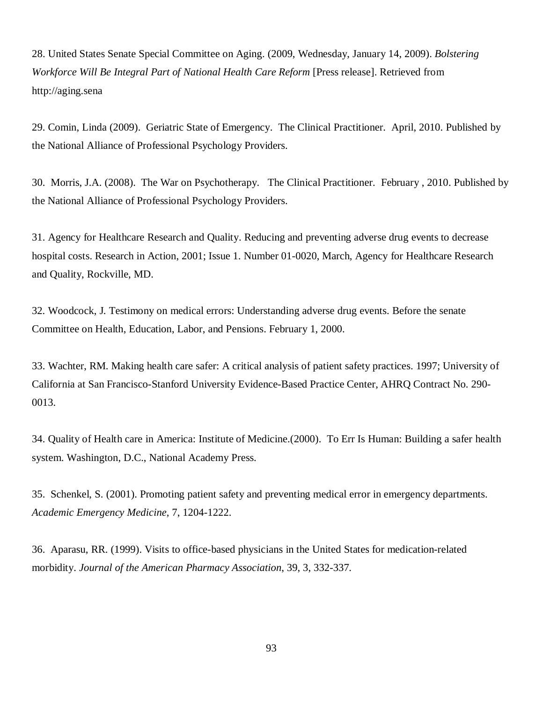28. United States Senate Special Committee on Aging. (2009, Wednesday, January 14, 2009). *Bolstering Workforce Will Be Integral Part of National Health Care Reform* [Press release]. Retrieved from <http://aging.sena>

29. Comin, Linda (2009). Geriatric State of Emergency. The Clinical Practitioner. April, 2010. Published by the National Alliance of Professional Psychology Providers.

30. Morris, J.A. (2008). The War on Psychotherapy. The Clinical Practitioner. February , 2010. Published by the National Alliance of Professional Psychology Providers.

31. Agency for Healthcare Research and Quality. Reducing and preventing adverse drug events to decrease hospital costs. Research in Action, 2001; Issue 1. Number 01-0020, March, Agency for Healthcare Research and Quality, Rockville, MD.

32. Woodcock, J. Testimony on medical errors: Understanding adverse drug events. Before the senate Committee on Health, Education, Labor, and Pensions. February 1, 2000.

33. Wachter, RM. Making health care safer: A critical analysis of patient safety practices. 1997; University of California at San Francisco-Stanford University Evidence-Based Practice Center, AHRQ Contract No. 290- 0013.

34. Quality of Health care in America: Institute of Medicine.(2000). To Err Is Human: Building a safer health system. Washington, D.C., National Academy Press.

35. Schenkel, S. (2001). Promoting patient safety and preventing medical error in emergency departments. *Academic Emergency Medicine*, 7, 1204-1222.

36. Aparasu, RR. (1999). Visits to office-based physicians in the United States for medication-related morbidity. *Journal of the American Pharmacy Association*, 39, 3, 332-337.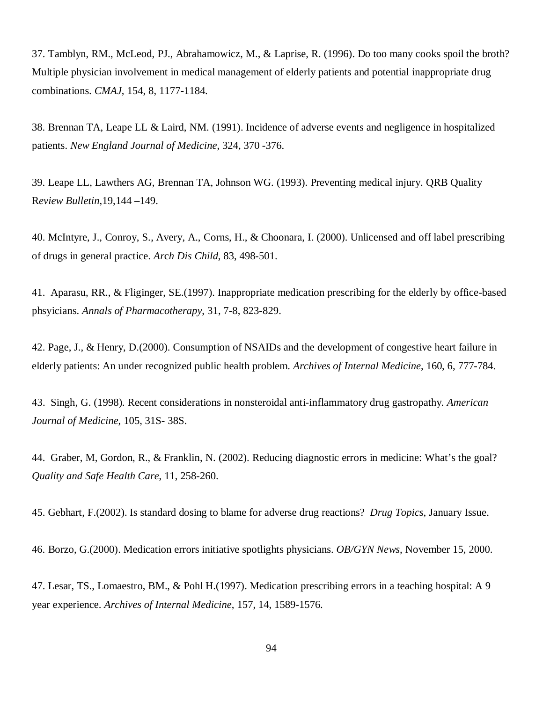37. Tamblyn, RM., McLeod, PJ., Abrahamowicz, M., & Laprise, R. (1996). Do too many cooks spoil the broth? Multiple physician involvement in medical management of elderly patients and potential inappropriate drug combinations. *CMAJ*, 154, 8, 1177-1184.

38. Brennan TA, Leape LL & Laird, NM. (1991). Incidence of adverse events and negligence in hospitalized patients. *New England Journal of Medicine*, 324, 370 -376.

39. Leape LL, Lawthers AG, Brennan TA, Johnson WG. (1993). Preventing medical injury. QRB Quality R*eview Bulletin*,19,144 –149.

40. McIntyre, J., Conroy, S., Avery, A., Corns, H., & Choonara, I. (2000). Unlicensed and off label prescribing of drugs in general practice. *Ar*c*h Dis Child*, 83, 498-501.

41. Aparasu, RR., & Fliginger, SE.(1997). Inappropriate medication prescribing for the elderly by office-based phsyicians. *Annals of Pharmacotherapy*, 31, 7-8, 823-829.

42. Page, J., & Henry, D.(2000). Consumption of NSAIDs and the development of congestive heart failure in elderly patients: An under recognized public health problem. *Archives of Internal Medicine*, 160, 6, 777-784.

43. Singh, G. (1998). Recent considerations in nonsteroidal anti-inflammatory drug gastropathy*. American Journal of Medicine*, 105, 31S- 38S.

44. Graber, M, Gordon, R., & Franklin, N. (2002). Reducing diagnostic errors in medicine: What's the goal? *Quality and Safe Health Care*, 11, 258-260.

45. Gebhart, F.(2002). Is standard dosing to blame for adverse drug reactions? *Drug Topics*, January Issue.

46. Borzo, G.(2000). Medication errors initiative spotlights physicians. *OB/GYN News*, November 15, 2000.

47. Lesar, TS., Lomaestro, BM., & Pohl H.(1997). Medication prescribing errors in a teaching hospital: A 9 year experience. *Archives of Internal Medicine*, 157, 14, 1589-1576.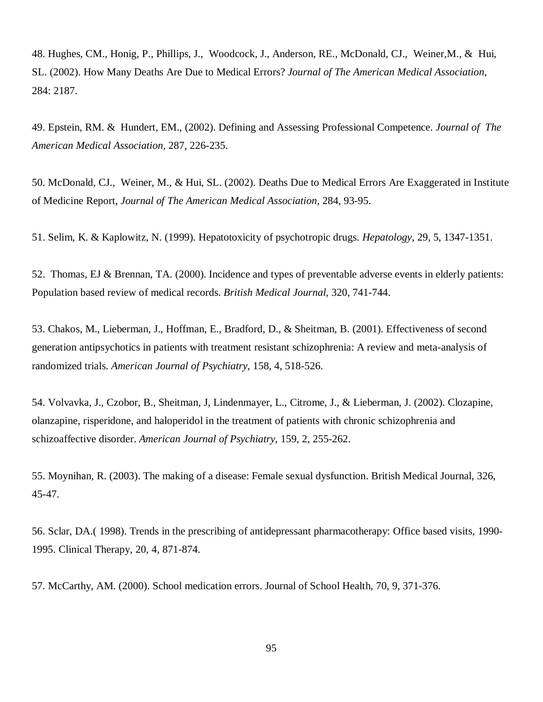48. Hughes, CM., Honig, P., Phillips, J., Woodcock, J., Anderson, RE., McDonald, CJ., Weiner,M., & Hui, SL. (2002). How Many Deaths Are Due to Medical Errors? *Journal of The American Medical Association*, 284: 2187.

49. Epstein, RM. & Hundert, EM., (2002). Defining and Assessing Professional Competence. *Journal of The American Medical Association,* 287, 226-235.

50. McDonald, CJ., Weiner, M., & Hui, SL. (2002). Deaths Due to Medical Errors Are Exaggerated in Institute of Medicine Report, *Journal of The American Medical Association*, 284, 93-95.

51. Selim, K. & Kaplowitz, N. (1999). Hepatotoxicity of psychotropic drugs. *Hepatology*, 29, 5, 1347-1351.

52. Thomas, EJ & Brennan, TA. (2000). Incidence and types of preventable adverse events in elderly patients: Population based review of medical records. *British Medical Journal*, 320, 741-744.

53. Chakos, M., Lieberman, J., Hoffman, E., Bradford, D., & Sheitman, B. (2001). Effectiveness of second generation antipsychotics in patients with treatment resistant schizophrenia: A review and meta-analysis of randomized trials. *American Journal of Psychiatry*, 158, 4, 518-526.

54. Volvavka, J., Czobor, B., Sheitman, J, Lindenmayer, L., Citrome, J., & Lieberman, J. (2002). Clozapine, olanzapine, risperidone, and haloperidol in the treatment of patients with chronic schizophrenia and schizoaffective disorder. *American Journal of Psychiatry*, 159, 2, 255-262.

55. Moynihan, R. (2003). The making of a disease: Female sexual dysfunction. British Medical Journal, 326, 45-47.

56. Sclar, DA.( 1998). Trends in the prescribing of antidepressant pharmacotherapy: Office based visits, 1990- 1995. Clinical Therapy, 20, 4, 871-874.

57. McCarthy, AM. (2000). School medication errors. Journal of School Health, 70, 9, 371-376.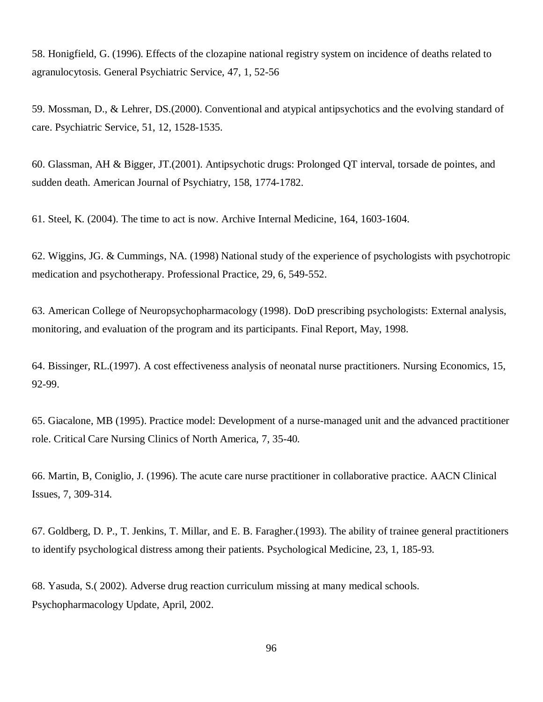58. Honigfield, G. (1996). Effects of the clozapine national registry system on incidence of deaths related to agranulocytosis. General Psychiatric Service, 47, 1, 52-56

59. Mossman, D., & Lehrer, DS.(2000). Conventional and atypical antipsychotics and the evolving standard of care. Psychiatric Service, 51, 12, 1528-1535.

60. Glassman, AH & Bigger, JT.(2001). Antipsychotic drugs: Prolonged QT interval, torsade de pointes, and sudden death. American Journal of Psychiatry, 158, 1774-1782.

61. Steel, K. (2004). The time to act is now. Archive Internal Medicine, 164, 1603-1604.

62. Wiggins, JG. & Cummings, NA. (1998) National study of the experience of psychologists with psychotropic medication and psychotherapy. Professional Practice, 29, 6, 549-552.

63. American College of Neuropsychopharmacology (1998). DoD prescribing psychologists: External analysis, monitoring, and evaluation of the program and its participants. Final Report, May, 1998.

64. Bissinger, RL.(1997). A cost effectiveness analysis of neonatal nurse practitioners. Nursing Economics, 15, 92-99.

65. Giacalone, MB (1995). Practice model: Development of a nurse-managed unit and the advanced practitioner role. Critical Care Nursing Clinics of North America, 7, 35-40.

66. Martin, B, Coniglio, J. (1996). The acute care nurse practitioner in collaborative practice. AACN Clinical Issues, 7, 309-314.

67. Goldberg, D. P., T. Jenkins, T. Millar, and E. B. Faragher.(1993). The ability of trainee general practitioners to identify psychological distress among their patients. Psychological Medicine, 23, 1, 185-93.

68. Yasuda, S.( 2002). Adverse drug reaction curriculum missing at many medical schools. Psychopharmacology Update, April, 2002.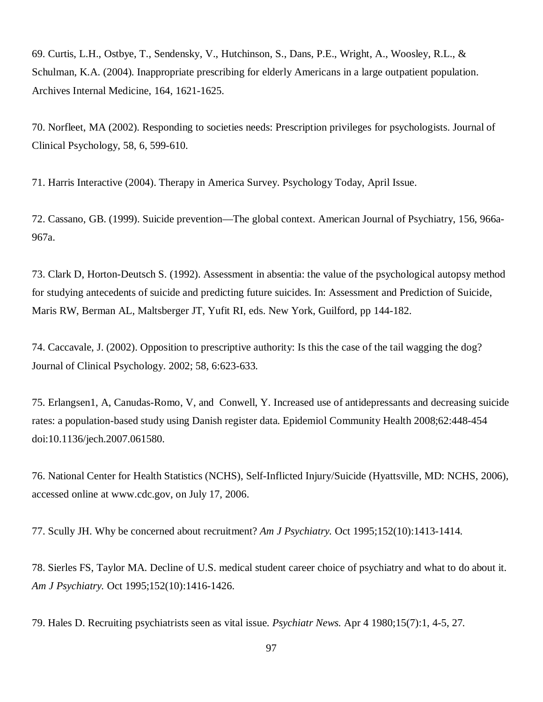69. Curtis, L.H., Ostbye, T., Sendensky, V., Hutchinson, S., Dans, P.E., Wright, A., Woosley, R.L., & Schulman, K.A. (2004). Inappropriate prescribing for elderly Americans in a large outpatient population. Archives Internal Medicine, 164, 1621-1625.

70. Norfleet, MA (2002). Responding to societies needs: Prescription privileges for psychologists. Journal of Clinical Psychology, 58, 6, 599-610.

71. Harris Interactive (2004). Therapy in America Survey. Psychology Today, April Issue.

72. Cassano, GB. (1999). Suicide prevention—The global context. American Journal of Psychiatry, 156, 966a-967a.

73. Clark D, Horton-Deutsch S. (1992). Assessment in absentia: the value of the psychological autopsy method for studying antecedents of suicide and predicting future suicides. In: Assessment and Prediction of Suicide, Maris RW, Berman AL, Maltsberger JT, Yufit RI, eds. New York, Guilford, pp 144-182.

74. Caccavale, J. (2002). Opposition to prescriptive authority: Is this the case of the tail wagging the dog? Journal of Clinical Psychology. 2002; 58, 6:623-633.

75. Erlangsen1, A, Canudas-Romo, V, and Conwell, Y. Increased use of antidepressants and decreasing suicide rates: a population-based study using Danish register data. Epidemiol Community Health 2008;62:448-454 doi:10.1136/jech.2007.061580.

76. National Center for Health Statistics (NCHS), Self-Inflicted Injury/Suicide (Hyattsville, MD: NCHS, 2006), accessed online at [www.cdc.gov,](http://www.cdc.gov,) on July 17, 2006.

77. Scully JH. Why be concerned about recruitment? *Am J Psychiatry.* Oct 1995;152(10):1413-1414.

78. Sierles FS, Taylor MA. Decline of U.S. medical student career choice of psychiatry and what to do about it. *Am J Psychiatry.* Oct 1995;152(10):1416-1426.

79. Hales D. Recruiting psychiatrists seen as vital issue. *Psychiatr News.* Apr 4 1980;15(7):1, 4-5, 27.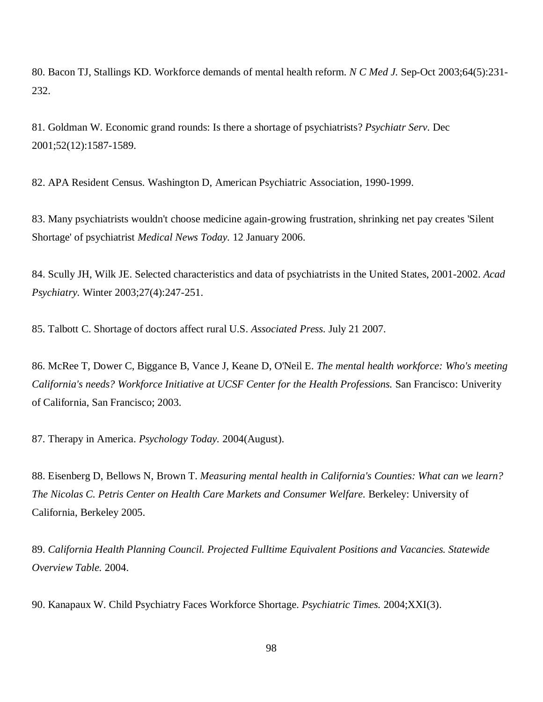80. Bacon TJ, Stallings KD. Workforce demands of mental health reform. *N C Med J.* Sep-Oct 2003;64(5):231- 232.

81. Goldman W. Economic grand rounds: Is there a shortage of psychiatrists? *Psychiatr Serv.* Dec 2001;52(12):1587-1589.

82. APA Resident Census. Washington D, American Psychiatric Association, 1990-1999.

83. Many psychiatrists wouldn't choose medicine again-growing frustration, shrinking net pay creates 'Silent Shortage' of psychiatrist *Medical News Today.* 12 January 2006.

84. Scully JH, Wilk JE. Selected characteristics and data of psychiatrists in the United States, 2001-2002. *Acad Psychiatry.* Winter 2003;27(4):247-251.

85. Talbott C. Shortage of doctors affect rural U.S. *Associated Press.* July 21 2007.

86. McRee T, Dower C, Biggance B, Vance J, Keane D, O'Neil E. *The mental health workforce: Who's meeting California's needs? Workforce Initiative at UCSF Center for the Health Professions.* San Francisco: Univerity of California, San Francisco; 2003.

87. Therapy in America. *Psychology Today.* 2004(August).

88. Eisenberg D, Bellows N, Brown T. *Measuring mental health in California's Counties: What can we learn? The Nicolas C. Petris Center on Health Care Markets and Consumer Welfare.* Berkeley: University of California, Berkeley 2005.

89. *California Health Planning Council. Projected Fulltime Equivalent Positions and Vacancies. Statewide Overview Table.* 2004.

90. Kanapaux W. Child Psychiatry Faces Workforce Shortage. *Psychiatric Times.* 2004;XXI(3).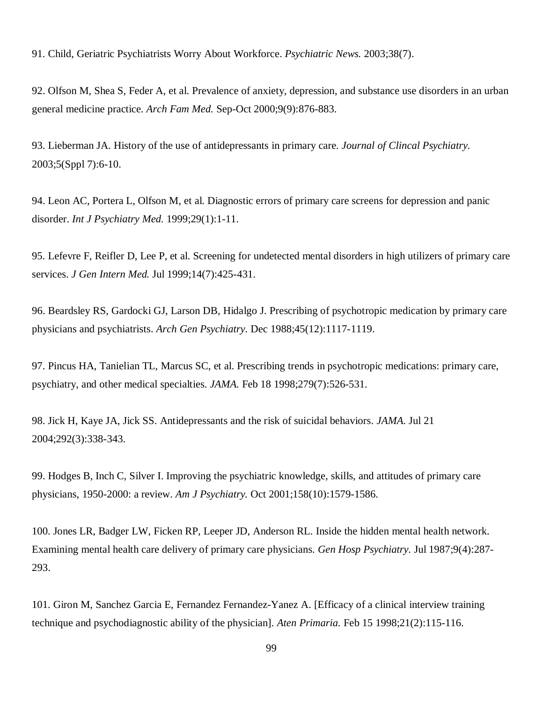91. Child, Geriatric Psychiatrists Worry About Workforce. *Psychiatric News.* 2003;38(7).

92. Olfson M, Shea S, Feder A, et al. Prevalence of anxiety, depression, and substance use disorders in an urban general medicine practice. *Arch Fam Med.* Sep-Oct 2000;9(9):876-883.

93. Lieberman JA. History of the use of antidepressants in primary care. *Journal of Clincal Psychiatry.* 2003;5(Sppl 7):6-10.

94. Leon AC, Portera L, Olfson M, et al. Diagnostic errors of primary care screens for depression and panic disorder. *Int J Psychiatry Med.* 1999;29(1):1-11.

95. Lefevre F, Reifler D, Lee P, et al. Screening for undetected mental disorders in high utilizers of primary care services. *J Gen Intern Med.* Jul 1999;14(7):425-431.

96. Beardsley RS, Gardocki GJ, Larson DB, Hidalgo J. Prescribing of psychotropic medication by primary care physicians and psychiatrists. *Arch Gen Psychiatry.* Dec 1988;45(12):1117-1119.

97. Pincus HA, Tanielian TL, Marcus SC, et al. Prescribing trends in psychotropic medications: primary care, psychiatry, and other medical specialties. *JAMA.* Feb 18 1998;279(7):526-531.

98. Jick H, Kaye JA, Jick SS. Antidepressants and the risk of suicidal behaviors. *JAMA.* Jul 21 2004;292(3):338-343.

99. Hodges B, Inch C, Silver I. Improving the psychiatric knowledge, skills, and attitudes of primary care physicians, 1950-2000: a review. *Am J Psychiatry.* Oct 2001;158(10):1579-1586.

100. Jones LR, Badger LW, Ficken RP, Leeper JD, Anderson RL. Inside the hidden mental health network. Examining mental health care delivery of primary care physicians. *Gen Hosp Psychiatry.* Jul 1987;9(4):287- 293.

101. Giron M, Sanchez Garcia E, Fernandez Fernandez-Yanez A. [Efficacy of a clinical interview training technique and psychodiagnostic ability of the physician]. *Aten Primaria.* Feb 15 1998;21(2):115-116.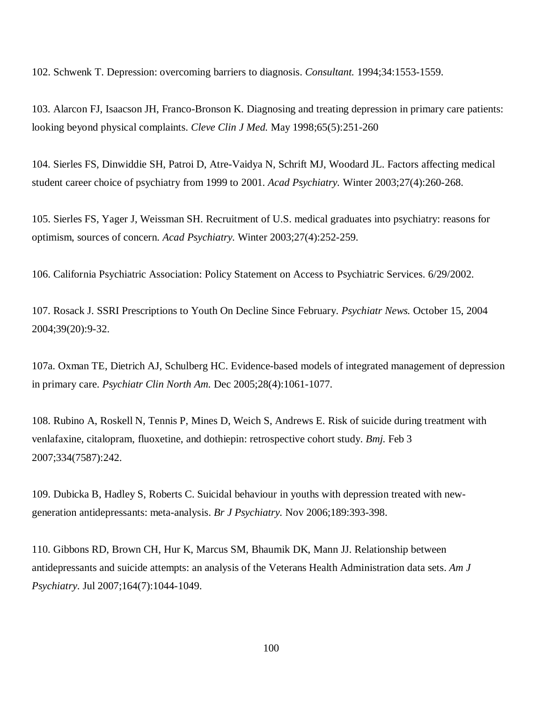102. Schwenk T. Depression: overcoming barriers to diagnosis. *Consultant.* 1994;34:1553-1559.

103. Alarcon FJ, Isaacson JH, Franco-Bronson K. Diagnosing and treating depression in primary care patients: looking beyond physical complaints. *Cleve Clin J Med.* May 1998;65(5):251-260

104. Sierles FS, Dinwiddie SH, Patroi D, Atre-Vaidya N, Schrift MJ, Woodard JL. Factors affecting medical student career choice of psychiatry from 1999 to 2001. *Acad Psychiatry.* Winter 2003;27(4):260-268.

105. Sierles FS, Yager J, Weissman SH. Recruitment of U.S. medical graduates into psychiatry: reasons for optimism, sources of concern. *Acad Psychiatry.* Winter 2003;27(4):252-259.

106. California Psychiatric Association: Policy Statement on Access to Psychiatric Services. 6/29/2002.

107. Rosack J. SSRI Prescriptions to Youth On Decline Since February. *Psychiatr News.* October 15, 2004 2004;39(20):9-32.

107a. Oxman TE, Dietrich AJ, Schulberg HC. Evidence-based models of integrated management of depression in primary care. *Psychiatr Clin North Am.* Dec 2005;28(4):1061-1077.

108. Rubino A, Roskell N, Tennis P, Mines D, Weich S, Andrews E. Risk of suicide during treatment with venlafaxine, citalopram, fluoxetine, and dothiepin: retrospective cohort study. *Bmj.* Feb 3 2007;334(7587):242.

109. Dubicka B, Hadley S, Roberts C. Suicidal behaviour in youths with depression treated with newgeneration antidepressants: meta-analysis. *Br J Psychiatry.* Nov 2006;189:393-398.

110. Gibbons RD, Brown CH, Hur K, Marcus SM, Bhaumik DK, Mann JJ. Relationship between antidepressants and suicide attempts: an analysis of the Veterans Health Administration data sets. *Am J Psychiatry.* Jul 2007;164(7):1044-1049.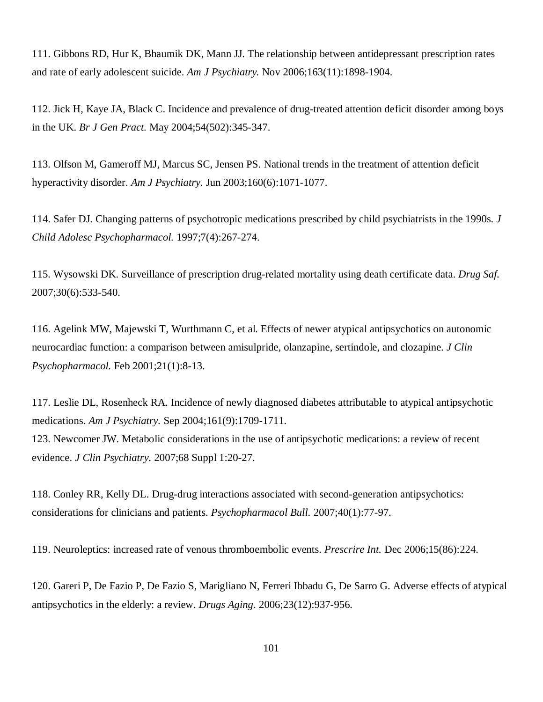111. Gibbons RD, Hur K, Bhaumik DK, Mann JJ. The relationship between antidepressant prescription rates and rate of early adolescent suicide. *Am J Psychiatry.* Nov 2006;163(11):1898-1904.

112. Jick H, Kaye JA, Black C. Incidence and prevalence of drug-treated attention deficit disorder among boys in the UK. *Br J Gen Pract.* May 2004;54(502):345-347.

113. Olfson M, Gameroff MJ, Marcus SC, Jensen PS. National trends in the treatment of attention deficit hyperactivity disorder. *Am J Psychiatry.* Jun 2003;160(6):1071-1077.

114. Safer DJ. Changing patterns of psychotropic medications prescribed by child psychiatrists in the 1990s. *J Child Adolesc Psychopharmacol.* 1997;7(4):267-274.

115. Wysowski DK. Surveillance of prescription drug-related mortality using death certificate data. *Drug Saf.* 2007;30(6):533-540.

116. Agelink MW, Majewski T, Wurthmann C, et al. Effects of newer atypical antipsychotics on autonomic neurocardiac function: a comparison between amisulpride, olanzapine, sertindole, and clozapine. *J Clin Psychopharmacol.* Feb 2001;21(1):8-13.

117. Leslie DL, Rosenheck RA. Incidence of newly diagnosed diabetes attributable to atypical antipsychotic medications. *Am J Psychiatry.* Sep 2004;161(9):1709-1711.

123. Newcomer JW. Metabolic considerations in the use of antipsychotic medications: a review of recent evidence. *J Clin Psychiatry.* 2007;68 Suppl 1:20-27.

118. Conley RR, Kelly DL. Drug-drug interactions associated with second-generation antipsychotics: considerations for clinicians and patients. *Psychopharmacol Bull.* 2007;40(1):77-97.

119. Neuroleptics: increased rate of venous thromboembolic events. *Prescrire Int.* Dec 2006;15(86):224.

120. Gareri P, De Fazio P, De Fazio S, Marigliano N, Ferreri Ibbadu G, De Sarro G. Adverse effects of atypical antipsychotics in the elderly: a review. *Drugs Aging.* 2006;23(12):937-956.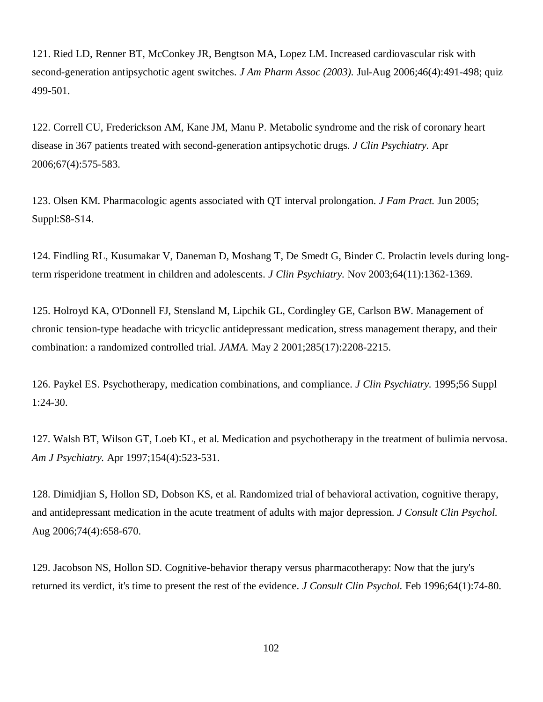121. Ried LD, Renner BT, McConkey JR, Bengtson MA, Lopez LM. Increased cardiovascular risk with second-generation antipsychotic agent switches. *J Am Pharm Assoc (2003).* Jul-Aug 2006;46(4):491-498; quiz 499-501.

122. Correll CU, Frederickson AM, Kane JM, Manu P. Metabolic syndrome and the risk of coronary heart disease in 367 patients treated with second-generation antipsychotic drugs. *J Clin Psychiatry.* Apr 2006;67(4):575-583.

123. Olsen KM. Pharmacologic agents associated with QT interval prolongation. *J Fam Pract.* Jun 2005; Suppl:S8-S14.

124. Findling RL, Kusumakar V, Daneman D, Moshang T, De Smedt G, Binder C. Prolactin levels during longterm risperidone treatment in children and adolescents. *J Clin Psychiatry.* Nov 2003;64(11):1362-1369.

125. Holroyd KA, O'Donnell FJ, Stensland M, Lipchik GL, Cordingley GE, Carlson BW. Management of chronic tension-type headache with tricyclic antidepressant medication, stress management therapy, and their combination: a randomized controlled trial. *JAMA.* May 2 2001;285(17):2208-2215.

126. Paykel ES. Psychotherapy, medication combinations, and compliance. *J Clin Psychiatry.* 1995;56 Suppl 1:24-30.

127. Walsh BT, Wilson GT, Loeb KL, et al. Medication and psychotherapy in the treatment of bulimia nervosa. *Am J Psychiatry.* Apr 1997;154(4):523-531.

128. Dimidjian S, Hollon SD, Dobson KS, et al. Randomized trial of behavioral activation, cognitive therapy, and antidepressant medication in the acute treatment of adults with major depression. *J Consult Clin Psychol.* Aug 2006;74(4):658-670.

129. Jacobson NS, Hollon SD. Cognitive-behavior therapy versus pharmacotherapy: Now that the jury's returned its verdict, it's time to present the rest of the evidence. *J Consult Clin Psychol.* Feb 1996;64(1):74-80.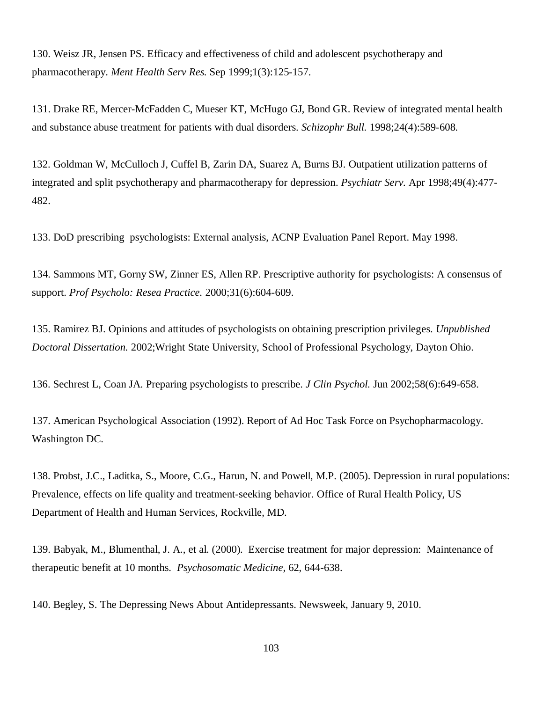130. Weisz JR, Jensen PS. Efficacy and effectiveness of child and adolescent psychotherapy and pharmacotherapy. *Ment Health Serv Res.* Sep 1999;1(3):125-157.

131. Drake RE, Mercer-McFadden C, Mueser KT, McHugo GJ, Bond GR. Review of integrated mental health and substance abuse treatment for patients with dual disorders. *Schizophr Bull.* 1998;24(4):589-608.

132. Goldman W, McCulloch J, Cuffel B, Zarin DA, Suarez A, Burns BJ. Outpatient utilization patterns of integrated and split psychotherapy and pharmacotherapy for depression. *Psychiatr Serv.* Apr 1998;49(4):477- 482.

133. DoD prescribing psychologists: External analysis, ACNP Evaluation Panel Report. May 1998.

134. Sammons MT, Gorny SW, Zinner ES, Allen RP. Prescriptive authority for psychologists: A consensus of support. *Prof Psycholo: Resea Practice.* 2000;31(6):604-609.

135. Ramirez BJ. Opinions and attitudes of psychologists on obtaining prescription privileges. *Unpublished Doctoral Dissertation.* 2002;Wright State University, School of Professional Psychology, Dayton Ohio.

136. Sechrest L, Coan JA. Preparing psychologists to prescribe. *J Clin Psychol.* Jun 2002;58(6):649-658.

137. American Psychological Association (1992). Report of Ad Hoc Task Force on Psychopharmacology. Washington DC.

138. Probst, J.C., Laditka, S., Moore, C.G., Harun, N. and Powell, M.P. (2005). Depression in rural populations: Prevalence, effects on life quality and treatment-seeking behavior. Office of Rural Health Policy, US Department of Health and Human Services, Rockville, MD.

139. Babyak, M., Blumenthal, J. A., et al. (2000). Exercise treatment for major depression: Maintenance of therapeutic benefit at 10 months. *Psychosomatic Medicine,* 62, 644-638.

140. Begley, S. The Depressing News About Antidepressants. Newsweek, January 9, 2010.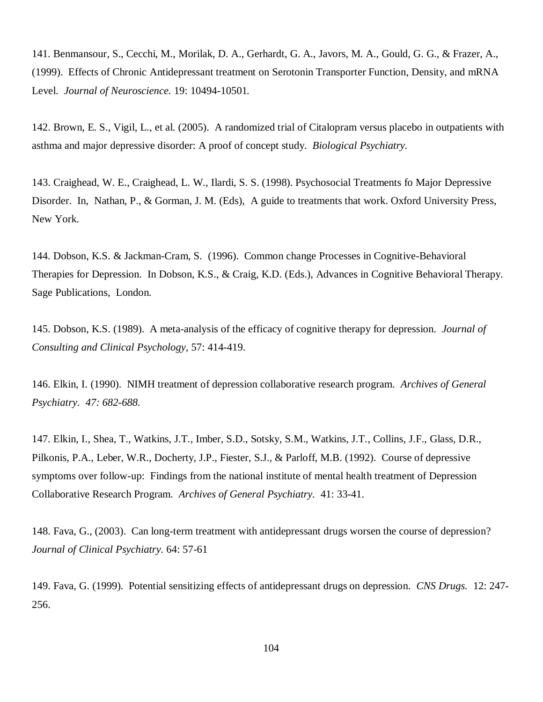141. Benmansour, S., Cecchi, M., Morilak, D. A., Gerhardt, G. A., Javors, M. A., Gould, G. G., & Frazer, A., (1999). Effects of Chronic Antidepressant treatment on Serotonin Transporter Function, Density, and mRNA Level. *Journal of Neuroscience.* 19: 10494-10501*.*

142. Brown, E. S., Vigil, L., et al. (2005). A randomized trial of Citalopram versus placebo in outpatients with asthma and major depressive disorder: A proof of concept study. *Biological Psychiatry.*

143. Craighead, W. E., Craighead, L. W., Ilardi, S. S. (1998). Psychosocial Treatments fo Major Depressive Disorder. In, Nathan, P., & Gorman, J. M. (Eds), A guide to treatments that work. Oxford University Press, New York.

144. Dobson, K.S. & Jackman-Cram, S. (1996). Common change Processes in Cognitive-Behavioral Therapies for Depression. In Dobson, K.S., & Craig, K.D. (Eds.), Advances in Cognitive Behavioral Therapy. Sage Publications, London.

145. Dobson, K.S. (1989). A meta-analysis of the efficacy of cognitive therapy for depression. *Journal of Consulting and Clinical Psychology,* 57: 414-419.

146. Elkin, I. (1990). NIMH treatment of depression collaborative research program. *Archives of General Psychiatry. 47: 682-688.*

147. Elkin, I., Shea, T., Watkins, J.T., Imber, S.D., Sotsky, S.M., Watkins, J.T., Collins, J.F., Glass, D.R., Pilkonis, P.A., Leber, W.R., Docherty, J.P., Fiester, S.J., & Parloff, M.B. (1992). Course of depressive symptoms over follow-up: Findings from the national institute of mental health treatment of Depression Collaborative Research Program. *Archives of General Psychiatry.* 41: 33-41.

148. Fava, G., (2003). Can long-term treatment with antidepressant drugs worsen the course of depression? *Journal of Clinical Psychiatry.* 64: 57-61

149. Fava, G. (1999). Potential sensitizing effects of antidepressant drugs on depression. *CNS Drugs.* 12: 247- 256.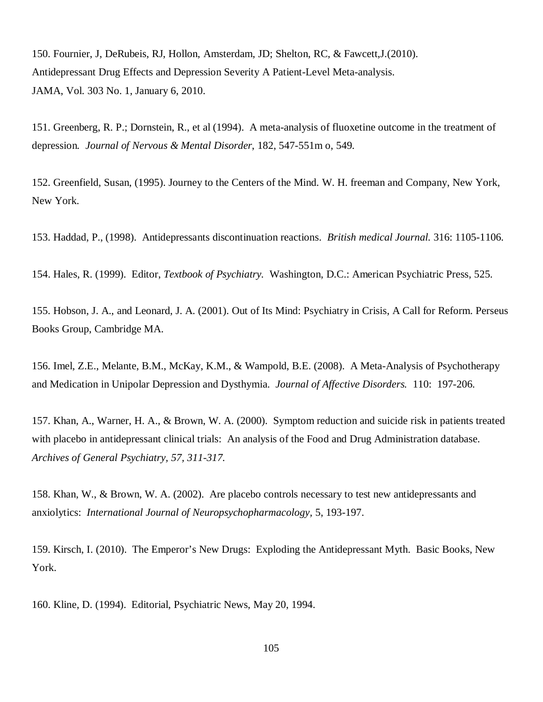150. Fournier, J, DeRubeis, RJ, Hollon, Amsterdam, JD; Shelton, RC, & Fawcett,J.(2010). Antidepressant Drug Effects and Depression Severity A Patient-Level Meta-analysis. JAMA, Vol. 303 No. 1, January 6, 2010.

151. Greenberg, R. P.; Dornstein, R., et al (1994). A meta-analysis of fluoxetine outcome in the treatment of depression*. Journal of Nervous & Mental Disorder*, 182, 547-551m o, 549.

152. Greenfield, Susan, (1995). Journey to the Centers of the Mind. W. H. freeman and Company, New York, New York.

153. Haddad, P., (1998). Antidepressants discontinuation reactions. *British medical Journal.* 316: 1105-1106.

154. Hales, R. (1999). Editor, *Textbook of Psychiatry.* Washington, D.C.: American Psychiatric Press, 525.

155. Hobson, J. A., and Leonard, J. A. (2001). Out of Its Mind: Psychiatry in Crisis, A Call for Reform. Perseus Books Group, Cambridge MA.

156. Imel, Z.E., Melante, B.M., McKay, K.M., & Wampold, B.E. (2008). A Meta-Analysis of Psychotherapy and Medication in Unipolar Depression and Dysthymia. *Journal of Affective Disorders.* 110: 197-206*.*

157. Khan, A., Warner, H. A., & Brown, W. A. (2000). Symptom reduction and suicide risk in patients treated with placebo in antidepressant clinical trials: An analysis of the Food and Drug Administration database. *Archives of General Psychiatry, 57, 311-317.*

158. Khan, W., & Brown, W. A. (2002). Are placebo controls necessary to test new antidepressants and anxiolytics: *International Journal of Neuropsychopharmacology,* 5, 193-197.

159. Kirsch, I. (2010). The Emperor's New Drugs: Exploding the Antidepressant Myth. Basic Books, New York.

160. Kline, D. (1994). Editorial, Psychiatric News, May 20, 1994.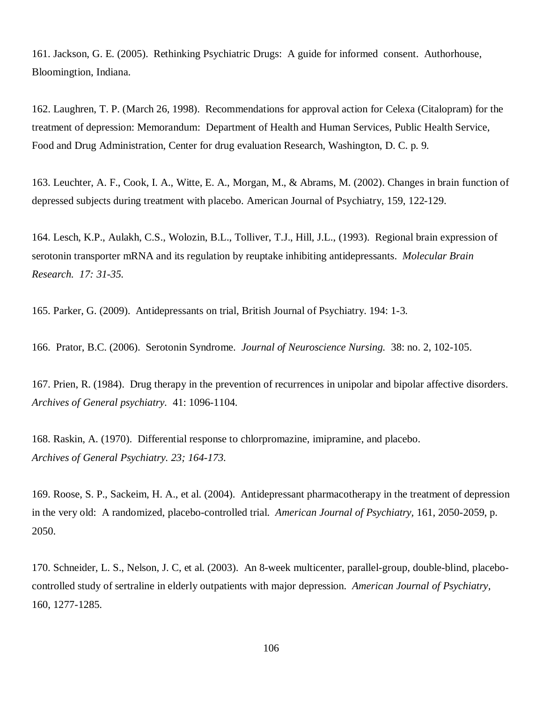161. Jackson, G. E. (2005). Rethinking Psychiatric Drugs: A guide for informed consent. Authorhouse, Bloomingtion, Indiana.

162. Laughren, T. P. (March 26, 1998). Recommendations for approval action for Celexa (Citalopram) for the treatment of depression: Memorandum: Department of Health and Human Services, Public Health Service, Food and Drug Administration, Center for drug evaluation Research, Washington, D. C. p. 9.

163. Leuchter, A. F., Cook, I. A., Witte, E. A., Morgan, M., & Abrams, M. (2002). Changes in brain function of depressed subjects during treatment with placebo. American Journal of Psychiatry, 159, 122-129.

164. Lesch, K.P., Aulakh, C.S., Wolozin, B.L., Tolliver, T.J., Hill, J.L., (1993). Regional brain expression of serotonin transporter mRNA and its regulation by reuptake inhibiting antidepressants. *Molecular Brain Research. 17: 31-35.*

165. Parker, G. (2009). Antidepressants on trial, British Journal of Psychiatry. 194: 1-3.

166. Prator, B.C. (2006). Serotonin Syndrome. *Journal of Neuroscience Nursing.* 38: no. 2, 102-105.

167. Prien, R. (1984). Drug therapy in the prevention of recurrences in unipolar and bipolar affective disorders. *Archives of General psychiatry.* 41: 1096-1104.

168. Raskin, A. (1970). Differential response to chlorpromazine, imipramine, and placebo. *Archives of General Psychiatry. 23; 164-173.*

169. Roose, S. P., Sackeim, H. A., et al. (2004). Antidepressant pharmacotherapy in the treatment of depression in the very old: A randomized, placebo-controlled trial. *American Journal of Psychiatry,* 161, 2050-2059, p. 2050.

170. Schneider, L. S., Nelson, J. C, et al. (2003). An 8-week multicenter, parallel-group, double-blind, placebocontrolled study of sertraline in elderly outpatients with major depression. *American Journal of Psychiatry,* 160, 1277-1285.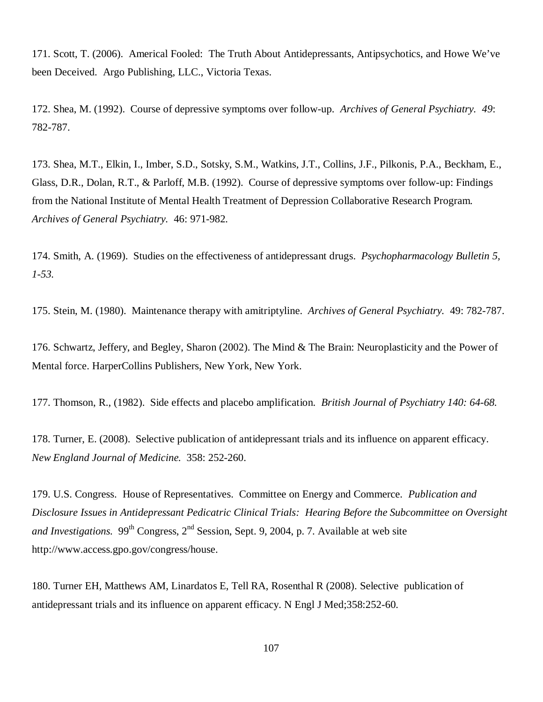171. Scott, T. (2006). Americal Fooled: The Truth About Antidepressants, Antipsychotics, and Howe We've been Deceived. Argo Publishing, LLC., Victoria Texas.

172. Shea, M. (1992). Course of depressive symptoms over follow-up. *Archives of General Psychiatry. 49*: 782-787.

173. Shea, M.T., Elkin, I., Imber, S.D., Sotsky, S.M., Watkins, J.T., Collins, J.F., Pilkonis, P.A., Beckham, E., Glass, D.R., Dolan, R.T., & Parloff, M.B. (1992). Course of depressive symptoms over follow-up: Findings from the National Institute of Mental Health Treatment of Depression Collaborative Research Program. *Archives of General Psychiatry.* 46: 971-982*.*

174. Smith, A. (1969). Studies on the effectiveness of antidepressant drugs. *Psychopharmacology Bulletin 5, 1-53.*

175. Stein, M. (1980). Maintenance therapy with amitriptyline. *Archives of General Psychiatry.* 49: 782-787.

176. Schwartz, Jeffery, and Begley, Sharon (2002). The Mind & The Brain: Neuroplasticity and the Power of Mental force. HarperCollins Publishers, New York, New York.

177. Thomson, R., (1982). Side effects and placebo amplification. *British Journal of Psychiatry 140: 64-68.*

178. Turner, E. (2008). Selective publication of antidepressant trials and its influence on apparent efficacy. *New England Journal of Medicine.* 358: 252-260.

179. U.S. Congress. House of Representatives. Committee on Energy and Commerce. *Publication and Disclosure Issues in Antidepressant Pedicatric Clinical Trials: Hearing Before the Subcommittee on Oversight and Investigations.* 99<sup>th</sup> Congress,  $2<sup>nd</sup>$  Session, Sept. 9, 2004, p. 7. Available at web site <http://www.access.gpo.gov/congress/house.>

180. Turner EH, Matthews AM, Linardatos E, Tell RA, Rosenthal R (2008). Selective publication of antidepressant trials and its influence on apparent efficacy. N Engl J Med;358:252-60.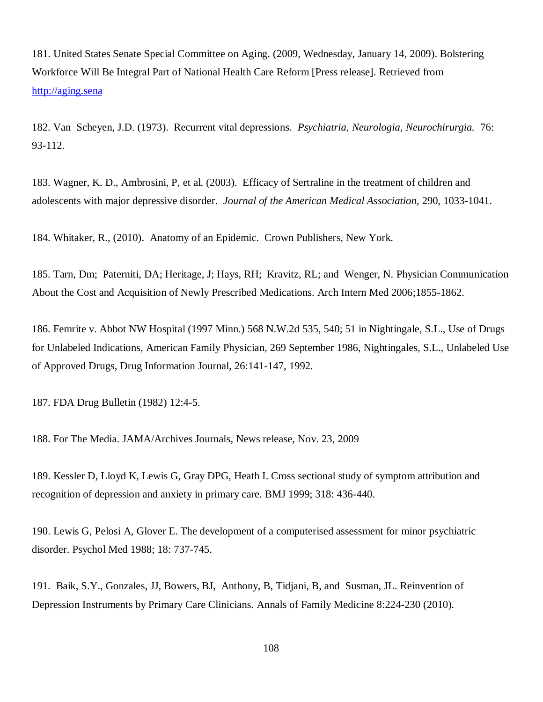181. United States Senate Special Committee on Aging. (2009, Wednesday, January 14, 2009). Bolstering Workforce Will Be Integral Part of National Health Care Reform [Press release]. Retrieved from <http://aging.sena>

182. Van Scheyen, J.D. (1973). Recurrent vital depressions. *Psychiatria, Neurologia, Neurochirurgia.* 76: 93-112.

183. Wagner, K. D., Ambrosini, P, et al. (2003). Efficacy of Sertraline in the treatment of children and adolescents with major depressive disorder. *Journal of the American Medical Association,* 290, 1033-1041.

184. Whitaker, R., (2010). Anatomy of an Epidemic. Crown Publishers, New York.

185. Tarn, Dm; Paterniti, DA; Heritage, J; Hays, RH; Kravitz, RL; and Wenger, N. Physician Communication About the Cost and Acquisition of Newly Prescribed Medications. Arch Intern Med 2006;1855-1862.

186. Femrite v. Abbot NW Hospital (1997 Minn.) 568 N.W.2d 535, 540; 51 in Nightingale, S.L., Use of Drugs for Unlabeled Indications, American Family Physician, 269 September 1986, Nightingales, S.L., Unlabeled Use of Approved Drugs, Drug Information Journal, 26:141-147, 1992.

187. FDA Drug Bulletin (1982) 12:4-5.

188. For The Media. JAMA/Archives Journals, News release, Nov. 23, 2009

189. Kessler D, Lloyd K, Lewis G, Gray DPG, Heath I. Cross sectional study of symptom attribution and recognition of depression and anxiety in primary care. BMJ 1999; 318: 436-440.

190. Lewis G, Pelosi A, Glover E. The development of a computerised assessment for minor psychiatric disorder. Psychol Med 1988; 18: 737-745.

191. Baik, S.Y., Gonzales, JJ, Bowers, BJ, Anthony, B, Tidjani, B, and Susman, JL. Reinvention of Depression Instruments by Primary Care Clinicians. Annals of Family Medicine 8:224-230 (2010).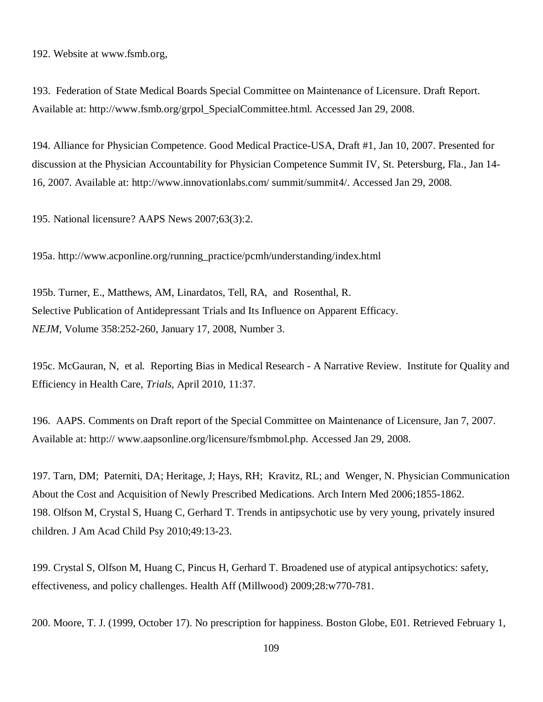192. Website at [www.fsmb.org,](http://www.fsmb.org,)

193. Federation of State Medical Boards Special Committee on Maintenance of Licensure. Draft Report. Available at: [http://www.fsmb.org/grpol\\_SpecialCommittee.html.](http://www.fsmb.org/grpol_SpecialCommittee.html.) Accessed Jan 29, 2008.

194. Alliance for Physician Competence. Good Medical Practice-USA, Draft #1, Jan 10, 2007. Presented for discussion at the Physician Accountability for Physician Competence Summit IV, St. Petersburg, Fla., Jan 14- 16, 2007. Available at:<http://www.innovationlabs.com/>summit/summit4/. Accessed Jan 29, 2008.

195. National licensure? AAPS News 2007;63(3):2.

195a. [http://www.acponline.org/running\\_practice/pcmh/understanding/index.html](http://www.acponline.org/running_practice/pcmh/understanding/index.html)

195b. Turner, E., Matthews, AM, Linardatos, Tell, RA, and Rosenthal, R. Selective Publication of Antidepressant Trials and Its Influence on Apparent Efficacy. *NEJM,* Volume 358:252-260, January 17, 2008, Number 3.

195c. McGauran, N, et al. Reporting Bias in Medical Research - A Narrative Review. Institute for Quality and Efficiency in Health Care*, Trials,* April 2010, 11:37.

196. AAPS. Comments on Draft report of the Special Committee on Maintenance of Licensure, Jan 7, 2007. Available at: http:// [www.aapsonline.org/licensure/fsmbmol.php.](http://www.aapsonline.org/licensure/fsmbmol.php.) Accessed Jan 29, 2008.

197. Tarn, DM; Paterniti, DA; Heritage, J; Hays, RH; Kravitz, RL; and Wenger, N. Physician Communication About the Cost and Acquisition of Newly Prescribed Medications. Arch Intern Med 2006;1855-1862. 198. Olfson M, Crystal S, Huang C, Gerhard T. Trends in antipsychotic use by very young, privately insured children. J Am Acad Child Psy 2010;49:13-23.

199. Crystal S, Olfson M, Huang C, Pincus H, Gerhard T. Broadened use of atypical antipsychotics: safety, effectiveness, and policy challenges. Health Aff (Millwood) 2009;28:w770-781.

200. Moore, T. J. (1999, October 17). No prescription for happiness. Boston Globe, E01. Retrieved February 1,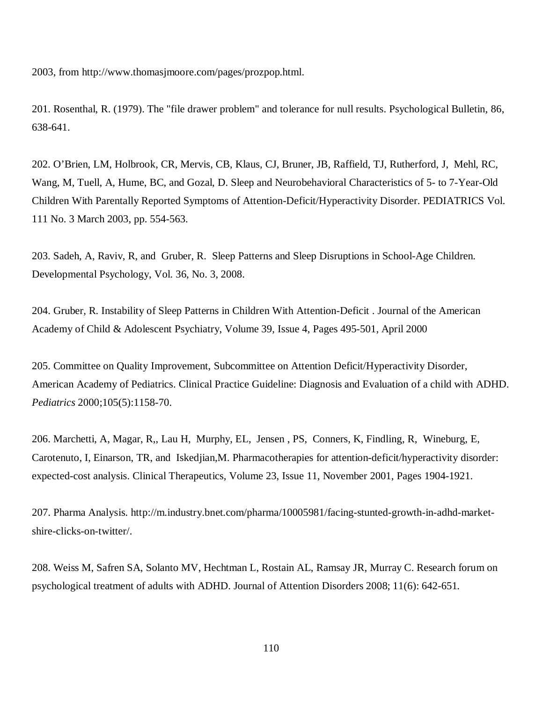2003, from<http://www.thomasjmoore.com/pages/prozpop.html.>

201. Rosenthal, R. (1979). The "file drawer problem" and tolerance for null results. Psychological Bulletin, 86, 638-641.

202. O'Brien, LM, Holbrook, CR, Mervis, CB, Klaus, CJ, Bruner, JB, Raffield, TJ, Rutherford, J, Mehl, RC, Wang, M, Tuell, A, Hume, BC, and Gozal, D. Sleep and Neurobehavioral Characteristics of 5- to 7-Year-Old Children With Parentally Reported Symptoms of Attention-Deficit/Hyperactivity Disorder. PEDIATRICS Vol. 111 No. 3 March 2003, pp. 554-563.

203. Sadeh, A, Raviv, R, and Gruber, R. Sleep Patterns and Sleep Disruptions in School-Age Children. Developmental Psychology, Vol. 36, No. 3, 2008.

204. Gruber, R. Instability of Sleep Patterns in Children With Attention-Deficit . Journal of the American Academy of Child & Adolescent Psychiatry, Volume 39, Issue 4, Pages 495-501, April 2000

205. Committee on Quality Improvement, Subcommittee on Attention Deficit/Hyperactivity Disorder, American Academy of Pediatrics. Clinical Practice Guideline: Diagnosis and Evaluation of a child with ADHD. *Pediatrics* 2000;105(5):1158-70.

206. Marchetti, A, Magar, R,, Lau H, Murphy, EL, Jensen , PS, Conners, K, Findling, R, Wineburg, E, Carotenuto, I, Einarson, TR, and Iskedjian,M. Pharmacotherapies for attention-deficit/hyperactivity disorder: expected-cost analysis. Clinical Therapeutics, Volume 23, Issue 11, November 2001, Pages 1904-1921.

207. Pharma Analysis. [http://m.industry.bnet.com/pharma/10005981/facing-stunted-growth-in-adhd-market](http://m.industry.bnet.com/pharma/10005981/facing-stunted-growth-in-adhd-market-)shire-clicks-on-twitter/.

208. Weiss M, Safren SA, Solanto MV, Hechtman L, Rostain AL, Ramsay JR, Murray C. Research forum on psychological treatment of adults with ADHD. Journal of Attention Disorders 2008; 11(6): 642-651.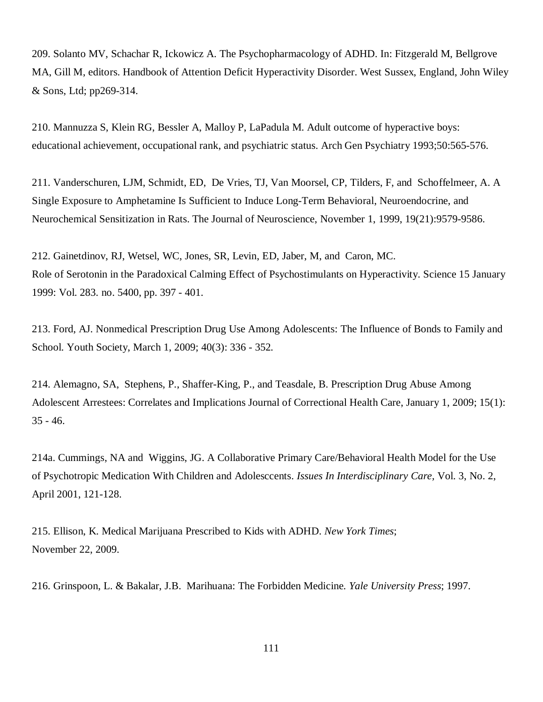209. Solanto MV, Schachar R, Ickowicz A. The Psychopharmacology of ADHD. In: Fitzgerald M, Bellgrove MA, Gill M, editors. Handbook of Attention Deficit Hyperactivity Disorder. West Sussex, England, John Wiley & Sons, Ltd; pp269-314.

210. Mannuzza S, Klein RG, Bessler A, Malloy P, LaPadula M. Adult outcome of hyperactive boys: educational achievement, occupational rank, and psychiatric status. Arch Gen Psychiatry 1993;50:565-576.

211. Vanderschuren, LJM, Schmidt, ED, De Vries, TJ, Van Moorsel, CP, Tilders, F, and Schoffelmeer, A. A Single Exposure to Amphetamine Is Sufficient to Induce Long-Term Behavioral, Neuroendocrine, and Neurochemical Sensitization in Rats. The Journal of Neuroscience, November 1, 1999, 19(21):9579-9586.

212. Gainetdinov, RJ, Wetsel, WC, Jones, SR, Levin, ED, Jaber, M, and Caron, MC. Role of Serotonin in the Paradoxical Calming Effect of Psychostimulants on Hyperactivity. Science 15 January 1999: Vol. 283. no. 5400, pp. 397 - 401.

213. Ford, AJ. Nonmedical Prescription Drug Use Among Adolescents: The Influence of Bonds to Family and School. Youth Society, March 1, 2009; 40(3): 336 - 352.

214. Alemagno, SA, Stephens, P., Shaffer-King, P., and Teasdale, B. Prescription Drug Abuse Among Adolescent Arrestees: Correlates and Implications Journal of Correctional Health Care, January 1, 2009; 15(1): 35 - 46.

214a. Cummings, NA and Wiggins, JG. A Collaborative Primary Care/Behavioral Health Model for the Use of Psychotropic Medication With Children and Adolesccents. *Issues In Interdisciplinary Care,* Vol. 3, No. 2, April 2001, 121-128.

215. Ellison, K. Medical Marijuana Prescribed to Kids with ADHD. *New York Times*; November 22, 2009.

216. Grinspoon, L. & Bakalar, J.B. Marihuana: The Forbidden Medicine*. Yale University Press*; 1997.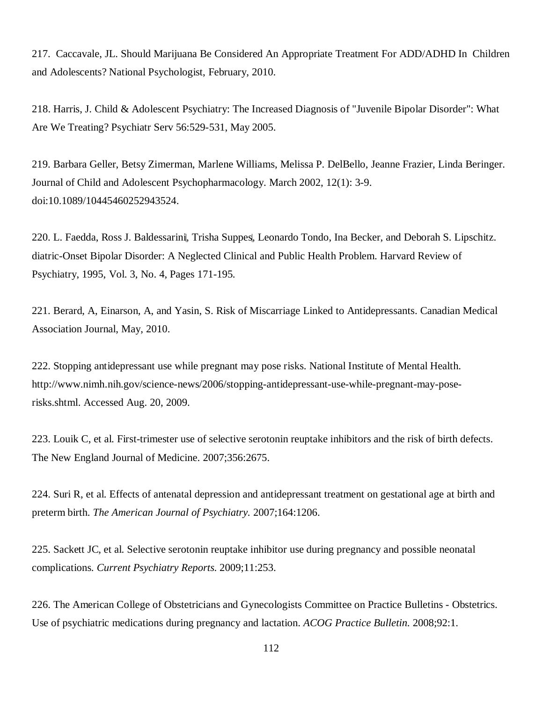217. Caccavale, JL. Should Marijuana Be Considered An Appropriate Treatment For ADD/ADHD In Children and Adolescents? National Psychologist, February, 2010.

218. Harris, J. Child & Adolescent Psychiatry: The Increased Diagnosis of "Juvenile Bipolar Disorder": What Are We Treating? Psychiatr Serv 56:529-531, May 2005.

219. Barbara Geller, Betsy Zimerman, Marlene Williams, Melissa P. DelBello, Jeanne Frazier, Linda Beringer. Journal of Child and Adolescent Psychopharmacology. March 2002, 12(1): 3-9. doi:10.1089/10445460252943524.

220. L. Faedda, Ross J. Baldessarini, Trisha Suppes, Leonardo Tondo, Ina Becker, and Deborah S. Lipschitz. diatric-Onset Bipolar Disorder: A Neglected Clinical and Public Health Problem. Harvard Review of Psychiatry, 1995, Vol. 3, No. 4, Pages 171-195.

221. Berard, A, Einarson, A, and Yasin, S. Risk of Miscarriage Linked to Antidepressants. Canadian Medical Association Journal, May, 2010.

222. Stopping antidepressant use while pregnant may pose risks. National Institute of Mental Health. [http://www.nimh.nih.gov/science-news/2006/stopping-antidepressant-use-while-pregnant-may-pose](http://www.nimh.nih.gov/science-news/2006/stopping-antidepressant-use-while-pregnant-may-pose-)risks.shtml. Accessed Aug. 20, 2009.

223. Louik C, et al. First-trimester use of selective serotonin reuptake inhibitors and the risk of birth defects. The New England Journal of Medicine. 2007;356:2675.

224. Suri R, et al. Effects of antenatal depression and antidepressant treatment on gestational age at birth and preterm birth. *The American Journal of Psychiatry.* 2007;164:1206.

225. Sackett JC, et al. Selective serotonin reuptake inhibitor use during pregnancy and possible neonatal complications. *Current Psychiatry Reports*. 2009;11:253.

226. The American College of Obstetricians and Gynecologists Committee on Practice Bulletins - Obstetrics. Use of psychiatric medications during pregnancy and lactation. *ACOG Practice Bulletin.* 2008;92:1.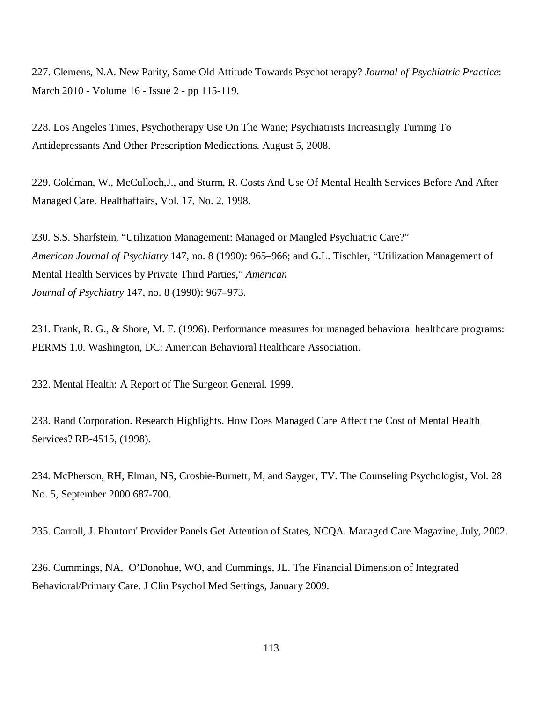227. Clemens, N.A. New Parity, Same Old Attitude Towards Psychotherapy? *Journal of Psychiatric Practice*: March 2010 - Volume 16 - Issue 2 - pp 115-119.

228. Los Angeles Times, Psychotherapy Use On The Wane; Psychiatrists Increasingly Turning To Antidepressants And Other Prescription Medications. August 5, 2008.

229. Goldman, W., McCulloch,J., and Sturm, R. Costs And Use Of Mental Health Services Before And After Managed Care. Healthaffairs, Vol. 17, No. 2. 1998.

230. S.S. Sharfstein, "Utilization Management: Managed or Mangled Psychiatric Care?" *American Journal of Psychiatry* 147, no. 8 (1990): 965–966; and G.L. Tischler, "Utilization Management of Mental Health Services by Private Third Parties," *American Journal of Psychiatry* 147, no. 8 (1990): 967–973.

231. Frank, R. G., & Shore, M. F. (1996). Performance measures for managed behavioral healthcare programs: PERMS 1.0. Washington, DC: American Behavioral Healthcare Association.

232. Mental Health: A Report of The Surgeon General. 1999.

233. Rand Corporation. Research Highlights. How Does Managed Care Affect the Cost of Mental Health Services? RB-4515, (1998).

234. McPherson, RH, Elman, NS, Crosbie-Burnett, M, and Sayger, TV. The Counseling Psychologist, Vol. 28 No. 5, September 2000 687-700.

235. Carroll, J. Phantom' Provider Panels Get Attention of States, NCQA. Managed Care Magazine, July, 2002.

236. Cummings, NA, O'Donohue, WO, and Cummings, JL. The Financial Dimension of Integrated Behavioral/Primary Care. J Clin Psychol Med Settings, January 2009.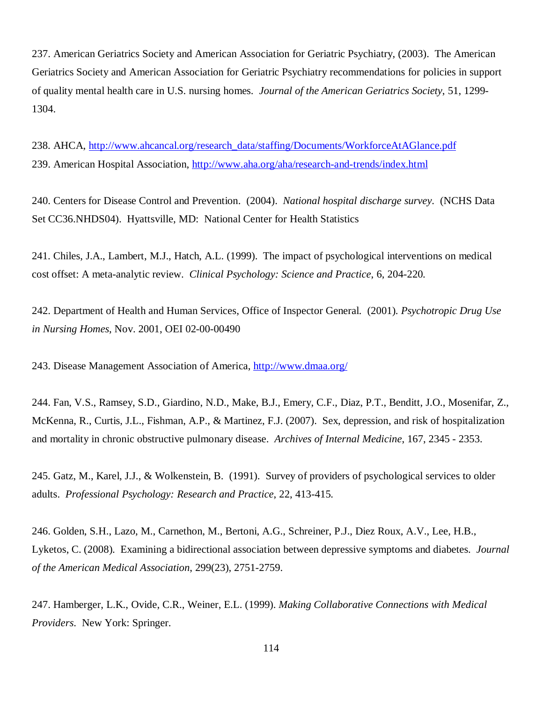237. American Geriatrics Society and American Association for Geriatric Psychiatry, (2003). The American Geriatrics Society and American Association for Geriatric Psychiatry recommendations for policies in support of quality mental health care in U.S. nursing homes. *Journal of the American Geriatrics Society*, 51, 1299- 1304.

238. AHCA, [http://www.ahcancal.org/research\\_data/staffing/Documents/WorkforceAtAGlance.pdf](http://www.ahcancal.org/research_data/staffing/Documents/WorkforceAtAGlance.pdf) 239. American Hospital Association, <http://www.aha.org/aha/research-and-trends/index.html>

240. Centers for Disease Control and Prevention. (2004). *National hospital discharge survey*. (NCHS Data Set CC36.NHDS04). Hyattsville, MD: National Center for Health Statistics

241. Chiles, J.A., Lambert, M.J., Hatch, A.L. (1999). The impact of psychological interventions on medical cost offset: A meta-analytic review. *Clinical Psychology: Science and Practice*, 6, 204-220.

242. Department of Health and Human Services, Office of Inspector General. (2001). *Psychotropic Drug Use in Nursing Homes*, Nov. 2001, OEI 02-00-00490

243. Disease Management Association of America, <http://www.dmaa.org/>

244. Fan, V.S., Ramsey, S.D., Giardino, N.D., Make, B.J., Emery, C.F., Diaz, P.T., Benditt, J.O., Mosenifar, Z., McKenna, R., Curtis, J.L., Fishman, A.P., & Martinez, F.J. (2007). Sex, depression, and risk of hospitalization and mortality in chronic obstructive pulmonary disease. *Archives of Internal Medicine*, 167, 2345 - 2353.

245. Gatz, M., Karel, J.J., & Wolkenstein, B. (1991). Survey of providers of psychological services to older adults. *Professional Psychology: Research and Practice*, 22, 413-415.

246. Golden, S.H., Lazo, M., Carnethon, M., Bertoni, A.G., Schreiner, P.J., Diez Roux, A.V., Lee, H.B., Lyketos, C. (2008). Examining a bidirectional association between depressive symptoms and diabetes. *Journal of the American Medical Association*, 299(23), 2751-2759.

247. Hamberger, L.K., Ovide, C.R., Weiner, E.L. (1999). *Making Collaborative Connections with Medical Providers*. New York: Springer.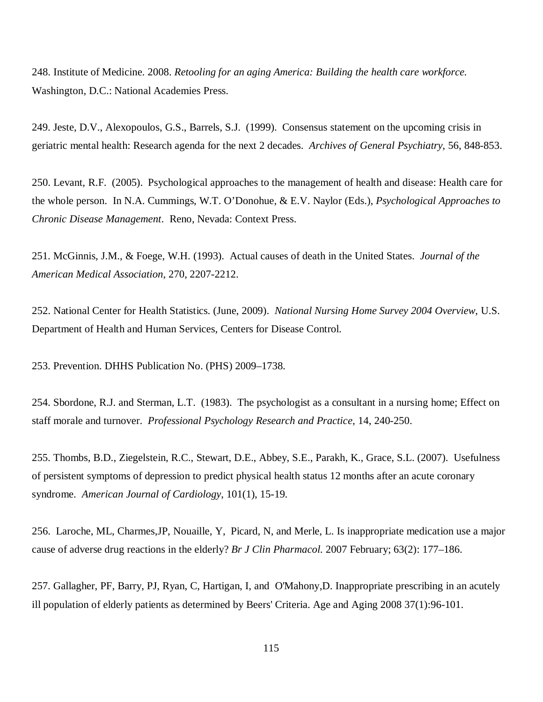248. Institute of Medicine. 2008. *Retooling for an aging America: Building the health care workforce.* Washington, D.C.: National Academies Press.

249. Jeste, D.V., Alexopoulos, G.S., Barrels, S.J. (1999). Consensus statement on the upcoming crisis in geriatric mental health: Research agenda for the next 2 decades. *Archives of General Psychiatry*, 56, 848-853.

250. Levant, R.F. (2005). Psychological approaches to the management of health and disease: Health care for the whole person. In N.A. Cummings, W.T. O'Donohue, & E.V. Naylor (Eds.), *Psychological Approaches to Chronic Disease Management*. Reno, Nevada: Context Press.

251. McGinnis, J.M., & Foege, W.H. (1993). Actual causes of death in the United States. *Journal of the American Medical Association*, 270, 2207-2212.

252. National Center for Health Statistics. (June, 2009). *National Nursing Home Survey 2004 Overview*, U.S. Department of Health and Human Services, Centers for Disease Control.

253. Prevention. DHHS Publication No. (PHS) 2009–1738.

254. Sbordone, R.J. and Sterman, L.T. (1983). The psychologist as a consultant in a nursing home; Effect on staff morale and turnover. *Professional Psychology Research and Practice*, 14, 240-250.

255. Thombs, B.D., Ziegelstein, R.C., Stewart, D.E., Abbey, S.E., Parakh, K., Grace, S.L. (2007). Usefulness of persistent symptoms of depression to predict physical health status 12 months after an acute coronary syndrome. *American Journal of Cardiology*, 101(1), 15-19.

256. Laroche, ML, Charmes,JP, Nouaille, Y, Picard, N, and Merle, L. Is inappropriate medication use a major cause of adverse drug reactions in the elderly? *Br J Clin Pharmacol.* 2007 February; 63(2): 177–186.

257. Gallagher, PF, Barry, PJ, Ryan, C, Hartigan, I, and O'Mahony,D. Inappropriate prescribing in an acutely ill population of elderly patients as determined by Beers' Criteria. Age and Aging 2008 37(1):96-101.